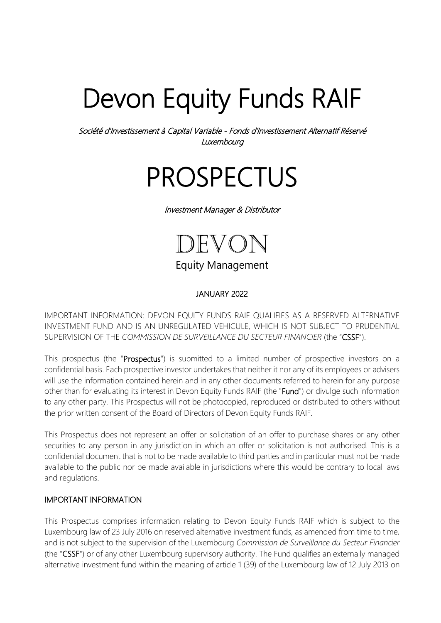# Devon Equity Funds RAIF

Société d'Investissement à Capital Variable - Fonds d'Investissement Alternatif Réservé **Luxembourg** 

## PROSPECTUS

Investment Manager & Distributor



**Equity Management** 

## JANUARY 2022

IMPORTANT INFORMATION: DEVON EQUITY FUNDS RAIF QUALIFIES AS A RESERVED ALTERNATIVE INVESTMENT FUND AND IS AN UNREGULATED VEHICULE, WHICH IS NOT SUBJECT TO PRUDENTIAL SUPERVISION OF THE *COMMISSION DE SURVEILLANCE DU SECTEUR FINANCIER* (the "CSSF").

This prospectus (the "Prospectus") is submitted to a limited number of prospective investors on a confidential basis. Each prospective investor undertakes that neither it nor any of its employees or advisers will use the information contained herein and in any other documents referred to herein for any purpose other than for evaluating its interest in Devon Equity Funds RAIF (the "Fund") or divulge such information to any other party. This Prospectus will not be photocopied, reproduced or distributed to others without the prior written consent of the Board of Directors of Devon Equity Funds RAIF.

This Prospectus does not represent an offer or solicitation of an offer to purchase shares or any other securities to any person in any jurisdiction in which an offer or solicitation is not authorised. This is a confidential document that is not to be made available to third parties and in particular must not be made available to the public nor be made available in jurisdictions where this would be contrary to local laws and regulations.

#### IMPORTANT INFORMATION

This Prospectus comprises information relating to Devon Equity Funds RAIF which is subject to the Luxembourg law of 23 July 2016 on reserved alternative investment funds, as amended from time to time, and is not subject to the supervision of the Luxembourg *Commission de Surveillance du Secteur Financier*  (the "CSSF") or of any other Luxembourg supervisory authority. The Fund qualifies an externally managed alternative investment fund within the meaning of article 1 (39) of the Luxembourg law of 12 July 2013 on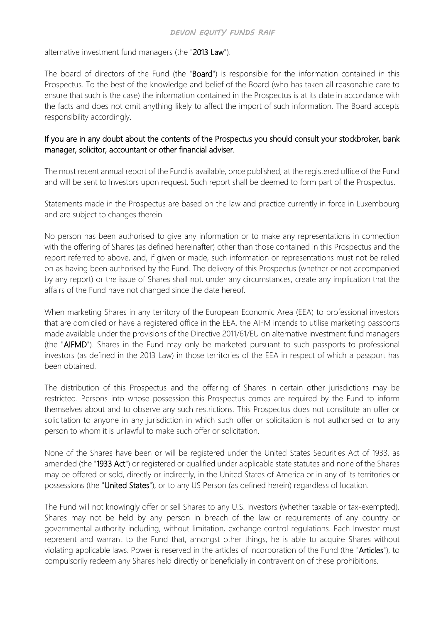alternative investment fund managers (the "2013 Law").

The board of directors of the Fund (the "Board") is responsible for the information contained in this Prospectus. To the best of the knowledge and belief of the Board (who has taken all reasonable care to ensure that such is the case) the information contained in the Prospectus is at its date in accordance with the facts and does not omit anything likely to affect the import of such information. The Board accepts responsibility accordingly.

## If you are in any doubt about the contents of the Prospectus you should consult your stockbroker, bank manager, solicitor, accountant or other financial adviser.

The most recent annual report of the Fund is available, once published, at the registered office of the Fund and will be sent to Investors upon request. Such report shall be deemed to form part of the Prospectus.

Statements made in the Prospectus are based on the law and practice currently in force in Luxembourg and are subject to changes therein.

No person has been authorised to give any information or to make any representations in connection with the offering of Shares (as defined hereinafter) other than those contained in this Prospectus and the report referred to above, and, if given or made, such information or representations must not be relied on as having been authorised by the Fund. The delivery of this Prospectus (whether or not accompanied by any report) or the issue of Shares shall not, under any circumstances, create any implication that the affairs of the Fund have not changed since the date hereof.

When marketing Shares in any territory of the European Economic Area (EEA) to professional investors that are domiciled or have a registered office in the EEA, the AIFM intends to utilise marketing passports made available under the provisions of the Directive 2011/61/EU on alternative investment fund managers (the "AIFMD"). Shares in the Fund may only be marketed pursuant to such passports to professional investors (as defined in the 2013 Law) in those territories of the EEA in respect of which a passport has been obtained.

The distribution of this Prospectus and the offering of Shares in certain other jurisdictions may be restricted. Persons into whose possession this Prospectus comes are required by the Fund to inform themselves about and to observe any such restrictions. This Prospectus does not constitute an offer or solicitation to anyone in any jurisdiction in which such offer or solicitation is not authorised or to any person to whom it is unlawful to make such offer or solicitation.

None of the Shares have been or will be registered under the United States Securities Act of 1933, as amended (the "1933 Act") or registered or qualified under applicable state statutes and none of the Shares may be offered or sold, directly or indirectly, in the United States of America or in any of its territories or possessions (the "United States"), or to any US Person (as defined herein) regardless of location.

The Fund will not knowingly offer or sell Shares to any U.S. Investors (whether taxable or tax-exempted). Shares may not be held by any person in breach of the law or requirements of any country or governmental authority including, without limitation, exchange control regulations. Each Investor must represent and warrant to the Fund that, amongst other things, he is able to acquire Shares without violating applicable laws. Power is reserved in the articles of incorporation of the Fund (the "Articles"), to compulsorily redeem any Shares held directly or beneficially in contravention of these prohibitions.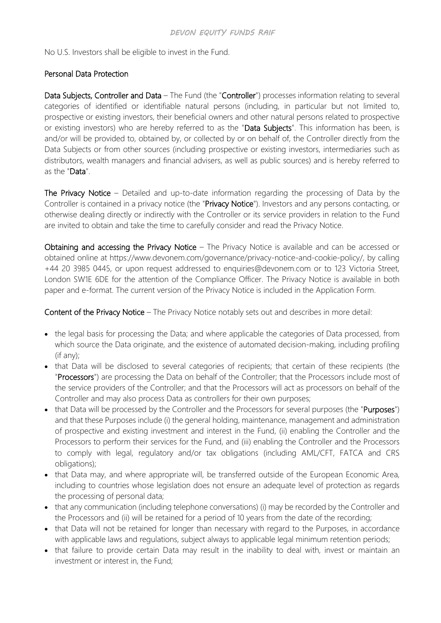No U.S. Investors shall be eligible to invest in the Fund.

#### Personal Data Protection

Data Subjects, Controller and Data – The Fund (the "Controller") processes information relating to several categories of identified or identifiable natural persons (including, in particular but not limited to, prospective or existing investors, their beneficial owners and other natural persons related to prospective or existing investors) who are hereby referred to as the "Data Subjects". This information has been, is and/or will be provided to, obtained by, or collected by or on behalf of, the Controller directly from the Data Subjects or from other sources (including prospective or existing investors, intermediaries such as distributors, wealth managers and financial advisers, as well as public sources) and is hereby referred to as the "Data".

The Privacy Notice – Detailed and up-to-date information regarding the processing of Data by the Controller is contained in a privacy notice (the "Privacy Notice"). Investors and any persons contacting, or otherwise dealing directly or indirectly with the Controller or its service providers in relation to the Fund are invited to obtain and take the time to carefully consider and read the Privacy Notice.

Obtaining and accessing the Privacy Notice – The Privacy Notice is available and can be accessed or obtained online at https://www.devonem.com/governance/privacy-notice-and-cookie-policy/, by calling +44 20 3985 0445, or upon request addressed to enquiries@devonem.com or to 123 Victoria Street, London SW1E 6DE for the attention of the Compliance Officer. The Privacy Notice is available in both paper and e-format. The current version of the Privacy Notice is included in the Application Form.

Content of the Privacy Notice – The Privacy Notice notably sets out and describes in more detail:

- the legal basis for processing the Data; and where applicable the categories of Data processed, from which source the Data originate, and the existence of automated decision-making, including profiling (if any);
- that Data will be disclosed to several categories of recipients; that certain of these recipients (the "Processors") are processing the Data on behalf of the Controller; that the Processors include most of the service providers of the Controller; and that the Processors will act as processors on behalf of the Controller and may also process Data as controllers for their own purposes;
- that Data will be processed by the Controller and the Processors for several purposes (the "Purposes") and that these Purposes include (i) the general holding, maintenance, management and administration of prospective and existing investment and interest in the Fund, (ii) enabling the Controller and the Processors to perform their services for the Fund, and (iii) enabling the Controller and the Processors to comply with legal, regulatory and/or tax obligations (including AML/CFT, FATCA and CRS obligations);
- that Data may, and where appropriate will, be transferred outside of the European Economic Area, including to countries whose legislation does not ensure an adequate level of protection as regards the processing of personal data;
- that any communication (including telephone conversations) (i) may be recorded by the Controller and the Processors and (ii) will be retained for a period of 10 years from the date of the recording;
- that Data will not be retained for longer than necessary with regard to the Purposes, in accordance with applicable laws and regulations, subject always to applicable legal minimum retention periods;
- that failure to provide certain Data may result in the inability to deal with, invest or maintain an investment or interest in, the Fund;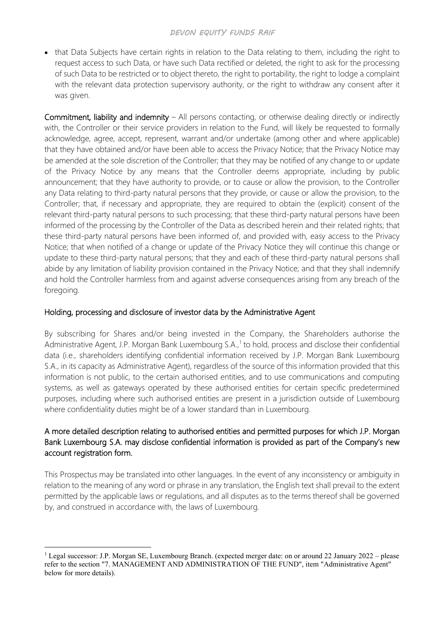• that Data Subjects have certain rights in relation to the Data relating to them, including the right to request access to such Data, or have such Data rectified or deleted, the right to ask for the processing of such Data to be restricted or to object thereto, the right to portability, the right to lodge a complaint with the relevant data protection supervisory authority, or the right to withdraw any consent after it was given.

Commitment, liability and indemnity – All persons contacting, or otherwise dealing directly or indirectly with, the Controller or their service providers in relation to the Fund, will likely be requested to formally acknowledge, agree, accept, represent, warrant and/or undertake (among other and where applicable) that they have obtained and/or have been able to access the Privacy Notice; that the Privacy Notice may be amended at the sole discretion of the Controller; that they may be notified of any change to or update of the Privacy Notice by any means that the Controller deems appropriate, including by public announcement; that they have authority to provide, or to cause or allow the provision, to the Controller any Data relating to third-party natural persons that they provide, or cause or allow the provision, to the Controller; that, if necessary and appropriate, they are required to obtain the (explicit) consent of the relevant third-party natural persons to such processing; that these third-party natural persons have been informed of the processing by the Controller of the Data as described herein and their related rights; that these third-party natural persons have been informed of, and provided with, easy access to the Privacy Notice; that when notified of a change or update of the Privacy Notice they will continue this change or update to these third-party natural persons; that they and each of these third-party natural persons shall abide by any limitation of liability provision contained in the Privacy Notice; and that they shall indemnify and hold the Controller harmless from and against adverse consequences arising from any breach of the foregoing.

## Holding, processing and disclosure of investor data by the Administrative Agent

By subscribing for Shares and/or being invested in the Company, the Shareholders authorise the Administrative Agent, J.P. Morgan Bank Luxembourg S.A.,<sup>[1](#page-3-0)</sup> to hold, process and disclose their confidential data (i.e., shareholders identifying confidential information received by J.P. Morgan Bank Luxembourg S.A., in its capacity as Administrative Agent), regardless of the source of this information provided that this information is not public, to the certain authorised entities, and to use communications and computing systems, as well as gateways operated by these authorised entities for certain specific predetermined purposes, including where such authorised entities are present in a jurisdiction outside of Luxembourg where confidentiality duties might be of a lower standard than in Luxembourg.

## A more detailed description relating to authorised entities and permitted purposes for which J.P. Morgan Bank Luxembourg S.A. may disclose confidential information is provided as part of the Company's new account registration form.

This Prospectus may be translated into other languages. In the event of any inconsistency or ambiguity in relation to the meaning of any word or phrase in any translation, the English text shall prevail to the extent permitted by the applicable laws or regulations, and all disputes as to the terms thereof shall be governed by, and construed in accordance with, the laws of Luxembourg.

<span id="page-3-0"></span><sup>1</sup> Legal successor: J.P. Morgan SE, Luxembourg Branch. (expected merger date: on or around 22 January 2022 – please refer to the section "7. MANAGEMENT AND ADMINISTRATION OF THE FUND", item "Administrative Agent" below for more details).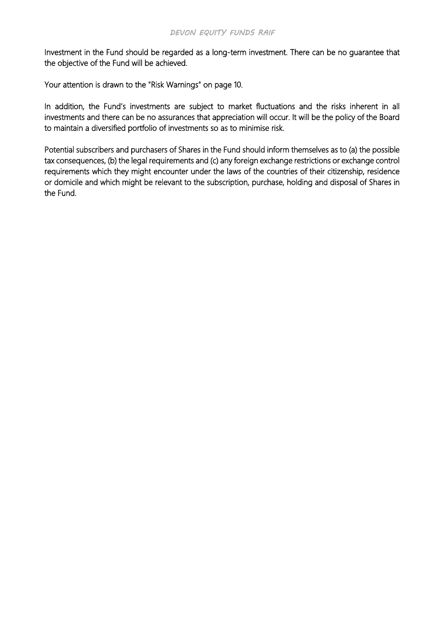Investment in the Fund should be regarded as a long-term investment. There can be no guarantee that the objective of the Fund will be achieved.

Your attention is drawn to the "Risk Warnings" on page 10.

In addition, the Fund's investments are subject to market fluctuations and the risks inherent in all investments and there can be no assurances that appreciation will occur. It will be the policy of the Board to maintain a diversified portfolio of investments so as to minimise risk.

Potential subscribers and purchasers of Shares in the Fund should inform themselves as to (a) the possible tax consequences, (b) the legal requirements and (c) any foreign exchange restrictions or exchange control requirements which they might encounter under the laws of the countries of their citizenship, residence or domicile and which might be relevant to the subscription, purchase, holding and disposal of Shares in the Fund.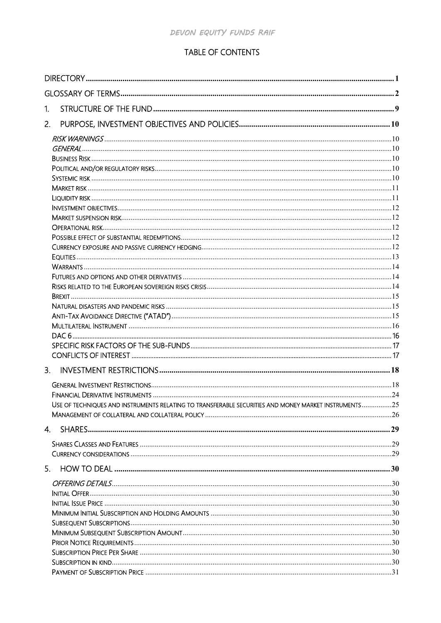## TABLE OF CONTENTS

| 1.                                                                                                   |  |
|------------------------------------------------------------------------------------------------------|--|
| 2.                                                                                                   |  |
|                                                                                                      |  |
|                                                                                                      |  |
|                                                                                                      |  |
|                                                                                                      |  |
|                                                                                                      |  |
|                                                                                                      |  |
|                                                                                                      |  |
|                                                                                                      |  |
|                                                                                                      |  |
|                                                                                                      |  |
|                                                                                                      |  |
|                                                                                                      |  |
|                                                                                                      |  |
|                                                                                                      |  |
|                                                                                                      |  |
|                                                                                                      |  |
|                                                                                                      |  |
|                                                                                                      |  |
|                                                                                                      |  |
|                                                                                                      |  |
|                                                                                                      |  |
|                                                                                                      |  |
|                                                                                                      |  |
|                                                                                                      |  |
|                                                                                                      |  |
| USE OF TECHNIQUES AND INSTRUMENTS RELATING TO TRANSFERABLE SECURITIES AND MONEY MARKET INSTRUMENTS25 |  |
|                                                                                                      |  |
|                                                                                                      |  |
|                                                                                                      |  |
|                                                                                                      |  |
|                                                                                                      |  |
|                                                                                                      |  |
|                                                                                                      |  |
|                                                                                                      |  |
|                                                                                                      |  |
|                                                                                                      |  |
|                                                                                                      |  |
|                                                                                                      |  |
|                                                                                                      |  |
|                                                                                                      |  |
|                                                                                                      |  |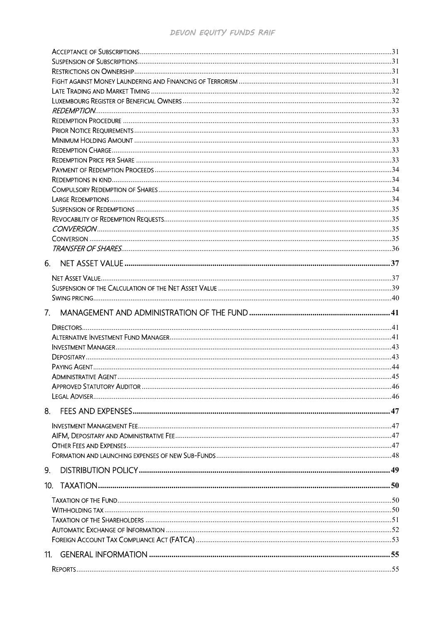| 7.  |  |
|-----|--|
|     |  |
|     |  |
|     |  |
|     |  |
|     |  |
|     |  |
|     |  |
|     |  |
| 8.  |  |
|     |  |
|     |  |
|     |  |
|     |  |
| 9.  |  |
|     |  |
|     |  |
|     |  |
|     |  |
|     |  |
|     |  |
| 11. |  |
|     |  |
|     |  |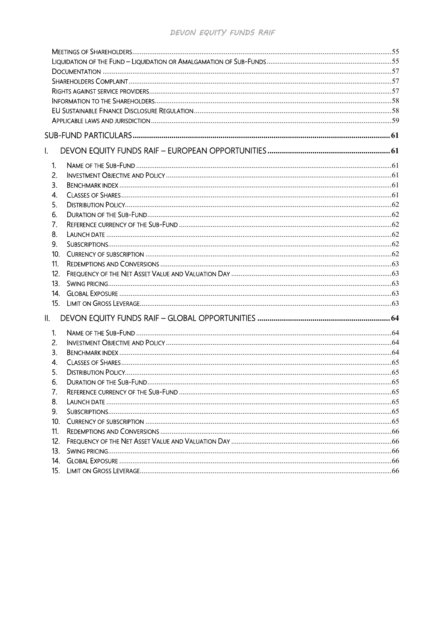| $\mathsf{L}$  |  |
|---------------|--|
| 1.            |  |
| 2.            |  |
| 3.            |  |
| 4.            |  |
| 5.            |  |
| 6.            |  |
| 7.            |  |
| 8.            |  |
| 9.            |  |
| 10.           |  |
| 11.           |  |
| 12.           |  |
| 13.           |  |
| 14.           |  |
|               |  |
| $\parallel$ . |  |
| 1.            |  |
| 2.            |  |
| 3.            |  |
| 4.            |  |
| 5.            |  |
| 6.            |  |
| 7.            |  |
| 8.            |  |
| 9.            |  |
| 10.           |  |
| 11.<br>12.    |  |
| 13.           |  |
| 14.           |  |
| 15.           |  |
|               |  |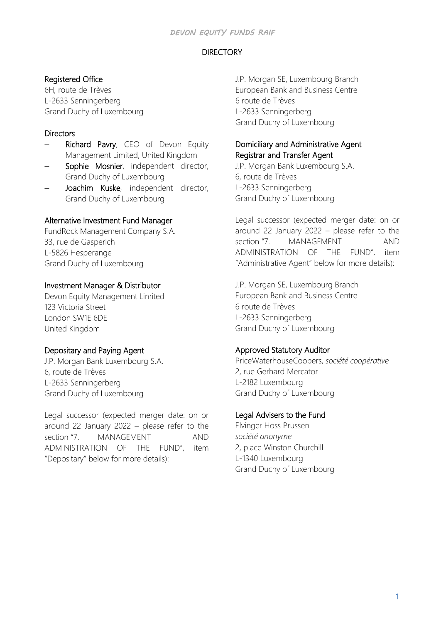## **DIRECTORY**

## <span id="page-8-0"></span>Registered Office

6H, route de Trèves L-2633 Senningerberg Grand Duchy of Luxembourg

## **Directors**

- Richard Pavry, CEO of Devon Equity Management Limited, United Kingdom
- Sophie Mosnier, independent director, Grand Duchy of Luxembourg
- Joachim Kuske, independent director, Grand Duchy of Luxembourg

## Alternative Investment Fund Manager

FundRock Management Company S.A. 33, rue de Gasperich L-5826 Hesperange Grand Duchy of Luxembourg

## Investment Manager & Distributor

Devon Equity Management Limited 123 Victoria Street London SW1E 6DE United Kingdom

## Depositary and Paying Agent

J.P. Morgan Bank Luxembourg S.A. 6, route de Trèves L-2633 Senningerberg Grand Duchy of Luxembourg

Legal successor (expected merger date: on or around 22 January 2022 – please refer to the section "7. MANAGEMENT AND ADMINISTRATION OF THE FUND", item "Depositary" below for more details):

J.P. Morgan SE, Luxembourg Branch European Bank and Business Centre 6 route de Trèves L-2633 Senningerberg Grand Duchy of Luxembourg

## Domiciliary and Administrative Agent Registrar and Transfer Agent

J.P. Morgan Bank Luxembourg S.A. 6, route de Trèves L-2633 Senningerberg Grand Duchy of Luxembourg

Legal successor (expected merger date: on or around 22 January 2022 – please refer to the section "7. MANAGEMENT AND ADMINISTRATION OF THE FUND", item "Administrative Agent" below for more details):

J.P. Morgan SE, Luxembourg Branch European Bank and Business Centre 6 route de Trèves L-2633 Senningerberg Grand Duchy of Luxembourg

## Approved Statutory Auditor

PriceWaterhouseCoopers, *société coopérative* 2, rue Gerhard Mercator L-2182 Luxembourg Grand Duchy of Luxembourg

## Legal Advisers to the Fund

Elvinger Hoss Prussen *société anonyme* 2, place Winston Churchill L-1340 Luxembourg Grand Duchy of Luxembourg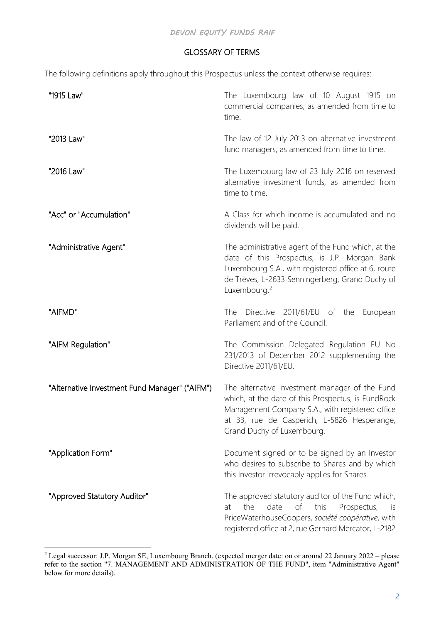## GLOSSARY OF TERMS

<span id="page-9-0"></span>The following definitions apply throughout this Prospectus unless the context otherwise requires:

| "1915 Law"                                     | The Luxembourg law of 10 August 1915 on<br>commercial companies, as amended from time to<br>time.                                                                                                                                        |
|------------------------------------------------|------------------------------------------------------------------------------------------------------------------------------------------------------------------------------------------------------------------------------------------|
| "2013 Law"                                     | The law of 12 July 2013 on alternative investment<br>fund managers, as amended from time to time.                                                                                                                                        |
| "2016 Law"                                     | The Luxembourg law of 23 July 2016 on reserved<br>alternative investment funds, as amended from<br>time to time.                                                                                                                         |
| "Acc" or "Accumulation"                        | A Class for which income is accumulated and no<br>dividends will be paid.                                                                                                                                                                |
| "Administrative Agent"                         | The administrative agent of the Fund which, at the<br>date of this Prospectus, is J.P. Morgan Bank<br>Luxembourg S.A., with registered office at 6, route<br>de Trèves, L-2633 Senningerberg, Grand Duchy of<br>Luxembourg. <sup>2</sup> |
| "AIFMD"                                        | The Directive 2011/61/EU of the European<br>Parliament and of the Council.                                                                                                                                                               |
| "AIFM Regulation"                              | The Commission Delegated Regulation EU No<br>231/2013 of December 2012 supplementing the<br>Directive 2011/61/EU.                                                                                                                        |
| "Alternative Investment Fund Manager" ("AIFM") | The alternative investment manager of the Fund<br>which, at the date of this Prospectus, is FundRock<br>Management Company S.A., with registered office<br>at 33, rue de Gasperich, L-5826 Hesperange,<br>Grand Duchy of Luxembourg.     |
| "Application Form"                             | Document signed or to be signed by an Investor<br>who desires to subscribe to Shares and by which<br>this Investor irrevocably applies for Shares.                                                                                       |
| "Approved Statutory Auditor"                   | The approved statutory auditor of the Fund which,<br>of<br>this<br>the<br>date<br>Prospectus,<br>at<br>is<br>PriceWaterhouseCoopers, société coopérative, with<br>registered office at 2, rue Gerhard Mercator, L-2182                   |

<span id="page-9-1"></span><sup>&</sup>lt;sup>2</sup> Legal successor: J.P. Morgan SE, Luxembourg Branch. (expected merger date: on or around 22 January 2022 – please refer to the section "7. MANAGEMENT AND ADMINISTRATION OF THE FUND", item "Administrative Agent" below for more details).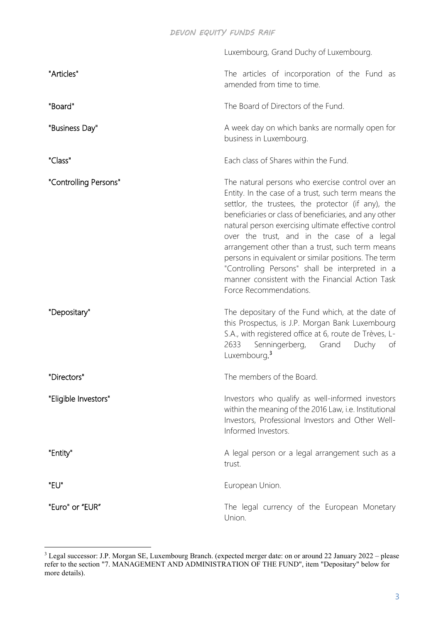|                       | Luxembourg, Grand Duchy of Luxembourg.                                                                                                                                                                                                                                                                                                                                                                                                                                                                                                                                    |
|-----------------------|---------------------------------------------------------------------------------------------------------------------------------------------------------------------------------------------------------------------------------------------------------------------------------------------------------------------------------------------------------------------------------------------------------------------------------------------------------------------------------------------------------------------------------------------------------------------------|
| "Articles"            | The articles of incorporation of the Fund as<br>amended from time to time.                                                                                                                                                                                                                                                                                                                                                                                                                                                                                                |
| "Board"               | The Board of Directors of the Fund.                                                                                                                                                                                                                                                                                                                                                                                                                                                                                                                                       |
| "Business Day"        | A week day on which banks are normally open for<br>business in Luxembourg.                                                                                                                                                                                                                                                                                                                                                                                                                                                                                                |
| "Class"               | Each class of Shares within the Fund.                                                                                                                                                                                                                                                                                                                                                                                                                                                                                                                                     |
| "Controlling Persons" | The natural persons who exercise control over an<br>Entity. In the case of a trust, such term means the<br>settlor, the trustees, the protector (if any), the<br>beneficiaries or class of beneficiaries, and any other<br>natural person exercising ultimate effective control<br>over the trust, and in the case of a legal<br>arrangement other than a trust, such term means<br>persons in equivalent or similar positions. The term<br>"Controlling Persons" shall be interpreted in a<br>manner consistent with the Financial Action Task<br>Force Recommendations. |
| "Depositary"          | The depositary of the Fund which, at the date of<br>this Prospectus, is J.P. Morgan Bank Luxembourg<br>S.A., with registered office at 6, route de Trèves, L-<br>2633<br>Senningerberg, Grand<br>Duchy<br>of<br>Luxembourg. <sup>3</sup>                                                                                                                                                                                                                                                                                                                                  |
| "Directors"           | The members of the Board.                                                                                                                                                                                                                                                                                                                                                                                                                                                                                                                                                 |
| "Eligible Investors"  | Investors who qualify as well-informed investors<br>within the meaning of the 2016 Law, i.e. Institutional<br>Investors, Professional Investors and Other Well-<br>Informed Investors.                                                                                                                                                                                                                                                                                                                                                                                    |
| "Entity"              | A legal person or a legal arrangement such as a<br>trust.                                                                                                                                                                                                                                                                                                                                                                                                                                                                                                                 |
| "EU"                  | European Union.                                                                                                                                                                                                                                                                                                                                                                                                                                                                                                                                                           |
| "Euro" or "EUR"       | The legal currency of the European Monetary<br>Union.                                                                                                                                                                                                                                                                                                                                                                                                                                                                                                                     |

<span id="page-10-0"></span><sup>&</sup>lt;sup>3</sup> Legal successor: J.P. Morgan SE, Luxembourg Branch. (expected merger date: on or around 22 January 2022 – please refer to the section "7. MANAGEMENT AND ADMINISTRATION OF THE FUND", item "Depositary" below for more details).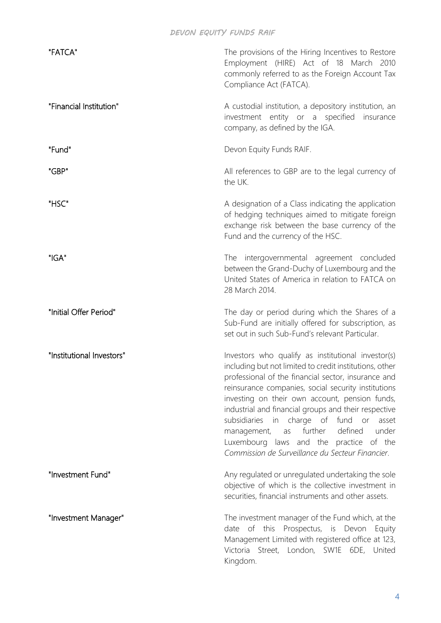| "FATCA"                   | The provisions of the Hiring Incentives to Restore<br>Employment (HIRE) Act of 18 March 2010<br>commonly referred to as the Foreign Account Tax<br>Compliance Act (FATCA).                                                                                                                                                                                                                                                                                                                                                             |
|---------------------------|----------------------------------------------------------------------------------------------------------------------------------------------------------------------------------------------------------------------------------------------------------------------------------------------------------------------------------------------------------------------------------------------------------------------------------------------------------------------------------------------------------------------------------------|
| "Financial Institution"   | A custodial institution, a depository institution, an<br>investment entity or a specified<br>insurance<br>company, as defined by the IGA.                                                                                                                                                                                                                                                                                                                                                                                              |
| "Fund"                    | Devon Equity Funds RAIF.                                                                                                                                                                                                                                                                                                                                                                                                                                                                                                               |
| "GBP"                     | All references to GBP are to the legal currency of<br>the UK.                                                                                                                                                                                                                                                                                                                                                                                                                                                                          |
| "HSC"                     | A designation of a Class indicating the application<br>of hedging techniques aimed to mitigate foreign<br>exchange risk between the base currency of the<br>Fund and the currency of the HSC.                                                                                                                                                                                                                                                                                                                                          |
| "IGA"                     | The intergovernmental agreement concluded<br>between the Grand-Duchy of Luxembourg and the<br>United States of America in relation to FATCA on<br>28 March 2014.                                                                                                                                                                                                                                                                                                                                                                       |
| "Initial Offer Period"    | The day or period during which the Shares of a<br>Sub-Fund are initially offered for subscription, as<br>set out in such Sub-Fund's relevant Particular.                                                                                                                                                                                                                                                                                                                                                                               |
| "Institutional Investors" | Investors who qualify as institutional investor(s)<br>including but not limited to credit institutions, other<br>professional of the financial sector, insurance and<br>reinsurance companies, social security institutions<br>investing on their own account, pension funds,<br>industrial and financial groups and their respective<br>subsidiaries in charge of fund or<br>asset<br>further<br>defined<br>under<br>management,<br>as<br>Luxembourg laws and the practice of the<br>Commission de Surveillance du Secteur Financier. |
| "Investment Fund"         | Any regulated or unregulated undertaking the sole<br>objective of which is the collective investment in<br>securities, financial instruments and other assets.                                                                                                                                                                                                                                                                                                                                                                         |
| "Investment Manager"      | The investment manager of the Fund which, at the<br>of this<br>Prospectus, is Devon<br>date<br>Equity<br>Management Limited with registered office at 123,<br>Victoria Street, London, SW1E 6DE, United<br>Kingdom.                                                                                                                                                                                                                                                                                                                    |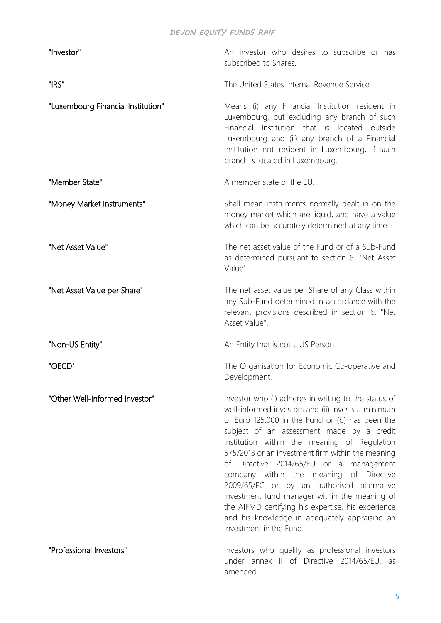| "Investor"                         | An investor who desires to subscribe or has<br>subscribed to Shares.                                                                                                                                                                                                                                                                                                                                                                                                                                                                                                                                                                   |
|------------------------------------|----------------------------------------------------------------------------------------------------------------------------------------------------------------------------------------------------------------------------------------------------------------------------------------------------------------------------------------------------------------------------------------------------------------------------------------------------------------------------------------------------------------------------------------------------------------------------------------------------------------------------------------|
| "IRS"                              | The United States Internal Revenue Service.                                                                                                                                                                                                                                                                                                                                                                                                                                                                                                                                                                                            |
| "Luxembourg Financial Institution" | Means (i) any Financial Institution resident in<br>Luxembourg, but excluding any branch of such<br>Financial Institution that is located outside<br>Luxembourg and (ii) any branch of a Financial<br>Institution not resident in Luxembourg, if such<br>branch is located in Luxembourg.                                                                                                                                                                                                                                                                                                                                               |
| "Member State"                     | A member state of the EU.                                                                                                                                                                                                                                                                                                                                                                                                                                                                                                                                                                                                              |
| "Money Market Instruments"         | Shall mean instruments normally dealt in on the<br>money market which are liquid, and have a value<br>which can be accurately determined at any time.                                                                                                                                                                                                                                                                                                                                                                                                                                                                                  |
| "Net Asset Value"                  | The net asset value of the Fund or of a Sub-Fund<br>as determined pursuant to section 6. "Net Asset<br>Value".                                                                                                                                                                                                                                                                                                                                                                                                                                                                                                                         |
| "Net Asset Value per Share"        | The net asset value per Share of any Class within<br>any Sub-Fund determined in accordance with the<br>relevant provisions described in section 6. "Net<br>Asset Value".                                                                                                                                                                                                                                                                                                                                                                                                                                                               |
| "Non-US Entity"                    | An Entity that is not a US Person.                                                                                                                                                                                                                                                                                                                                                                                                                                                                                                                                                                                                     |
| "OECD"                             | The Organisation for Economic Co-operative and<br>Development.                                                                                                                                                                                                                                                                                                                                                                                                                                                                                                                                                                         |
| "Other Well-Informed Investor"     | Investor who (i) adheres in writing to the status of<br>well-informed investors and (ii) invests a minimum<br>of Euro 125,000 in the Fund or (b) has been the<br>subject of an assessment made by a credit<br>institution within the meaning of Regulation<br>575/2013 or an investment firm within the meaning<br>of Directive 2014/65/EU or a management<br>company within the meaning of Directive<br>2009/65/EC or by an authorised alternative<br>investment fund manager within the meaning of<br>the AIFMD certifying his expertise, his experience<br>and his knowledge in adequately appraising an<br>investment in the Fund. |
| "Professional Investors"           | Investors who qualify as professional investors<br>under annex II of Directive 2014/65/EU, as<br>amended.                                                                                                                                                                                                                                                                                                                                                                                                                                                                                                                              |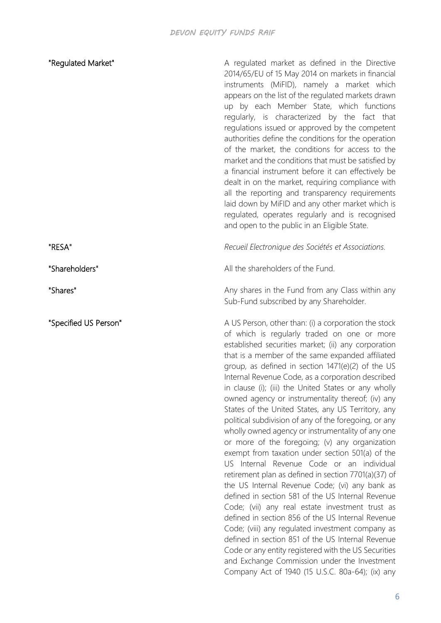| "Regulated Market"    | A regulated market as defined in the Directive<br>2014/65/EU of 15 May 2014 on markets in financial<br>instruments (MiFID), namely a market which<br>appears on the list of the regulated markets drawn<br>up by each Member State, which functions<br>regularly, is characterized by the fact that<br>regulations issued or approved by the competent<br>authorities define the conditions for the operation<br>of the market, the conditions for access to the<br>market and the conditions that must be satisfied by<br>a financial instrument before it can effectively be<br>dealt in on the market, requiring compliance with<br>all the reporting and transparency requirements<br>laid down by MiFID and any other market which is<br>regulated, operates regularly and is recognised<br>and open to the public in an Eligible State.                                                                                                                                                                                                                                                                                                                                                                                                                                                            |
|-----------------------|----------------------------------------------------------------------------------------------------------------------------------------------------------------------------------------------------------------------------------------------------------------------------------------------------------------------------------------------------------------------------------------------------------------------------------------------------------------------------------------------------------------------------------------------------------------------------------------------------------------------------------------------------------------------------------------------------------------------------------------------------------------------------------------------------------------------------------------------------------------------------------------------------------------------------------------------------------------------------------------------------------------------------------------------------------------------------------------------------------------------------------------------------------------------------------------------------------------------------------------------------------------------------------------------------------|
| "RESA"                | Recueil Electronique des Sociétés et Associations.                                                                                                                                                                                                                                                                                                                                                                                                                                                                                                                                                                                                                                                                                                                                                                                                                                                                                                                                                                                                                                                                                                                                                                                                                                                       |
| "Shareholders"        | All the shareholders of the Fund.                                                                                                                                                                                                                                                                                                                                                                                                                                                                                                                                                                                                                                                                                                                                                                                                                                                                                                                                                                                                                                                                                                                                                                                                                                                                        |
| "Shares"              | Any shares in the Fund from any Class within any<br>Sub-Fund subscribed by any Shareholder.                                                                                                                                                                                                                                                                                                                                                                                                                                                                                                                                                                                                                                                                                                                                                                                                                                                                                                                                                                                                                                                                                                                                                                                                              |
| "Specified US Person" | A US Person, other than: (i) a corporation the stock<br>of which is regularly traded on one or more<br>established securities market; (ii) any corporation<br>that is a member of the same expanded affiliated<br>group, as defined in section 1471(e)(2) of the US<br>Internal Revenue Code, as a corporation described<br>in clause (i); (iii) the United States or any wholly<br>owned agency or instrumentality thereof; (iv) any<br>States of the United States, any US Territory, any<br>political subdivision of any of the foregoing, or any<br>wholly owned agency or instrumentality of any one<br>or more of the foregoing; (v) any organization<br>exempt from taxation under section 501(a) of the<br>US Internal Revenue Code or an individual<br>retirement plan as defined in section 7701(a)(37) of<br>the US Internal Revenue Code; (vi) any bank as<br>defined in section 581 of the US Internal Revenue<br>Code; (vii) any real estate investment trust as<br>defined in section 856 of the US Internal Revenue<br>Code; (viii) any regulated investment company as<br>defined in section 851 of the US Internal Revenue<br>Code or any entity registered with the US Securities<br>and Exchange Commission under the Investment<br>Company Act of 1940 (15 U.S.C. 80a-64); (ix) any |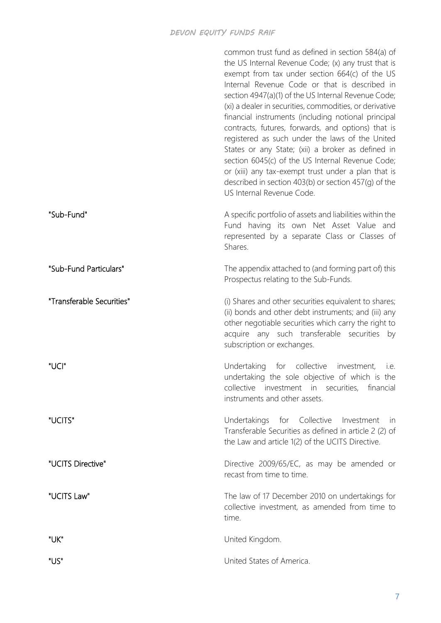|                           | common trust fund as defined in section 584(a) of<br>the US Internal Revenue Code; (x) any trust that is<br>exempt from tax under section 664(c) of the US<br>Internal Revenue Code or that is described in<br>section 4947(a)(1) of the US Internal Revenue Code;<br>(xi) a dealer in securities, commodities, or derivative<br>financial instruments (including notional principal<br>contracts, futures, forwards, and options) that is<br>registered as such under the laws of the United<br>States or any State; (xii) a broker as defined in<br>section 6045(c) of the US Internal Revenue Code;<br>or (xiii) any tax-exempt trust under a plan that is<br>described in section 403(b) or section 457(g) of the<br>US Internal Revenue Code. |
|---------------------------|----------------------------------------------------------------------------------------------------------------------------------------------------------------------------------------------------------------------------------------------------------------------------------------------------------------------------------------------------------------------------------------------------------------------------------------------------------------------------------------------------------------------------------------------------------------------------------------------------------------------------------------------------------------------------------------------------------------------------------------------------|
| "Sub-Fund"                | A specific portfolio of assets and liabilities within the<br>Fund having its own Net Asset Value and<br>represented by a separate Class or Classes of<br>Shares.                                                                                                                                                                                                                                                                                                                                                                                                                                                                                                                                                                                   |
| "Sub-Fund Particulars"    | The appendix attached to (and forming part of) this<br>Prospectus relating to the Sub-Funds.                                                                                                                                                                                                                                                                                                                                                                                                                                                                                                                                                                                                                                                       |
| "Transferable Securities" | (i) Shares and other securities equivalent to shares;<br>(ii) bonds and other debt instruments; and (iii) any<br>other negotiable securities which carry the right to<br>acquire any such transferable securities by<br>subscription or exchanges.                                                                                                                                                                                                                                                                                                                                                                                                                                                                                                 |
| "UCI"                     | Undertaking<br>for collective<br>investment,<br>i.e.<br>undertaking the sole objective of which is the<br>collective investment in securities, financial<br>instruments and other assets.                                                                                                                                                                                                                                                                                                                                                                                                                                                                                                                                                          |
| "UCITS"                   | Undertakings for Collective Investment<br>in in<br>Transferable Securities as defined in article 2 (2) of<br>the Law and article 1(2) of the UCITS Directive.                                                                                                                                                                                                                                                                                                                                                                                                                                                                                                                                                                                      |
| "UCITS Directive"         | Directive 2009/65/EC, as may be amended or<br>recast from time to time.                                                                                                                                                                                                                                                                                                                                                                                                                                                                                                                                                                                                                                                                            |
| "UCITS Law"               | The law of 17 December 2010 on undertakings for<br>collective investment, as amended from time to<br>time.                                                                                                                                                                                                                                                                                                                                                                                                                                                                                                                                                                                                                                         |
| "UK"                      | United Kingdom.                                                                                                                                                                                                                                                                                                                                                                                                                                                                                                                                                                                                                                                                                                                                    |
| "US"                      | United States of America.                                                                                                                                                                                                                                                                                                                                                                                                                                                                                                                                                                                                                                                                                                                          |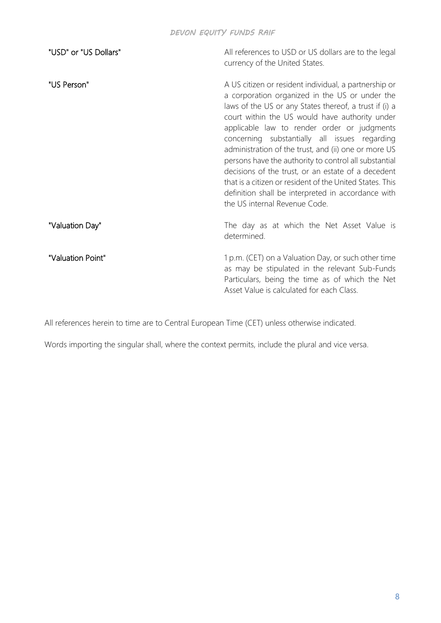| "USD" or "US Dollars" | All references to USD or US dollars are to the legal<br>currency of the United States.                                                                                                                                                                                                                                                                                                                                                                                                                                                                                                                                                        |
|-----------------------|-----------------------------------------------------------------------------------------------------------------------------------------------------------------------------------------------------------------------------------------------------------------------------------------------------------------------------------------------------------------------------------------------------------------------------------------------------------------------------------------------------------------------------------------------------------------------------------------------------------------------------------------------|
| "US Person"           | A US citizen or resident individual, a partnership or<br>a corporation organized in the US or under the<br>laws of the US or any States thereof, a trust if (i) a<br>court within the US would have authority under<br>applicable law to render order or judgments<br>concerning substantially all issues regarding<br>administration of the trust, and (ii) one or more US<br>persons have the authority to control all substantial<br>decisions of the trust, or an estate of a decedent<br>that is a citizen or resident of the United States. This<br>definition shall be interpreted in accordance with<br>the US internal Revenue Code. |
| "Valuation Day"       | The day as at which the Net Asset Value is<br>determined.                                                                                                                                                                                                                                                                                                                                                                                                                                                                                                                                                                                     |
| "Valuation Point"     | 1 p.m. (CET) on a Valuation Day, or such other time<br>as may be stipulated in the relevant Sub-Funds<br>Particulars, being the time as of which the Net<br>Asset Value is calculated for each Class.                                                                                                                                                                                                                                                                                                                                                                                                                                         |

All references herein to time are to Central European Time (CET) unless otherwise indicated.

Words importing the singular shall, where the context permits, include the plural and vice versa.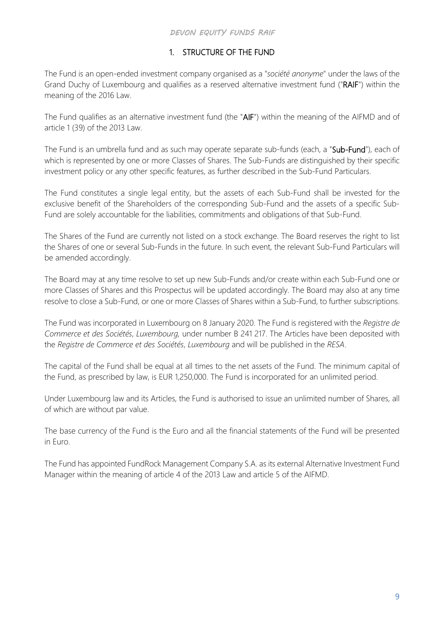## 1. STRUCTURE OF THE FUND

<span id="page-16-0"></span>The Fund is an open-ended investment company organised as a "*société anonyme*" under the laws of the Grand Duchy of Luxembourg and qualifies as a reserved alternative investment fund ("RAIF") within the meaning of the 2016 Law.

The Fund qualifies as an alternative investment fund (the "AIF") within the meaning of the AIFMD and of article 1 (39) of the 2013 Law.

The Fund is an umbrella fund and as such may operate separate sub-funds (each, a "Sub-Fund"), each of which is represented by one or more Classes of Shares. The Sub-Funds are distinguished by their specific investment policy or any other specific features, as further described in the Sub-Fund Particulars.

The Fund constitutes a single legal entity, but the assets of each Sub-Fund shall be invested for the exclusive benefit of the Shareholders of the corresponding Sub-Fund and the assets of a specific Sub-Fund are solely accountable for the liabilities, commitments and obligations of that Sub-Fund.

The Shares of the Fund are currently not listed on a stock exchange. The Board reserves the right to list the Shares of one or several Sub-Funds in the future. In such event, the relevant Sub-Fund Particulars will be amended accordingly.

The Board may at any time resolve to set up new Sub-Funds and/or create within each Sub-Fund one or more Classes of Shares and this Prospectus will be updated accordingly. The Board may also at any time resolve to close a Sub-Fund, or one or more Classes of Shares within a Sub-Fund, to further subscriptions.

The Fund was incorporated in Luxembourg on 8 January 2020. The Fund is registered with the *Registre de Commerce et des Sociétés*, *Luxembourg,* under number B 241 217. The Articles have been deposited with the *Registre de Commerce et des Sociétés*, *Luxembourg* and will be published in the *RESA*.

The capital of the Fund shall be equal at all times to the net assets of the Fund. The minimum capital of the Fund, as prescribed by law, is EUR 1,250,000. The Fund is incorporated for an unlimited period.

Under Luxembourg law and its Articles, the Fund is authorised to issue an unlimited number of Shares, all of which are without par value.

The base currency of the Fund is the Euro and all the financial statements of the Fund will be presented in Euro.

The Fund has appointed FundRock Management Company S.A. as its external Alternative Investment Fund Manager within the meaning of article 4 of the 2013 Law and article 5 of the AIFMD.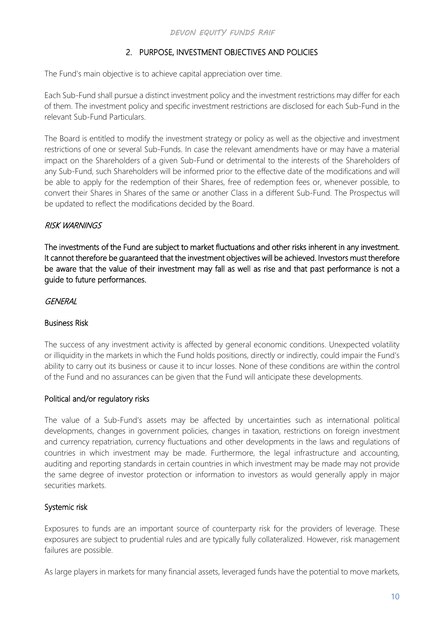## 2. PURPOSE, INVESTMENT OBJECTIVES AND POLICIES

<span id="page-17-0"></span>The Fund's main objective is to achieve capital appreciation over time.

Each Sub-Fund shall pursue a distinct investment policy and the investment restrictions may differ for each of them. The investment policy and specific investment restrictions are disclosed for each Sub-Fund in the relevant Sub-Fund Particulars.

The Board is entitled to modify the investment strategy or policy as well as the objective and investment restrictions of one or several Sub-Funds. In case the relevant amendments have or may have a material impact on the Shareholders of a given Sub-Fund or detrimental to the interests of the Shareholders of any Sub-Fund, such Shareholders will be informed prior to the effective date of the modifications and will be able to apply for the redemption of their Shares, free of redemption fees or, whenever possible, to convert their Shares in Shares of the same or another Class in a different Sub-Fund. The Prospectus will be updated to reflect the modifications decided by the Board.

## <span id="page-17-1"></span>RISK WARNINGS

The investments of the Fund are subject to market fluctuations and other risks inherent in any investment. It cannot therefore be guaranteed that the investment objectives will be achieved. Investors must therefore be aware that the value of their investment may fall as well as rise and that past performance is not a guide to future performances.

## <span id="page-17-2"></span>**GENERAL**

## <span id="page-17-3"></span>Business Risk

The success of any investment activity is affected by general economic conditions. Unexpected volatility or illiquidity in the markets in which the Fund holds positions, directly or indirectly, could impair the Fund's ability to carry out its business or cause it to incur losses. None of these conditions are within the control of the Fund and no assurances can be given that the Fund will anticipate these developments.

## <span id="page-17-4"></span>Political and/or regulatory risks

The value of a Sub-Fund's assets may be affected by uncertainties such as international political developments, changes in government policies, changes in taxation, restrictions on foreign investment and currency repatriation, currency fluctuations and other developments in the laws and regulations of countries in which investment may be made. Furthermore, the legal infrastructure and accounting, auditing and reporting standards in certain countries in which investment may be made may not provide the same degree of investor protection or information to investors as would generally apply in major securities markets.

## <span id="page-17-5"></span>Systemic risk

Exposures to funds are an important source of counterparty risk for the providers of leverage. These exposures are subject to prudential rules and are typically fully collateralized. However, risk management failures are possible.

As large players in markets for many financial assets, leveraged funds have the potential to move markets,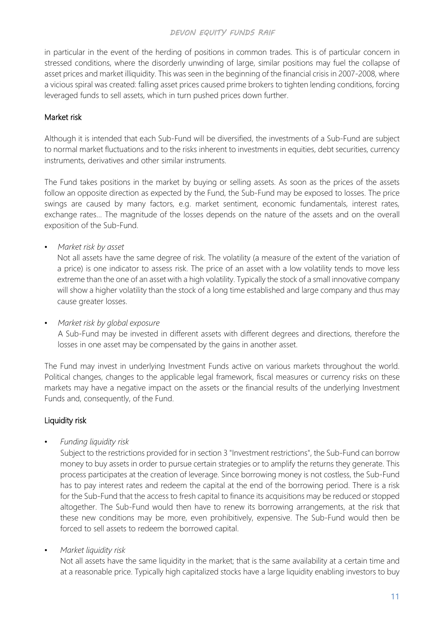in particular in the event of the herding of positions in common trades. This is of particular concern in stressed conditions, where the disorderly unwinding of large, similar positions may fuel the collapse of asset prices and market illiquidity. This was seen in the beginning of the financial crisis in 2007-2008, where a vicious spiral was created: falling asset prices caused prime brokers to tighten lending conditions, forcing leveraged funds to sell assets, which in turn pushed prices down further.

## <span id="page-18-0"></span>Market risk

Although it is intended that each Sub-Fund will be diversified, the investments of a Sub-Fund are subject to normal market fluctuations and to the risks inherent to investments in equities, debt securities, currency instruments, derivatives and other similar instruments.

The Fund takes positions in the market by buying or selling assets. As soon as the prices of the assets follow an opposite direction as expected by the Fund, the Sub-Fund may be exposed to losses. The price swings are caused by many factors, e.g. market sentiment, economic fundamentals, interest rates, exchange rates… The magnitude of the losses depends on the nature of the assets and on the overall exposition of the Sub-Fund.

• *Market risk by asset*

Not all assets have the same degree of risk. The volatility (a measure of the extent of the variation of a price) is one indicator to assess risk. The price of an asset with a low volatility tends to move less extreme than the one of an asset with a high volatility. Typically the stock of a small innovative company will show a higher volatility than the stock of a long time established and large company and thus may cause greater losses.

• *Market risk by global exposure*

A Sub-Fund may be invested in different assets with different degrees and directions, therefore the losses in one asset may be compensated by the gains in another asset.

The Fund may invest in underlying Investment Funds active on various markets throughout the world. Political changes, changes to the applicable legal framework, fiscal measures or currency risks on these markets may have a negative impact on the assets or the financial results of the underlying Investment Funds and, consequently, of the Fund.

## <span id="page-18-1"></span>Liquidity risk

• *Funding liquidity risk*

Subject to the restrictions provided for in section 3 "Investment restrictions", the Sub-Fund can borrow money to buy assets in order to pursue certain strategies or to amplify the returns they generate. This process participates at the creation of leverage. Since borrowing money is not costless, the Sub-Fund has to pay interest rates and redeem the capital at the end of the borrowing period. There is a risk for the Sub-Fund that the access to fresh capital to finance its acquisitions may be reduced or stopped altogether. The Sub-Fund would then have to renew its borrowing arrangements, at the risk that these new conditions may be more, even prohibitively, expensive. The Sub-Fund would then be forced to sell assets to redeem the borrowed capital.

• *Market liquidity risk*

Not all assets have the same liquidity in the market; that is the same availability at a certain time and at a reasonable price. Typically high capitalized stocks have a large liquidity enabling investors to buy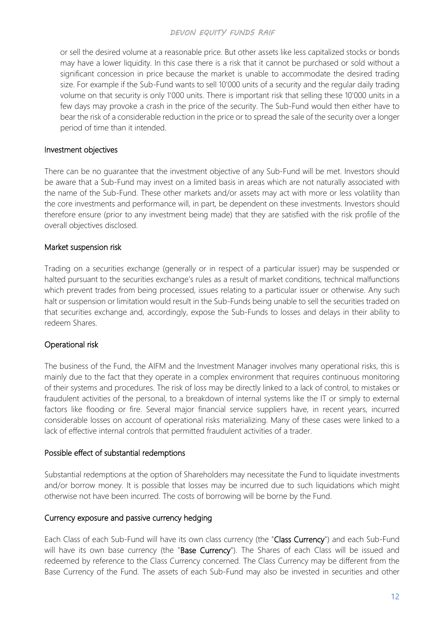or sell the desired volume at a reasonable price. But other assets like less capitalized stocks or bonds may have a lower liquidity. In this case there is a risk that it cannot be purchased or sold without a significant concession in price because the market is unable to accommodate the desired trading size. For example if the Sub-Fund wants to sell 10'000 units of a security and the regular daily trading volume on that security is only 1'000 units. There is important risk that selling these 10'000 units in a few days may provoke a crash in the price of the security. The Sub-Fund would then either have to bear the risk of a considerable reduction in the price or to spread the sale of the security over a longer period of time than it intended.

#### <span id="page-19-0"></span>Investment objectives

There can be no guarantee that the investment objective of any Sub-Fund will be met. Investors should be aware that a Sub-Fund may invest on a limited basis in areas which are not naturally associated with the name of the Sub-Fund. These other markets and/or assets may act with more or less volatility than the core investments and performance will, in part, be dependent on these investments. Investors should therefore ensure (prior to any investment being made) that they are satisfied with the risk profile of the overall objectives disclosed.

## <span id="page-19-1"></span>Market suspension risk

Trading on a securities exchange (generally or in respect of a particular issuer) may be suspended or halted pursuant to the securities exchange's rules as a result of market conditions, technical malfunctions which prevent trades from being processed, issues relating to a particular issuer or otherwise. Any such halt or suspension or limitation would result in the Sub-Funds being unable to sell the securities traded on that securities exchange and, accordingly, expose the Sub-Funds to losses and delays in their ability to redeem Shares.

## <span id="page-19-2"></span>Operational risk

The business of the Fund, the AIFM and the Investment Manager involves many operational risks, this is mainly due to the fact that they operate in a complex environment that requires continuous monitoring of their systems and procedures. The risk of loss may be directly linked to a lack of control, to mistakes or fraudulent activities of the personal, to a breakdown of internal systems like the IT or simply to external factors like flooding or fire. Several major financial service suppliers have, in recent years, incurred considerable losses on account of operational risks materializing. Many of these cases were linked to a lack of effective internal controls that permitted fraudulent activities of a trader.

#### <span id="page-19-3"></span>Possible effect of substantial redemptions

Substantial redemptions at the option of Shareholders may necessitate the Fund to liquidate investments and/or borrow money. It is possible that losses may be incurred due to such liquidations which might otherwise not have been incurred. The costs of borrowing will be borne by the Fund.

#### <span id="page-19-4"></span>Currency exposure and passive currency hedging

Each Class of each Sub-Fund will have its own class currency (the "Class Currency") and each Sub-Fund will have its own base currency (the "Base Currency"). The Shares of each Class will be issued and redeemed by reference to the Class Currency concerned. The Class Currency may be different from the Base Currency of the Fund. The assets of each Sub-Fund may also be invested in securities and other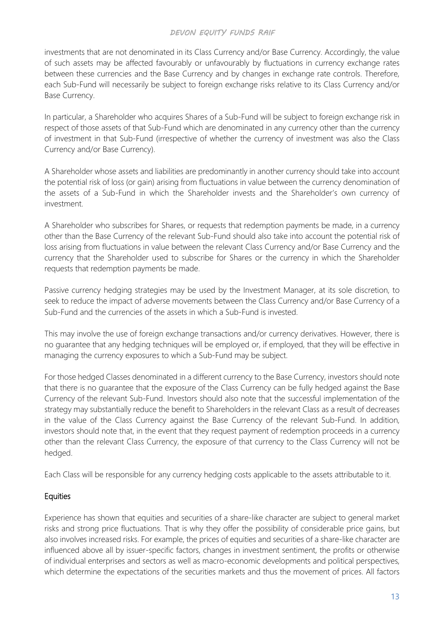investments that are not denominated in its Class Currency and/or Base Currency. Accordingly, the value of such assets may be affected favourably or unfavourably by fluctuations in currency exchange rates between these currencies and the Base Currency and by changes in exchange rate controls. Therefore, each Sub-Fund will necessarily be subject to foreign exchange risks relative to its Class Currency and/or Base Currency.

In particular, a Shareholder who acquires Shares of a Sub-Fund will be subject to foreign exchange risk in respect of those assets of that Sub-Fund which are denominated in any currency other than the currency of investment in that Sub-Fund (irrespective of whether the currency of investment was also the Class Currency and/or Base Currency).

A Shareholder whose assets and liabilities are predominantly in another currency should take into account the potential risk of loss (or gain) arising from fluctuations in value between the currency denomination of the assets of a Sub-Fund in which the Shareholder invests and the Shareholder's own currency of investment.

A Shareholder who subscribes for Shares, or requests that redemption payments be made, in a currency other than the Base Currency of the relevant Sub-Fund should also take into account the potential risk of loss arising from fluctuations in value between the relevant Class Currency and/or Base Currency and the currency that the Shareholder used to subscribe for Shares or the currency in which the Shareholder requests that redemption payments be made.

Passive currency hedging strategies may be used by the Investment Manager, at its sole discretion, to seek to reduce the impact of adverse movements between the Class Currency and/or Base Currency of a Sub-Fund and the currencies of the assets in which a Sub-Fund is invested.

This may involve the use of foreign exchange transactions and/or currency derivatives. However, there is no guarantee that any hedging techniques will be employed or, if employed, that they will be effective in managing the currency exposures to which a Sub-Fund may be subject.

For those hedged Classes denominated in a different currency to the Base Currency, investors should note that there is no guarantee that the exposure of the Class Currency can be fully hedged against the Base Currency of the relevant Sub-Fund. Investors should also note that the successful implementation of the strategy may substantially reduce the benefit to Shareholders in the relevant Class as a result of decreases in the value of the Class Currency against the Base Currency of the relevant Sub-Fund. In addition, investors should note that, in the event that they request payment of redemption proceeds in a currency other than the relevant Class Currency, the exposure of that currency to the Class Currency will not be hedged.

Each Class will be responsible for any currency hedging costs applicable to the assets attributable to it.

## <span id="page-20-0"></span>**Equities**

Experience has shown that equities and securities of a share-like character are subject to general market risks and strong price fluctuations. That is why they offer the possibility of considerable price gains, but also involves increased risks. For example, the prices of equities and securities of a share-like character are influenced above all by issuer-specific factors, changes in investment sentiment, the profits or otherwise of individual enterprises and sectors as well as macro-economic developments and political perspectives, which determine the expectations of the securities markets and thus the movement of prices. All factors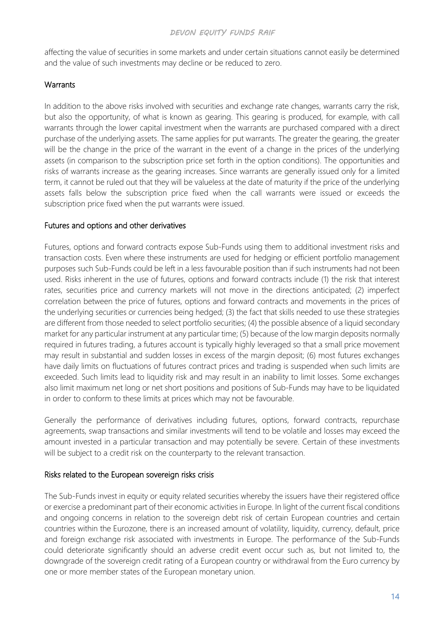affecting the value of securities in some markets and under certain situations cannot easily be determined and the value of such investments may decline or be reduced to zero.

## <span id="page-21-0"></span>**Warrants**

In addition to the above risks involved with securities and exchange rate changes, warrants carry the risk, but also the opportunity, of what is known as gearing. This gearing is produced, for example, with call warrants through the lower capital investment when the warrants are purchased compared with a direct purchase of the underlying assets. The same applies for put warrants. The greater the gearing, the greater will be the change in the price of the warrant in the event of a change in the prices of the underlying assets (in comparison to the subscription price set forth in the option conditions). The opportunities and risks of warrants increase as the gearing increases. Since warrants are generally issued only for a limited term, it cannot be ruled out that they will be valueless at the date of maturity if the price of the underlying assets falls below the subscription price fixed when the call warrants were issued or exceeds the subscription price fixed when the put warrants were issued.

## <span id="page-21-1"></span>Futures and options and other derivatives

Futures, options and forward contracts expose Sub-Funds using them to additional investment risks and transaction costs. Even where these instruments are used for hedging or efficient portfolio management purposes such Sub-Funds could be left in a less favourable position than if such instruments had not been used. Risks inherent in the use of futures, options and forward contracts include (1) the risk that interest rates, securities price and currency markets will not move in the directions anticipated; (2) imperfect correlation between the price of futures, options and forward contracts and movements in the prices of the underlying securities or currencies being hedged; (3) the fact that skills needed to use these strategies are different from those needed to select portfolio securities; (4) the possible absence of a liquid secondary market for any particular instrument at any particular time; (5) because of the low margin deposits normally required in futures trading, a futures account is typically highly leveraged so that a small price movement may result in substantial and sudden losses in excess of the margin deposit; (6) most futures exchanges have daily limits on fluctuations of futures contract prices and trading is suspended when such limits are exceeded. Such limits lead to liquidity risk and may result in an inability to limit losses. Some exchanges also limit maximum net long or net short positions and positions of Sub-Funds may have to be liquidated in order to conform to these limits at prices which may not be favourable.

Generally the performance of derivatives including futures, options, forward contracts, repurchase agreements, swap transactions and similar investments will tend to be volatile and losses may exceed the amount invested in a particular transaction and may potentially be severe. Certain of these investments will be subject to a credit risk on the counterparty to the relevant transaction.

## <span id="page-21-2"></span>Risks related to the European sovereign risks crisis

The Sub-Funds invest in equity or equity related securities whereby the issuers have their registered office or exercise a predominant part of their economic activities in Europe. In light of the current fiscal conditions and ongoing concerns in relation to the sovereign debt risk of certain European countries and certain countries within the Eurozone, there is an increased amount of volatility, liquidity, currency, default, price and foreign exchange risk associated with investments in Europe. The performance of the Sub-Funds could deteriorate significantly should an adverse credit event occur such as, but not limited to, the downgrade of the sovereign credit rating of a European country or withdrawal from the Euro currency by one or more member states of the European monetary union.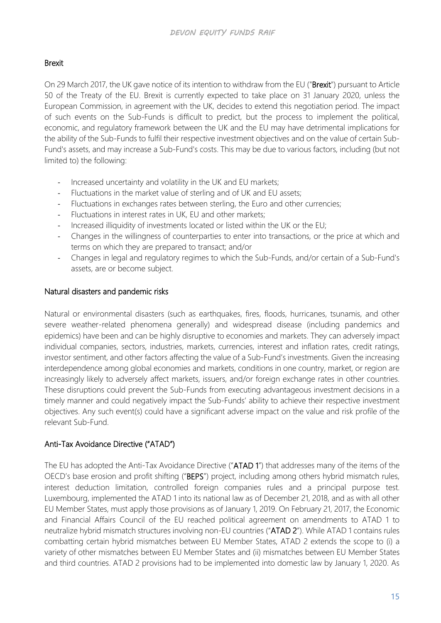## <span id="page-22-0"></span>Brexit

On 29 March 2017, the UK gave notice of its intention to withdraw from the EU ("Brexit") pursuant to Article 50 of the Treaty of the EU. Brexit is currently expected to take place on 31 January 2020, unless the European Commission, in agreement with the UK, decides to extend this negotiation period. The impact of such events on the Sub-Funds is difficult to predict, but the process to implement the political, economic, and regulatory framework between the UK and the EU may have detrimental implications for the ability of the Sub-Funds to fulfil their respective investment objectives and on the value of certain Sub-Fund's assets, and may increase a Sub-Fund's costs. This may be due to various factors, including (but not limited to) the following:

- Increased uncertainty and volatility in the UK and EU markets;
- Fluctuations in the market value of sterling and of UK and EU assets;
- Fluctuations in exchanges rates between sterling, the Euro and other currencies;
- Fluctuations in interest rates in UK, EU and other markets;
- Increased illiquidity of investments located or listed within the UK or the EU;
- Changes in the willingness of counterparties to enter into transactions, or the price at which and terms on which they are prepared to transact; and/or
- Changes in legal and regulatory regimes to which the Sub-Funds, and/or certain of a Sub-Fund's assets, are or become subject.

## <span id="page-22-1"></span>Natural disasters and pandemic risks

Natural or environmental disasters (such as earthquakes, fires, floods, hurricanes, tsunamis, and other severe weather-related phenomena generally) and widespread disease (including pandemics and epidemics) have been and can be highly disruptive to economies and markets. They can adversely impact individual companies, sectors, industries, markets, currencies, interest and inflation rates, credit ratings, investor sentiment, and other factors affecting the value of a Sub-Fund's investments. Given the increasing interdependence among global economies and markets, conditions in one country, market, or region are increasingly likely to adversely affect markets, issuers, and/or foreign exchange rates in other countries. These disruptions could prevent the Sub-Funds from executing advantageous investment decisions in a timely manner and could negatively impact the Sub-Funds' ability to achieve their respective investment objectives. Any such event(s) could have a significant adverse impact on the value and risk profile of the relevant Sub-Fund.

## <span id="page-22-2"></span>Anti-Tax Avoidance Directive ("ATAD")

The EU has adopted the Anti-Tax Avoidance Directive ("ATAD 1") that addresses many of the items of the OECD's base erosion and profit shifting ("BEPS") project, including among others hybrid mismatch rules, interest deduction limitation, controlled foreign companies rules and a principal purpose test. Luxembourg, implemented the ATAD 1 into its national law as of December 21, 2018, and as with all other EU Member States, must apply those provisions as of January 1, 2019. On February 21, 2017, the Economic and Financial Affairs Council of the EU reached political agreement on amendments to ATAD 1 to neutralize hybrid mismatch structures involving non-EU countries ("ATAD 2"). While ATAD 1 contains rules combatting certain hybrid mismatches between EU Member States, ATAD 2 extends the scope to (i) a variety of other mismatches between EU Member States and (ii) mismatches between EU Member States and third countries. ATAD 2 provisions had to be implemented into domestic law by January 1, 2020. As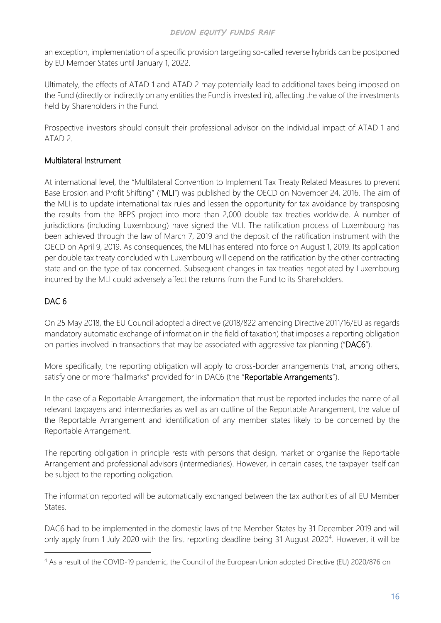an exception, implementation of a specific provision targeting so-called reverse hybrids can be postponed by EU Member States until January 1, 2022.

Ultimately, the effects of ATAD 1 and ATAD 2 may potentially lead to additional taxes being imposed on the Fund (directly or indirectly on any entities the Fund is invested in), affecting the value of the investments held by Shareholders in the Fund.

Prospective investors should consult their professional advisor on the individual impact of ATAD 1 and ATAD 2.

## <span id="page-23-0"></span>Multilateral Instrument

At international level, the "Multilateral Convention to Implement Tax Treaty Related Measures to prevent Base Erosion and Profit Shifting" ("MLI") was published by the OECD on November 24, 2016. The aim of the MLI is to update international tax rules and lessen the opportunity for tax avoidance by transposing the results from the BEPS project into more than 2,000 double tax treaties worldwide. A number of jurisdictions (including Luxembourg) have signed the MLI. The ratification process of Luxembourg has been achieved through the law of March 7, 2019 and the deposit of the ratification instrument with the OECD on April 9, 2019. As consequences, the MLI has entered into force on August 1, 2019. Its application per double tax treaty concluded with Luxembourg will depend on the ratification by the other contracting state and on the type of tax concerned. Subsequent changes in tax treaties negotiated by Luxembourg incurred by the MLI could adversely affect the returns from the Fund to its Shareholders.

## <span id="page-23-1"></span>DAC 6

On 25 May 2018, the EU Council adopted a directive (2018/822 amending Directive 2011/16/EU as regards mandatory automatic exchange of information in the field of taxation) that imposes a reporting obligation on parties involved in transactions that may be associated with aggressive tax planning ("DAC6").

More specifically, the reporting obligation will apply to cross-border arrangements that, among others, satisfy one or more "hallmarks" provided for in DAC6 (the "Reportable Arrangements").

In the case of a Reportable Arrangement, the information that must be reported includes the name of all relevant taxpayers and intermediaries as well as an outline of the Reportable Arrangement, the value of the Reportable Arrangement and identification of any member states likely to be concerned by the Reportable Arrangement.

The reporting obligation in principle rests with persons that design, market or organise the Reportable Arrangement and professional advisors (intermediaries). However, in certain cases, the taxpayer itself can be subject to the reporting obligation.

The information reported will be automatically exchanged between the tax authorities of all EU Member States.

DAC6 had to be implemented in the domestic laws of the Member States by 31 December 2019 and will only apply from 1 July 2020 with the first reporting deadline being 31 August 2020<sup>[4](#page-23-2)</sup>. However, it will be

<span id="page-23-2"></span><sup>4</sup> As a result of the COVID-19 pandemic, the Council of the European Union adopted Directive (EU) 2020/876 on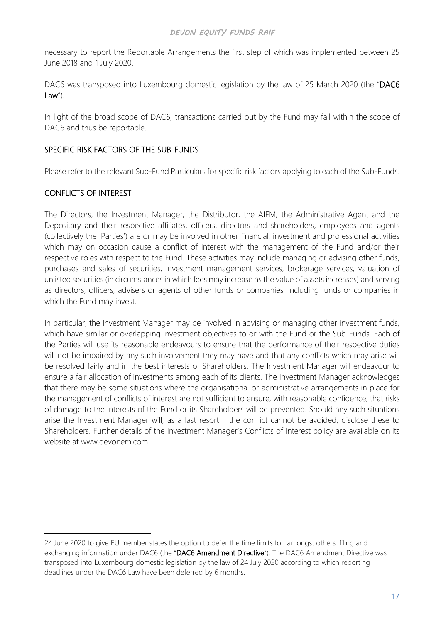necessary to report the Reportable Arrangements the first step of which was implemented between 25 June 2018 and 1 July 2020.

DAC6 was transposed into Luxembourg domestic legislation by the law of 25 March 2020 (the "DAC6 Law").

In light of the broad scope of DAC6, transactions carried out by the Fund may fall within the scope of DAC6 and thus be reportable.

## <span id="page-24-0"></span>SPECIFIC RISK FACTORS OF THE SUB-FUNDS

Please refer to the relevant Sub-Fund Particulars for specific risk factors applying to each of the Sub-Funds.

## <span id="page-24-1"></span>CONFLICTS OF INTEREST

The Directors, the Investment Manager, the Distributor, the AIFM, the Administrative Agent and the Depositary and their respective affiliates, officers, directors and shareholders, employees and agents (collectively the 'Parties') are or may be involved in other financial, investment and professional activities which may on occasion cause a conflict of interest with the management of the Fund and/or their respective roles with respect to the Fund. These activities may include managing or advising other funds, purchases and sales of securities, investment management services, brokerage services, valuation of unlisted securities (in circumstances in which fees may increase as the value of assets increases) and serving as directors, officers, advisers or agents of other funds or companies, including funds or companies in which the Fund may invest.

In particular, the Investment Manager may be involved in advising or managing other investment funds, which have similar or overlapping investment objectives to or with the Fund or the Sub-Funds. Each of the Parties will use its reasonable endeavours to ensure that the performance of their respective duties will not be impaired by any such involvement they may have and that any conflicts which may arise will be resolved fairly and in the best interests of Shareholders. The Investment Manager will endeavour to ensure a fair allocation of investments among each of its clients. The Investment Manager acknowledges that there may be some situations where the organisational or administrative arrangements in place for the management of conflicts of interest are not sufficient to ensure, with reasonable confidence, that risks of damage to the interests of the Fund or its Shareholders will be prevented. Should any such situations arise the Investment Manager will, as a last resort if the conflict cannot be avoided, disclose these to Shareholders. Further details of the Investment Manager's Conflicts of Interest policy are available on its website at www.devonem.com.

<sup>24</sup> June 2020 to give EU member states the option to defer the time limits for, amongst others, filing and exchanging information under DAC6 (the "DAC6 Amendment Directive"). The DAC6 Amendment Directive was transposed into Luxembourg domestic legislation by the law of 24 July 2020 according to which reporting deadlines under the DAC6 Law have been deferred by 6 months.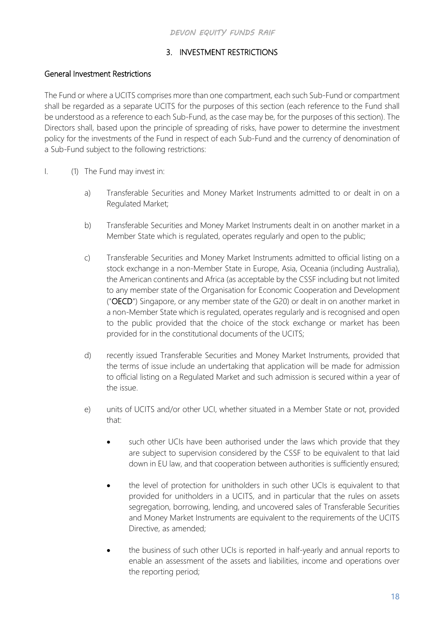## 3. INVESTMENT RESTRICTIONS

## <span id="page-25-1"></span><span id="page-25-0"></span>General Investment Restrictions

The Fund or where a UCITS comprises more than one compartment, each such Sub-Fund or compartment shall be regarded as a separate UCITS for the purposes of this section (each reference to the Fund shall be understood as a reference to each Sub-Fund, as the case may be, for the purposes of this section). The Directors shall, based upon the principle of spreading of risks, have power to determine the investment policy for the investments of the Fund in respect of each Sub-Fund and the currency of denomination of a Sub-Fund subject to the following restrictions:

- I. (1) The Fund may invest in:
	- a) Transferable Securities and Money Market Instruments admitted to or dealt in on a Regulated Market;
	- b) Transferable Securities and Money Market Instruments dealt in on another market in a Member State which is regulated, operates regularly and open to the public;
	- c) Transferable Securities and Money Market Instruments admitted to official listing on a stock exchange in a non-Member State in Europe, Asia, Oceania (including Australia), the American continents and Africa (as acceptable by the CSSF including but not limited to any member state of the Organisation for Economic Cooperation and Development ("OECD") Singapore, or any member state of the G20) or dealt in on another market in a non-Member State which is regulated, operates regularly and is recognised and open to the public provided that the choice of the stock exchange or market has been provided for in the constitutional documents of the UCITS;
	- d) recently issued Transferable Securities and Money Market Instruments, provided that the terms of issue include an undertaking that application will be made for admission to official listing on a Regulated Market and such admission is secured within a year of the issue.
	- e) units of UCITS and/or other UCI, whether situated in a Member State or not, provided that:
		- such other UCIs have been authorised under the laws which provide that they are subject to supervision considered by the CSSF to be equivalent to that laid down in EU law, and that cooperation between authorities is sufficiently ensured;
		- the level of protection for unitholders in such other UCIs is equivalent to that provided for unitholders in a UCITS, and in particular that the rules on assets segregation, borrowing, lending, and uncovered sales of Transferable Securities and Money Market Instruments are equivalent to the requirements of the UCITS Directive, as amended;
		- the business of such other UCIs is reported in half-yearly and annual reports to enable an assessment of the assets and liabilities, income and operations over the reporting period;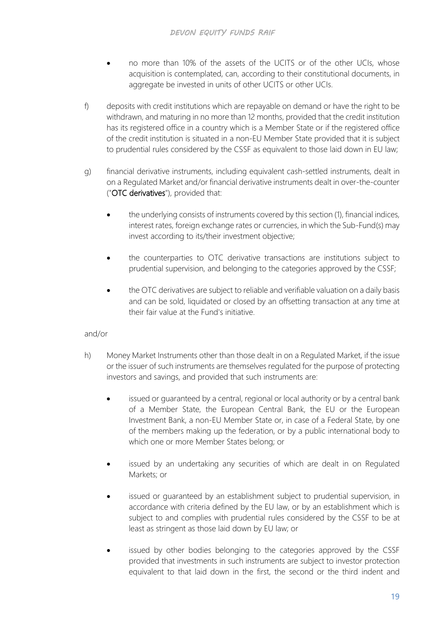- no more than 10% of the assets of the UCITS or of the other UCIs, whose acquisition is contemplated, can, according to their constitutional documents, in aggregate be invested in units of other UCITS or other UCIs.
- f) deposits with credit institutions which are repayable on demand or have the right to be withdrawn, and maturing in no more than 12 months, provided that the credit institution has its registered office in a country which is a Member State or if the registered office of the credit institution is situated in a non-EU Member State provided that it is subject to prudential rules considered by the CSSF as equivalent to those laid down in EU law;
- g) financial derivative instruments, including equivalent cash-settled instruments, dealt in on a Regulated Market and/or financial derivative instruments dealt in over-the-counter ("OTC derivatives"), provided that:
	- the underlying consists of instruments covered by this section (1), financial indices, interest rates, foreign exchange rates or currencies, in which the Sub-Fund(s) may invest according to its/their investment objective;
	- the counterparties to OTC derivative transactions are institutions subject to prudential supervision, and belonging to the categories approved by the CSSF;
	- the OTC derivatives are subject to reliable and verifiable valuation on a daily basis and can be sold, liquidated or closed by an offsetting transaction at any time at their fair value at the Fund's initiative.

## and/or

- h) Money Market Instruments other than those dealt in on a Regulated Market, if the issue or the issuer of such instruments are themselves regulated for the purpose of protecting investors and savings, and provided that such instruments are:
	- issued or quaranteed by a central, regional or local authority or by a central bank of a Member State, the European Central Bank, the EU or the European Investment Bank, a non-EU Member State or, in case of a Federal State, by one of the members making up the federation, or by a public international body to which one or more Member States belong; or
	- issued by an undertaking any securities of which are dealt in on Regulated Markets; or
	- issued or quaranteed by an establishment subject to prudential supervision, in accordance with criteria defined by the EU law, or by an establishment which is subject to and complies with prudential rules considered by the CSSF to be at least as stringent as those laid down by EU law; or
	- issued by other bodies belonging to the categories approved by the CSSF provided that investments in such instruments are subject to investor protection equivalent to that laid down in the first, the second or the third indent and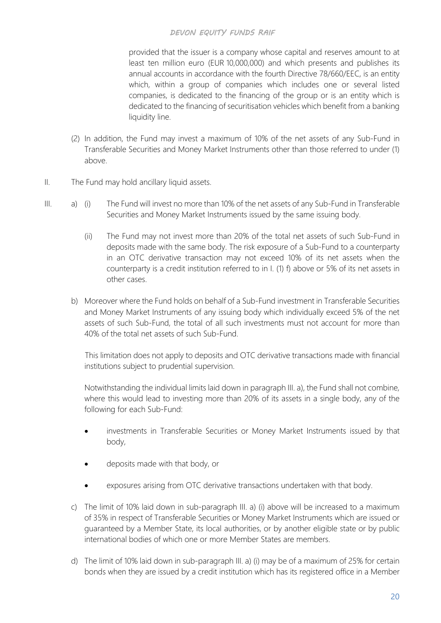provided that the issuer is a company whose capital and reserves amount to at least ten million euro (EUR 10,000,000) and which presents and publishes its annual accounts in accordance with the fourth Directive 78/660/EEC, is an entity which, within a group of companies which includes one or several listed companies, is dedicated to the financing of the group or is an entity which is dedicated to the financing of securitisation vehicles which benefit from a banking liquidity line.

- (2) In addition, the Fund may invest a maximum of 10% of the net assets of any Sub-Fund in Transferable Securities and Money Market Instruments other than those referred to under (1) above.
- II. The Fund may hold ancillary liquid assets.
- III. a) (i) The Fund will invest no more than 10% of the net assets of any Sub-Fund in Transferable Securities and Money Market Instruments issued by the same issuing body.
	- (ii) The Fund may not invest more than 20% of the total net assets of such Sub-Fund in deposits made with the same body. The risk exposure of a Sub-Fund to a counterparty in an OTC derivative transaction may not exceed 10% of its net assets when the counterparty is a credit institution referred to in I. (1) f) above or 5% of its net assets in other cases.
	- b) Moreover where the Fund holds on behalf of a Sub-Fund investment in Transferable Securities and Money Market Instruments of any issuing body which individually exceed 5% of the net assets of such Sub-Fund, the total of all such investments must not account for more than 40% of the total net assets of such Sub-Fund.

This limitation does not apply to deposits and OTC derivative transactions made with financial institutions subject to prudential supervision.

Notwithstanding the individual limits laid down in paragraph III. a), the Fund shall not combine, where this would lead to investing more than 20% of its assets in a single body, any of the following for each Sub-Fund:

- investments in Transferable Securities or Money Market Instruments issued by that body,
- deposits made with that body, or
- exposures arising from OTC derivative transactions undertaken with that body.
- c) The limit of 10% laid down in sub-paragraph III. a) (i) above will be increased to a maximum of 35% in respect of Transferable Securities or Money Market Instruments which are issued or guaranteed by a Member State, its local authorities, or by another eligible state or by public international bodies of which one or more Member States are members.
- d) The limit of 10% laid down in sub-paragraph III. a) (i) may be of a maximum of 25% for certain bonds when they are issued by a credit institution which has its registered office in a Member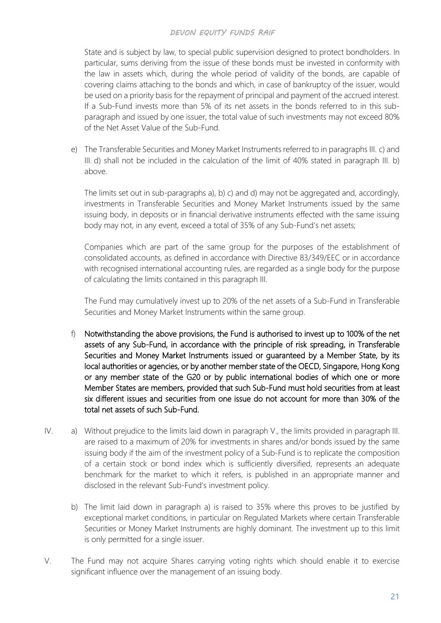State and is subject by law, to special public supervision designed to protect bondholders. In particular, sums deriving from the issue of these bonds must be invested in conformity with the law in assets which, during the whole period of validity of the bonds, are capable of covering claims attaching to the bonds and which, in case of bankruptcy of the issuer, would be used on a priority basis for the repayment of principal and payment of the accrued interest. If a Sub-Fund invests more than 5% of its net assets in the bonds referred to in this subparagraph and issued by one issuer, the total value of such investments may not exceed 80% of the Net Asset Value of the Sub-Fund.

e) The Transferable Securities and Money Market Instruments referred to in paragraphs III. c) and III. d) shall not be included in the calculation of the limit of 40% stated in paragraph III. b) above.

The limits set out in sub-paragraphs a), b) c) and d) may not be aggregated and, accordingly, investments in Transferable Securities and Money Market Instruments issued by the same issuing body, in deposits or in financial derivative instruments effected with the same issuing body may not, in any event, exceed a total of 35% of any Sub-Fund's net assets;

Companies which are part of the same group for the purposes of the establishment of consolidated accounts, as defined in accordance with Directive 83/349/EEC or in accordance with recognised international accounting rules, are regarded as a single body for the purpose of calculating the limits contained in this paragraph III.

The Fund may cumulatively invest up to 20% of the net assets of a Sub-Fund in Transferable Securities and Money Market Instruments within the same group.

- f) Notwithstanding the above provisions, the Fund is authorised to invest up to 100% of the net assets of any Sub-Fund, in accordance with the principle of risk spreading, in Transferable Securities and Money Market Instruments issued or guaranteed by a Member State, by its local authorities or agencies, or by another member state of the OECD, Singapore, Hong Kong or any member state of the G20 or by public international bodies of which one or more Member States are members, provided that such Sub-Fund must hold securities from at least six different issues and securities from one issue do not account for more than 30% of the total net assets of such Sub-Fund.
- IV. a) Without prejudice to the limits laid down in paragraph V., the limits provided in paragraph III. are raised to a maximum of 20% for investments in shares and/or bonds issued by the same issuing body if the aim of the investment policy of a Sub-Fund is to replicate the composition of a certain stock or bond index which is sufficiently diversified, represents an adequate benchmark for the market to which it refers, is published in an appropriate manner and disclosed in the relevant Sub-Fund's investment policy.
	- b) The limit laid down in paragraph a) is raised to 35% where this proves to be justified by exceptional market conditions, in particular on Regulated Markets where certain Transferable Securities or Money Market Instruments are highly dominant. The investment up to this limit is only permitted for a single issuer.
- V. The Fund may not acquire Shares carrying voting rights which should enable it to exercise significant influence over the management of an issuing body.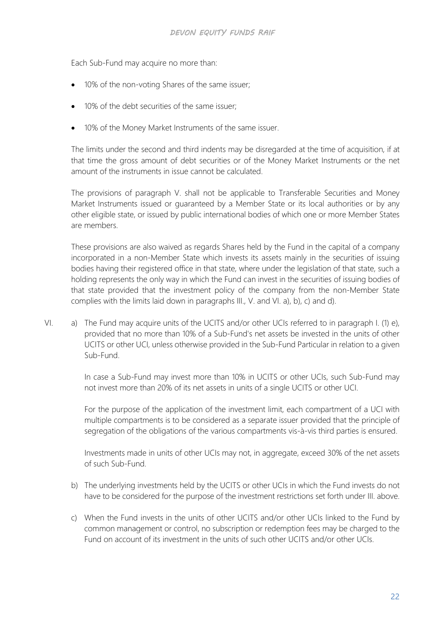Each Sub-Fund may acquire no more than:

- 10% of the non-voting Shares of the same issuer;
- 10% of the debt securities of the same issuer;
- 10% of the Money Market Instruments of the same issuer.

The limits under the second and third indents may be disregarded at the time of acquisition, if at that time the gross amount of debt securities or of the Money Market Instruments or the net amount of the instruments in issue cannot be calculated.

The provisions of paragraph V. shall not be applicable to Transferable Securities and Money Market Instruments issued or guaranteed by a Member State or its local authorities or by any other eligible state, or issued by public international bodies of which one or more Member States are members.

These provisions are also waived as regards Shares held by the Fund in the capital of a company incorporated in a non-Member State which invests its assets mainly in the securities of issuing bodies having their registered office in that state, where under the legislation of that state, such a holding represents the only way in which the Fund can invest in the securities of issuing bodies of that state provided that the investment policy of the company from the non-Member State complies with the limits laid down in paragraphs III., V. and VI. a), b), c) and d).

VI. a) The Fund may acquire units of the UCITS and/or other UCIs referred to in paragraph I. (1) e), provided that no more than 10% of a Sub-Fund's net assets be invested in the units of other UCITS or other UCI, unless otherwise provided in the Sub-Fund Particular in relation to a given Sub-Fund.

> In case a Sub-Fund may invest more than 10% in UCITS or other UCIs, such Sub-Fund may not invest more than 20% of its net assets in units of a single UCITS or other UCI.

> For the purpose of the application of the investment limit, each compartment of a UCI with multiple compartments is to be considered as a separate issuer provided that the principle of segregation of the obligations of the various compartments vis-à-vis third parties is ensured.

> Investments made in units of other UCIs may not, in aggregate, exceed 30% of the net assets of such Sub-Fund.

- b) The underlying investments held by the UCITS or other UCIs in which the Fund invests do not have to be considered for the purpose of the investment restrictions set forth under III. above.
- c) When the Fund invests in the units of other UCITS and/or other UCIs linked to the Fund by common management or control, no subscription or redemption fees may be charged to the Fund on account of its investment in the units of such other UCITS and/or other UCIs.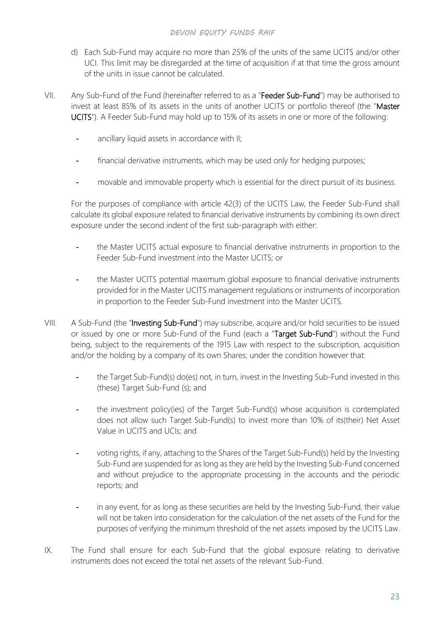- d) Each Sub-Fund may acquire no more than 25% of the units of the same UCITS and/or other UCI. This limit may be disregarded at the time of acquisition if at that time the gross amount of the units in issue cannot be calculated.
- VII. Any Sub-Fund of the Fund (hereinafter referred to as a "Feeder Sub-Fund") may be authorised to invest at least 85% of its assets in the units of another UCITS or portfolio thereof (the "Master UCITS"). A Feeder Sub-Fund may hold up to 15% of its assets in one or more of the following:
	- ancillary liquid assets in accordance with II;
	- financial derivative instruments, which may be used only for hedging purposes;
	- movable and immovable property which is essential for the direct pursuit of its business.

For the purposes of compliance with article 42(3) of the UCITS Law, the Feeder Sub-Fund shall calculate its global exposure related to financial derivative instruments by combining its own direct exposure under the second indent of the first sub-paragraph with either:

- the Master UCITS actual exposure to financial derivative instruments in proportion to the Feeder Sub-Fund investment into the Master UCITS; or
- the Master UCITS potential maximum global exposure to financial derivative instruments provided for in the Master UCITS management regulations or instruments of incorporation in proportion to the Feeder Sub-Fund investment into the Master UCITS.
- VIII. A Sub-Fund (the "Investing Sub-Fund") may subscribe, acquire and/or hold securities to be issued or issued by one or more Sub-Fund of the Fund (each a "Target Sub-Fund") without the Fund being, subject to the requirements of the 1915 Law with respect to the subscription, acquisition and/or the holding by a company of its own Shares; under the condition however that:
	- the Target Sub-Fund(s) do(es) not, in turn, invest in the Investing Sub-Fund invested in this (these) Target Sub-Fund (s); and
	- the investment policy(ies) of the Target Sub-Fund(s) whose acquisition is contemplated does not allow such Target Sub-Fund(s) to invest more than 10% of its(their) Net Asset Value in UCITS and UCIs; and
	- voting rights, if any, attaching to the Shares of the Target Sub-Fund(s) held by the Investing Sub-Fund are suspended for as long as they are held by the Investing Sub-Fund concerned and without prejudice to the appropriate processing in the accounts and the periodic reports; and
	- in any event, for as long as these securities are held by the Investing Sub-Fund, their value will not be taken into consideration for the calculation of the net assets of the Fund for the purposes of verifying the minimum threshold of the net assets imposed by the UCITS Law.
- IX. The Fund shall ensure for each Sub-Fund that the global exposure relating to derivative instruments does not exceed the total net assets of the relevant Sub-Fund.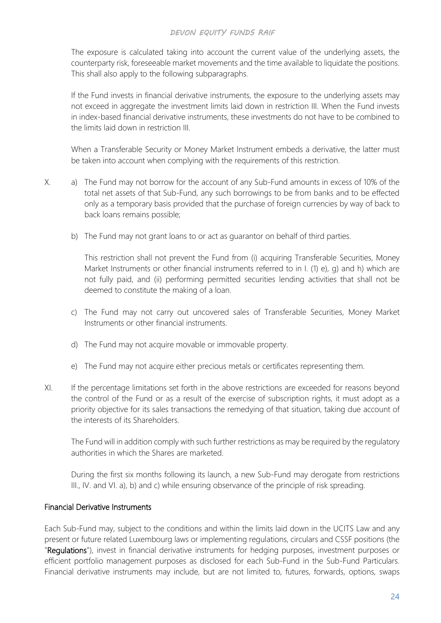The exposure is calculated taking into account the current value of the underlying assets, the counterparty risk, foreseeable market movements and the time available to liquidate the positions. This shall also apply to the following subparagraphs.

If the Fund invests in financial derivative instruments, the exposure to the underlying assets may not exceed in aggregate the investment limits laid down in restriction III. When the Fund invests in index-based financial derivative instruments, these investments do not have to be combined to the limits laid down in restriction III.

When a Transferable Security or Money Market Instrument embeds a derivative, the latter must be taken into account when complying with the requirements of this restriction.

- X. a) The Fund may not borrow for the account of any Sub-Fund amounts in excess of 10% of the total net assets of that Sub-Fund, any such borrowings to be from banks and to be effected only as a temporary basis provided that the purchase of foreign currencies by way of back to back loans remains possible;
	- b) The Fund may not grant loans to or act as guarantor on behalf of third parties.

This restriction shall not prevent the Fund from (i) acquiring Transferable Securities, Money Market Instruments or other financial instruments referred to in I. (1) e), g) and h) which are not fully paid, and (ii) performing permitted securities lending activities that shall not be deemed to constitute the making of a loan.

- c) The Fund may not carry out uncovered sales of Transferable Securities, Money Market Instruments or other financial instruments.
- d) The Fund may not acquire movable or immovable property.
- e) The Fund may not acquire either precious metals or certificates representing them.
- XI. If the percentage limitations set forth in the above restrictions are exceeded for reasons beyond the control of the Fund or as a result of the exercise of subscription rights, it must adopt as a priority objective for its sales transactions the remedying of that situation, taking due account of the interests of its Shareholders.

The Fund will in addition comply with such further restrictions as may be required by the regulatory authorities in which the Shares are marketed.

During the first six months following its launch, a new Sub-Fund may derogate from restrictions III., IV. and VI. a), b) and c) while ensuring observance of the principle of risk spreading.

## <span id="page-31-0"></span>Financial Derivative Instruments

Each Sub-Fund may, subject to the conditions and within the limits laid down in the UCITS Law and any present or future related Luxembourg laws or implementing regulations, circulars and CSSF positions (the "Regulations"), invest in financial derivative instruments for hedging purposes, investment purposes or efficient portfolio management purposes as disclosed for each Sub-Fund in the Sub-Fund Particulars. Financial derivative instruments may include, but are not limited to, futures, forwards, options, swaps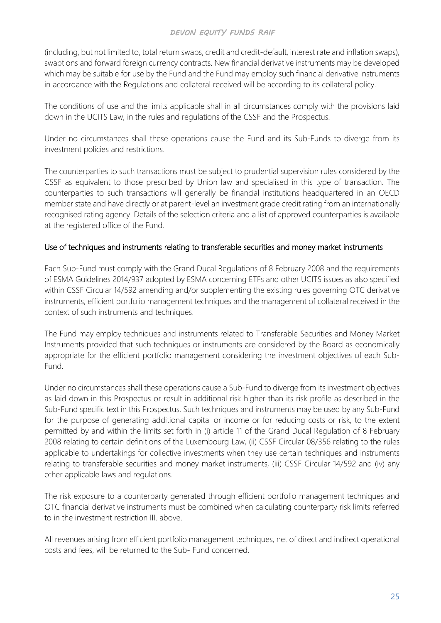(including, but not limited to, total return swaps, credit and credit-default, interest rate and inflation swaps), swaptions and forward foreign currency contracts. New financial derivative instruments may be developed which may be suitable for use by the Fund and the Fund may employ such financial derivative instruments in accordance with the Regulations and collateral received will be according to its collateral policy.

The conditions of use and the limits applicable shall in all circumstances comply with the provisions laid down in the UCITS Law, in the rules and regulations of the CSSF and the Prospectus.

Under no circumstances shall these operations cause the Fund and its Sub-Funds to diverge from its investment policies and restrictions.

The counterparties to such transactions must be subject to prudential supervision rules considered by the CSSF as equivalent to those prescribed by Union law and specialised in this type of transaction. The counterparties to such transactions will generally be financial institutions headquartered in an OECD member state and have directly or at parent-level an investment grade credit rating from an internationally recognised rating agency. Details of the selection criteria and a list of approved counterparties is available at the registered office of the Fund.

## <span id="page-32-0"></span>Use of techniques and instruments relating to transferable securities and money market instruments

Each Sub-Fund must comply with the Grand Ducal Regulations of 8 February 2008 and the requirements of ESMA Guidelines 2014/937 adopted by ESMA concerning ETFs and other UCITS issues as also specified within CSSF Circular 14/592 amending and/or supplementing the existing rules governing OTC derivative instruments, efficient portfolio management techniques and the management of collateral received in the context of such instruments and techniques.

The Fund may employ techniques and instruments related to Transferable Securities and Money Market Instruments provided that such techniques or instruments are considered by the Board as economically appropriate for the efficient portfolio management considering the investment objectives of each Sub-Fund.

Under no circumstances shall these operations cause a Sub-Fund to diverge from its investment objectives as laid down in this Prospectus or result in additional risk higher than its risk profile as described in the Sub-Fund specific text in this Prospectus. Such techniques and instruments may be used by any Sub-Fund for the purpose of generating additional capital or income or for reducing costs or risk, to the extent permitted by and within the limits set forth in (i) article 11 of the Grand Ducal Regulation of 8 February 2008 relating to certain definitions of the Luxembourg Law, (ii) CSSF Circular 08/356 relating to the rules applicable to undertakings for collective investments when they use certain techniques and instruments relating to transferable securities and money market instruments, (iii) CSSF Circular 14/592 and (iv) any other applicable laws and regulations.

The risk exposure to a counterparty generated through efficient portfolio management techniques and OTC financial derivative instruments must be combined when calculating counterparty risk limits referred to in the investment restriction III. above.

All revenues arising from efficient portfolio management techniques, net of direct and indirect operational costs and fees, will be returned to the Sub- Fund concerned.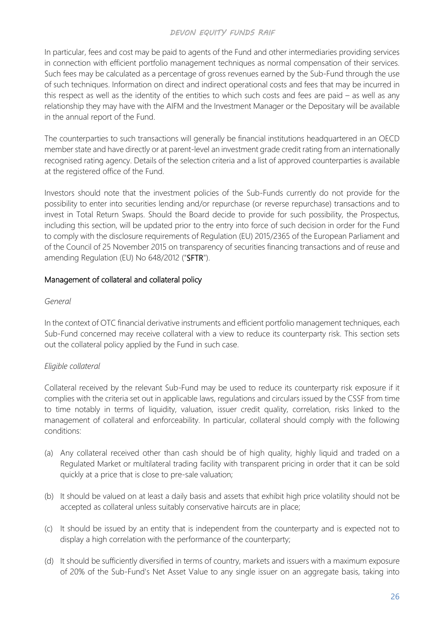In particular, fees and cost may be paid to agents of the Fund and other intermediaries providing services in connection with efficient portfolio management techniques as normal compensation of their services. Such fees may be calculated as a percentage of gross revenues earned by the Sub-Fund through the use of such techniques. Information on direct and indirect operational costs and fees that may be incurred in this respect as well as the identity of the entities to which such costs and fees are paid – as well as any relationship they may have with the AIFM and the Investment Manager or the Depositary will be available in the annual report of the Fund.

The counterparties to such transactions will generally be financial institutions headquartered in an OECD member state and have directly or at parent-level an investment grade credit rating from an internationally recognised rating agency. Details of the selection criteria and a list of approved counterparties is available at the registered office of the Fund.

Investors should note that the investment policies of the Sub-Funds currently do not provide for the possibility to enter into securities lending and/or repurchase (or reverse repurchase) transactions and to invest in Total Return Swaps. Should the Board decide to provide for such possibility, the Prospectus, including this section, will be updated prior to the entry into force of such decision in order for the Fund to comply with the disclosure requirements of Regulation (EU) 2015/2365 of the European Parliament and of the Council of 25 November 2015 on transparency of securities financing transactions and of reuse and amending Regulation (EU) No 648/2012 ("SFTR").

## <span id="page-33-0"></span>Management of collateral and collateral policy

#### *General*

In the context of OTC financial derivative instruments and efficient portfolio management techniques, each Sub-Fund concerned may receive collateral with a view to reduce its counterparty risk. This section sets out the collateral policy applied by the Fund in such case.

## *Eligible collateral*

Collateral received by the relevant Sub-Fund may be used to reduce its counterparty risk exposure if it complies with the criteria set out in applicable laws, regulations and circulars issued by the CSSF from time to time notably in terms of liquidity, valuation, issuer credit quality, correlation, risks linked to the management of collateral and enforceability. In particular, collateral should comply with the following conditions:

- (a) Any collateral received other than cash should be of high quality, highly liquid and traded on a Regulated Market or multilateral trading facility with transparent pricing in order that it can be sold quickly at a price that is close to pre-sale valuation;
- (b) It should be valued on at least a daily basis and assets that exhibit high price volatility should not be accepted as collateral unless suitably conservative haircuts are in place;
- (c) It should be issued by an entity that is independent from the counterparty and is expected not to display a high correlation with the performance of the counterparty;
- (d) It should be sufficiently diversified in terms of country, markets and issuers with a maximum exposure of 20% of the Sub-Fund's Net Asset Value to any single issuer on an aggregate basis, taking into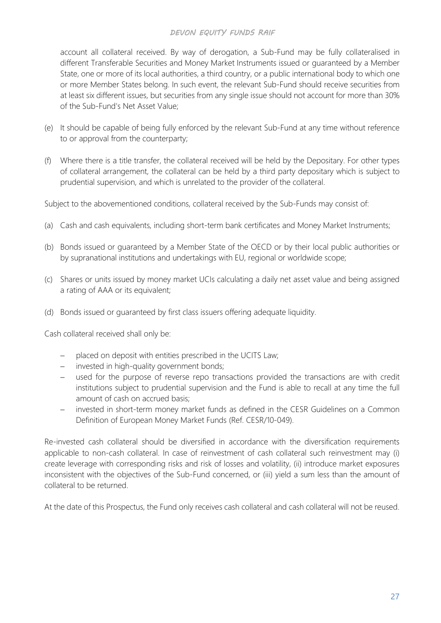account all collateral received. By way of derogation, a Sub-Fund may be fully collateralised in different Transferable Securities and Money Market Instruments issued or guaranteed by a Member State, one or more of its local authorities, a third country, or a public international body to which one or more Member States belong. In such event, the relevant Sub-Fund should receive securities from at least six different issues, but securities from any single issue should not account for more than 30% of the Sub-Fund's Net Asset Value;

- (e) It should be capable of being fully enforced by the relevant Sub-Fund at any time without reference to or approval from the counterparty;
- (f) Where there is a title transfer, the collateral received will be held by the Depositary. For other types of collateral arrangement, the collateral can be held by a third party depositary which is subject to prudential supervision, and which is unrelated to the provider of the collateral.

Subject to the abovementioned conditions, collateral received by the Sub-Funds may consist of:

- (a) Cash and cash equivalents, including short-term bank certificates and Money Market Instruments;
- (b) Bonds issued or guaranteed by a Member State of the OECD or by their local public authorities or by supranational institutions and undertakings with EU, regional or worldwide scope;
- (c) Shares or units issued by money market UCIs calculating a daily net asset value and being assigned a rating of AAA or its equivalent;
- (d) Bonds issued or guaranteed by first class issuers offering adequate liquidity.

Cash collateral received shall only be:

- − placed on deposit with entities prescribed in the UCITS Law;
- − invested in high-quality government bonds;
- − used for the purpose of reverse repo transactions provided the transactions are with credit institutions subject to prudential supervision and the Fund is able to recall at any time the full amount of cash on accrued basis;
- invested in short-term money market funds as defined in the CESR Guidelines on a Common Definition of European Money Market Funds (Ref. CESR/10-049).

Re-invested cash collateral should be diversified in accordance with the diversification requirements applicable to non-cash collateral. In case of reinvestment of cash collateral such reinvestment may (i) create leverage with corresponding risks and risk of losses and volatility, (ii) introduce market exposures inconsistent with the objectives of the Sub-Fund concerned, or (iii) yield a sum less than the amount of collateral to be returned.

At the date of this Prospectus, the Fund only receives cash collateral and cash collateral will not be reused.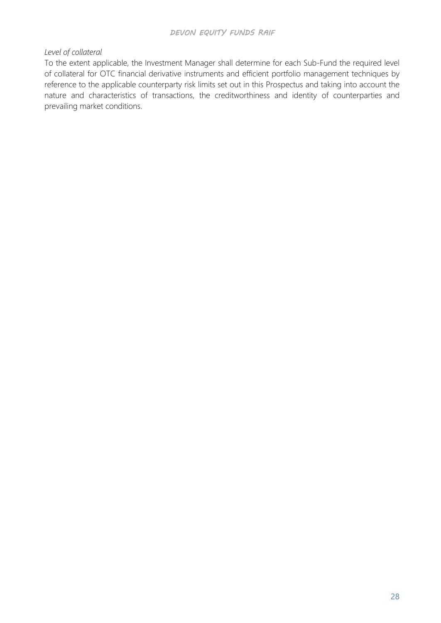#### *Level of collateral*

To the extent applicable, the Investment Manager shall determine for each Sub-Fund the required level of collateral for OTC financial derivative instruments and efficient portfolio management techniques by reference to the applicable counterparty risk limits set out in this Prospectus and taking into account the nature and characteristics of transactions, the creditworthiness and identity of counterparties and prevailing market conditions.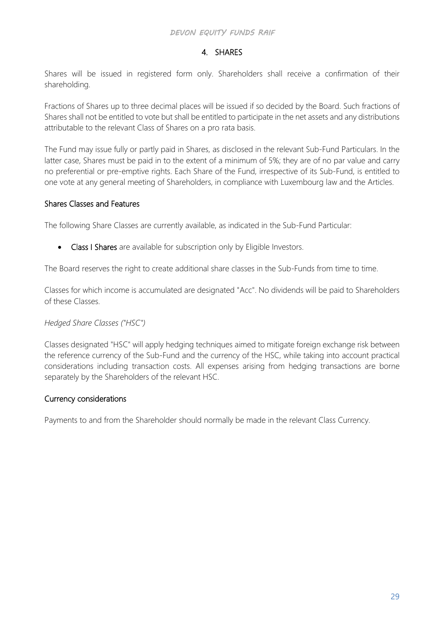# 4. SHARES

Shares will be issued in registered form only. Shareholders shall receive a confirmation of their shareholding.

Fractions of Shares up to three decimal places will be issued if so decided by the Board. Such fractions of Shares shall not be entitled to vote but shall be entitled to participate in the net assets and any distributions attributable to the relevant Class of Shares on a pro rata basis.

The Fund may issue fully or partly paid in Shares, as disclosed in the relevant Sub-Fund Particulars. In the latter case, Shares must be paid in to the extent of a minimum of 5%; they are of no par value and carry no preferential or pre-emptive rights. Each Share of the Fund, irrespective of its Sub-Fund, is entitled to one vote at any general meeting of Shareholders, in compliance with Luxembourg law and the Articles.

### Shares Classes and Features

The following Share Classes are currently available, as indicated in the Sub-Fund Particular:

• Class I Shares are available for subscription only by Eligible Investors.

The Board reserves the right to create additional share classes in the Sub-Funds from time to time.

Classes for which income is accumulated are designated "Acc". No dividends will be paid to Shareholders of these Classes.

### *Hedged Share Classes ("HSC")*

Classes designated "HSC" will apply hedging techniques aimed to mitigate foreign exchange risk between the reference currency of the Sub-Fund and the currency of the HSC, while taking into account practical considerations including transaction costs. All expenses arising from hedging transactions are borne separately by the Shareholders of the relevant HSC.

### Currency considerations

Payments to and from the Shareholder should normally be made in the relevant Class Currency.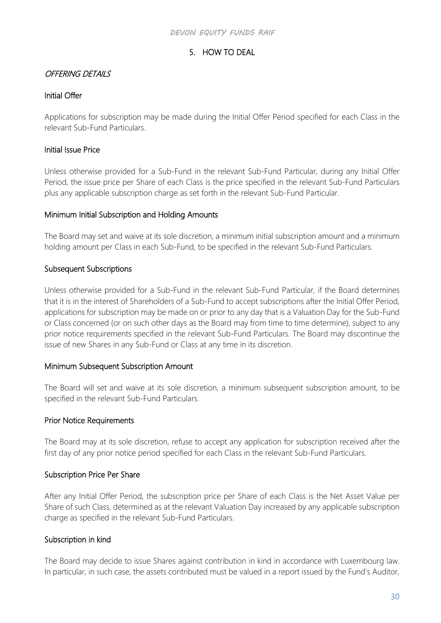# 5. HOW TO DEAL

### OFFERING DETAILS

### Initial Offer

Applications for subscription may be made during the Initial Offer Period specified for each Class in the relevant Sub-Fund Particulars.

### Initial Issue Price

Unless otherwise provided for a Sub-Fund in the relevant Sub-Fund Particular, during any Initial Offer Period, the issue price per Share of each Class is the price specified in the relevant Sub-Fund Particulars plus any applicable subscription charge as set forth in the relevant Sub-Fund Particular.

### Minimum Initial Subscription and Holding Amounts

The Board may set and waive at its sole discretion, a minimum initial subscription amount and a minimum holding amount per Class in each Sub-Fund, to be specified in the relevant Sub-Fund Particulars.

### Subsequent Subscriptions

Unless otherwise provided for a Sub-Fund in the relevant Sub-Fund Particular, if the Board determines that it is in the interest of Shareholders of a Sub-Fund to accept subscriptions after the Initial Offer Period, applications for subscription may be made on or prior to any day that is a Valuation Day for the Sub-Fund or Class concerned (or on such other days as the Board may from time to time determine), subject to any prior notice requirements specified in the relevant Sub-Fund Particulars. The Board may discontinue the issue of new Shares in any Sub-Fund or Class at any time in its discretion.

### Minimum Subsequent Subscription Amount

The Board will set and waive at its sole discretion, a minimum subsequent subscription amount, to be specified in the relevant Sub-Fund Particulars.

### Prior Notice Requirements

The Board may at its sole discretion, refuse to accept any application for subscription received after the first day of any prior notice period specified for each Class in the relevant Sub-Fund Particulars.

### Subscription Price Per Share

After any Initial Offer Period, the subscription price per Share of each Class is the Net Asset Value per Share of such Class, determined as at the relevant Valuation Day increased by any applicable subscription charge as specified in the relevant Sub-Fund Particulars.

## Subscription in kind

The Board may decide to issue Shares against contribution in kind in accordance with Luxembourg law. In particular, in such case, the assets contributed must be valued in a report issued by the Fund's Auditor,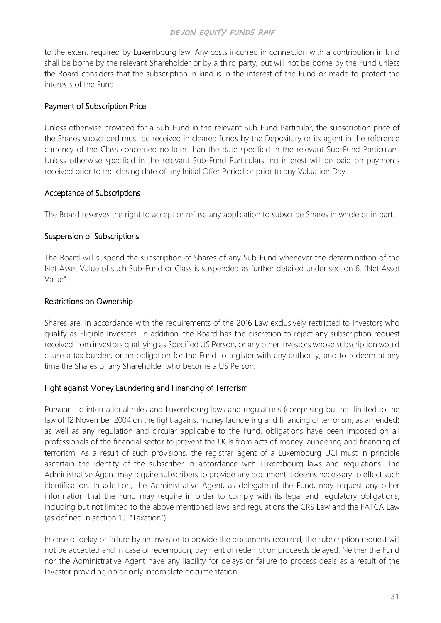to the extent required by Luxembourg law. Any costs incurred in connection with a contribution in kind shall be borne by the relevant Shareholder or by a third party, but will not be borne by the Fund unless the Board considers that the subscription in kind is in the interest of the Fund or made to protect the interests of the Fund.

### Payment of Subscription Price

Unless otherwise provided for a Sub-Fund in the relevant Sub-Fund Particular, the subscription price of the Shares subscribed must be received in cleared funds by the Depositary or its agent in the reference currency of the Class concerned no later than the date specified in the relevant Sub-Fund Particulars. Unless otherwise specified in the relevant Sub-Fund Particulars, no interest will be paid on payments received prior to the closing date of any Initial Offer Period or prior to any Valuation Day.

### Acceptance of Subscriptions

The Board reserves the right to accept or refuse any application to subscribe Shares in whole or in part.

### Suspension of Subscriptions

The Board will suspend the subscription of Shares of any Sub-Fund whenever the determination of the Net Asset Value of such Sub-Fund or Class is suspended as further detailed under section 6. "Net Asset Value".

### Restrictions on Ownership

Shares are, in accordance with the requirements of the 2016 Law exclusively restricted to Investors who qualify as Eligible Investors. In addition, the Board has the discretion to reject any subscription request received from investors qualifying as Specified US Person, or any other investors whose subscription would cause a tax burden, or an obligation for the Fund to register with any authority, and to redeem at any time the Shares of any Shareholder who become a US Person.

## Fight against Money Laundering and Financing of Terrorism

Pursuant to international rules and Luxembourg laws and regulations (comprising but not limited to the law of 12 November 2004 on the fight against money laundering and financing of terrorism, as amended) as well as any regulation and circular applicable to the Fund, obligations have been imposed on all professionals of the financial sector to prevent the UCIs from acts of money laundering and financing of terrorism. As a result of such provisions, the registrar agent of a Luxembourg UCI must in principle ascertain the identity of the subscriber in accordance with Luxembourg laws and regulations. The Administrative Agent may require subscribers to provide any document it deems necessary to effect such identification. In addition, the Administrative Agent, as delegate of the Fund, may request any other information that the Fund may require in order to comply with its legal and regulatory obligations, including but not limited to the above mentioned laws and regulations the CRS Law and the FATCA Law (as defined in section 10. "Taxation").

In case of delay or failure by an Investor to provide the documents required, the subscription request will not be accepted and in case of redemption, payment of redemption proceeds delayed. Neither the Fund nor the Administrative Agent have any liability for delays or failure to process deals as a result of the Investor providing no or only incomplete documentation.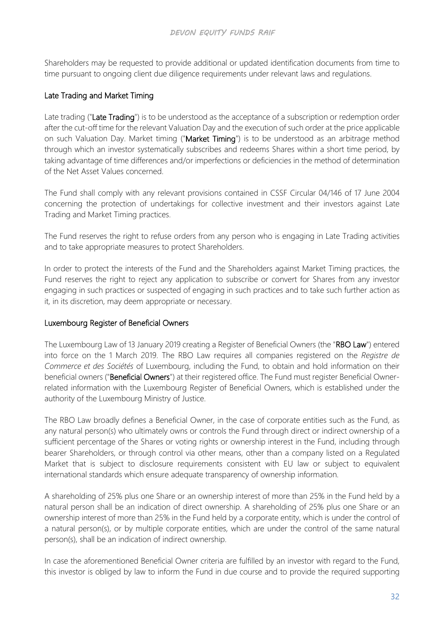Shareholders may be requested to provide additional or updated identification documents from time to time pursuant to ongoing client due diligence requirements under relevant laws and regulations.

# Late Trading and Market Timing

Late trading ("Late Trading") is to be understood as the acceptance of a subscription or redemption order after the cut-off time for the relevant Valuation Day and the execution of such order at the price applicable on such Valuation Day. Market timing ("Market Timing") is to be understood as an arbitrage method through which an investor systematically subscribes and redeems Shares within a short time period, by taking advantage of time differences and/or imperfections or deficiencies in the method of determination of the Net Asset Values concerned.

The Fund shall comply with any relevant provisions contained in CSSF Circular 04/146 of 17 June 2004 concerning the protection of undertakings for collective investment and their investors against Late Trading and Market Timing practices.

The Fund reserves the right to refuse orders from any person who is engaging in Late Trading activities and to take appropriate measures to protect Shareholders.

In order to protect the interests of the Fund and the Shareholders against Market Timing practices, the Fund reserves the right to reject any application to subscribe or convert for Shares from any investor engaging in such practices or suspected of engaging in such practices and to take such further action as it, in its discretion, may deem appropriate or necessary.

## Luxembourg Register of Beneficial Owners

The Luxembourg Law of 13 January 2019 creating a Register of Beneficial Owners (the "RBO Law") entered into force on the 1 March 2019. The RBO Law requires all companies registered on the *Registre de Commerce et des Sociétés* of Luxembourg, including the Fund, to obtain and hold information on their beneficial owners ("Beneficial Owners") at their registered office. The Fund must register Beneficial Ownerrelated information with the Luxembourg Register of Beneficial Owners, which is established under the authority of the Luxembourg Ministry of Justice.

The RBO Law broadly defines a Beneficial Owner, in the case of corporate entities such as the Fund, as any natural person(s) who ultimately owns or controls the Fund through direct or indirect ownership of a sufficient percentage of the Shares or voting rights or ownership interest in the Fund, including through bearer Shareholders, or through control via other means, other than a company listed on a Regulated Market that is subject to disclosure requirements consistent with EU law or subject to equivalent international standards which ensure adequate transparency of ownership information.

A shareholding of 25% plus one Share or an ownership interest of more than 25% in the Fund held by a natural person shall be an indication of direct ownership. A shareholding of 25% plus one Share or an ownership interest of more than 25% in the Fund held by a corporate entity, which is under the control of a natural person(s), or by multiple corporate entities, which are under the control of the same natural person(s), shall be an indication of indirect ownership.

In case the aforementioned Beneficial Owner criteria are fulfilled by an investor with regard to the Fund, this investor is obliged by law to inform the Fund in due course and to provide the required supporting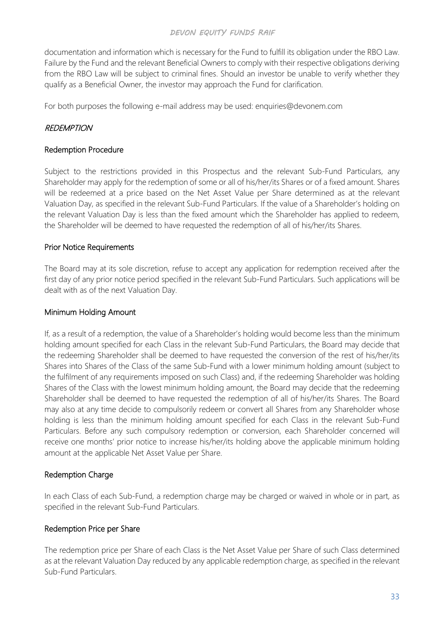documentation and information which is necessary for the Fund to fulfill its obligation under the RBO Law. Failure by the Fund and the relevant Beneficial Owners to comply with their respective obligations deriving from the RBO Law will be subject to criminal fines. Should an investor be unable to verify whether they qualify as a Beneficial Owner, the investor may approach the Fund for clarification.

For both purposes the following e-mail address may be used: [enquiries@devonem.com](mailto:enquiries@devonem.com)

### **REDEMPTION**

#### Redemption Procedure

Subject to the restrictions provided in this Prospectus and the relevant Sub-Fund Particulars, any Shareholder may apply for the redemption of some or all of his/her/its Shares or of a fixed amount. Shares will be redeemed at a price based on the Net Asset Value per Share determined as at the relevant Valuation Day, as specified in the relevant Sub-Fund Particulars. If the value of a Shareholder's holding on the relevant Valuation Day is less than the fixed amount which the Shareholder has applied to redeem, the Shareholder will be deemed to have requested the redemption of all of his/her/its Shares.

### Prior Notice Requirements

The Board may at its sole discretion, refuse to accept any application for redemption received after the first day of any prior notice period specified in the relevant Sub-Fund Particulars. Such applications will be dealt with as of the next Valuation Day.

#### Minimum Holding Amount

If, as a result of a redemption, the value of a Shareholder's holding would become less than the minimum holding amount specified for each Class in the relevant Sub-Fund Particulars, the Board may decide that the redeeming Shareholder shall be deemed to have requested the conversion of the rest of his/her/its Shares into Shares of the Class of the same Sub-Fund with a lower minimum holding amount (subject to the fulfilment of any requirements imposed on such Class) and, if the redeeming Shareholder was holding Shares of the Class with the lowest minimum holding amount, the Board may decide that the redeeming Shareholder shall be deemed to have requested the redemption of all of his/her/its Shares. The Board may also at any time decide to compulsorily redeem or convert all Shares from any Shareholder whose holding is less than the minimum holding amount specified for each Class in the relevant Sub-Fund Particulars. Before any such compulsory redemption or conversion, each Shareholder concerned will receive one months' prior notice to increase his/her/its holding above the applicable minimum holding amount at the applicable Net Asset Value per Share.

### Redemption Charge

In each Class of each Sub-Fund, a redemption charge may be charged or waived in whole or in part, as specified in the relevant Sub-Fund Particulars.

### Redemption Price per Share

The redemption price per Share of each Class is the Net Asset Value per Share of such Class determined as at the relevant Valuation Day reduced by any applicable redemption charge, as specified in the relevant Sub-Fund Particulars.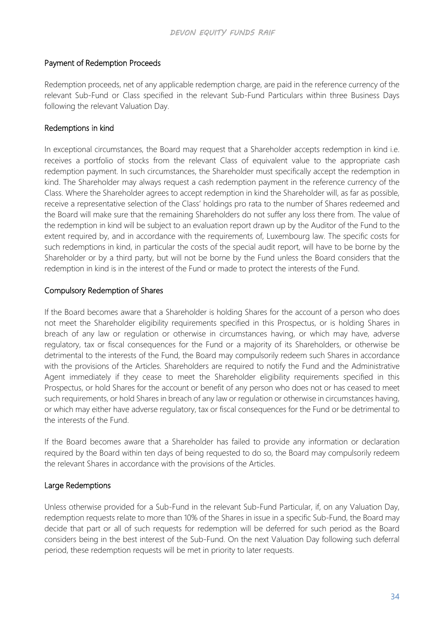### Payment of Redemption Proceeds

Redemption proceeds, net of any applicable redemption charge, are paid in the reference currency of the relevant Sub-Fund or Class specified in the relevant Sub-Fund Particulars within three Business Days following the relevant Valuation Day.

### Redemptions in kind

In exceptional circumstances, the Board may request that a Shareholder accepts redemption in kind i.e. receives a portfolio of stocks from the relevant Class of equivalent value to the appropriate cash redemption payment. In such circumstances, the Shareholder must specifically accept the redemption in kind. The Shareholder may always request a cash redemption payment in the reference currency of the Class. Where the Shareholder agrees to accept redemption in kind the Shareholder will, as far as possible, receive a representative selection of the Class' holdings pro rata to the number of Shares redeemed and the Board will make sure that the remaining Shareholders do not suffer any loss there from. The value of the redemption in kind will be subject to an evaluation report drawn up by the Auditor of the Fund to the extent required by, and in accordance with the requirements of, Luxembourg law. The specific costs for such redemptions in kind, in particular the costs of the special audit report, will have to be borne by the Shareholder or by a third party, but will not be borne by the Fund unless the Board considers that the redemption in kind is in the interest of the Fund or made to protect the interests of the Fund.

### Compulsory Redemption of Shares

If the Board becomes aware that a Shareholder is holding Shares for the account of a person who does not meet the Shareholder eligibility requirements specified in this Prospectus, or is holding Shares in breach of any law or regulation or otherwise in circumstances having, or which may have, adverse regulatory, tax or fiscal consequences for the Fund or a majority of its Shareholders, or otherwise be detrimental to the interests of the Fund, the Board may compulsorily redeem such Shares in accordance with the provisions of the Articles. Shareholders are required to notify the Fund and the Administrative Agent immediately if they cease to meet the Shareholder eligibility requirements specified in this Prospectus, or hold Shares for the account or benefit of any person who does not or has ceased to meet such requirements, or hold Shares in breach of any law or regulation or otherwise in circumstances having, or which may either have adverse regulatory, tax or fiscal consequences for the Fund or be detrimental to the interests of the Fund.

If the Board becomes aware that a Shareholder has failed to provide any information or declaration required by the Board within ten days of being requested to do so, the Board may compulsorily redeem the relevant Shares in accordance with the provisions of the Articles.

### Large Redemptions

Unless otherwise provided for a Sub-Fund in the relevant Sub-Fund Particular, if, on any Valuation Day, redemption requests relate to more than 10% of the Shares in issue in a specific Sub-Fund, the Board may decide that part or all of such requests for redemption will be deferred for such period as the Board considers being in the best interest of the Sub-Fund. On the next Valuation Day following such deferral period, these redemption requests will be met in priority to later requests.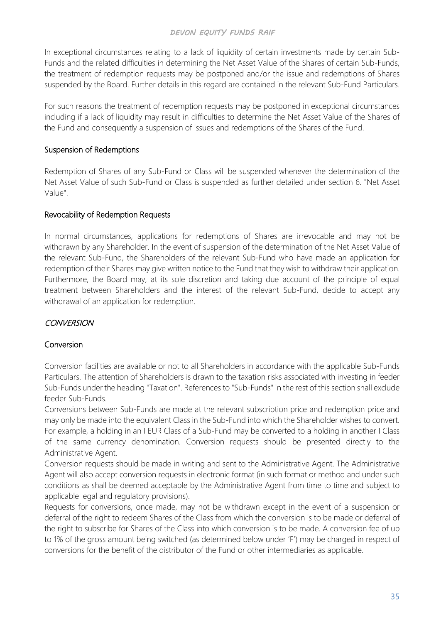In exceptional circumstances relating to a lack of liquidity of certain investments made by certain Sub-Funds and the related difficulties in determining the Net Asset Value of the Shares of certain Sub-Funds, the treatment of redemption requests may be postponed and/or the issue and redemptions of Shares suspended by the Board. Further details in this regard are contained in the relevant Sub-Fund Particulars.

For such reasons the treatment of redemption requests may be postponed in exceptional circumstances including if a lack of liquidity may result in difficulties to determine the Net Asset Value of the Shares of the Fund and consequently a suspension of issues and redemptions of the Shares of the Fund.

### Suspension of Redemptions

Redemption of Shares of any Sub-Fund or Class will be suspended whenever the determination of the Net Asset Value of such Sub-Fund or Class is suspended as further detailed under section 6. "Net Asset Value".

### Revocability of Redemption Requests

In normal circumstances, applications for redemptions of Shares are irrevocable and may not be withdrawn by any Shareholder. In the event of suspension of the determination of the Net Asset Value of the relevant Sub-Fund, the Shareholders of the relevant Sub-Fund who have made an application for redemption of their Shares may give written notice to the Fund that they wish to withdraw their application. Furthermore, the Board may, at its sole discretion and taking due account of the principle of equal treatment between Shareholders and the interest of the relevant Sub-Fund, decide to accept any withdrawal of an application for redemption.

# **CONVERSION**

### **Conversion**

Conversion facilities are available or not to all Shareholders in accordance with the applicable Sub-Funds Particulars. The attention of Shareholders is drawn to the taxation risks associated with investing in feeder Sub-Funds under the heading "Taxation". References to "Sub-Funds" in the rest of this section shall exclude feeder Sub-Funds.

Conversions between Sub-Funds are made at the relevant subscription price and redemption price and may only be made into the equivalent Class in the Sub-Fund into which the Shareholder wishes to convert. For example, a holding in an I EUR Class of a Sub-Fund may be converted to a holding in another I Class of the same currency denomination. Conversion requests should be presented directly to the Administrative Agent.

Conversion requests should be made in writing and sent to the Administrative Agent. The Administrative Agent will also accept conversion requests in electronic format (in such format or method and under such conditions as shall be deemed acceptable by the Administrative Agent from time to time and subject to applicable legal and regulatory provisions).

Requests for conversions, once made, may not be withdrawn except in the event of a suspension or deferral of the right to redeem Shares of the Class from which the conversion is to be made or deferral of the right to subscribe for Shares of the Class into which conversion is to be made. A conversion fee of up to 1% of the gross amount being switched (as determined below under 'F') may be charged in respect of conversions for the benefit of the distributor of the Fund or other intermediaries as applicable.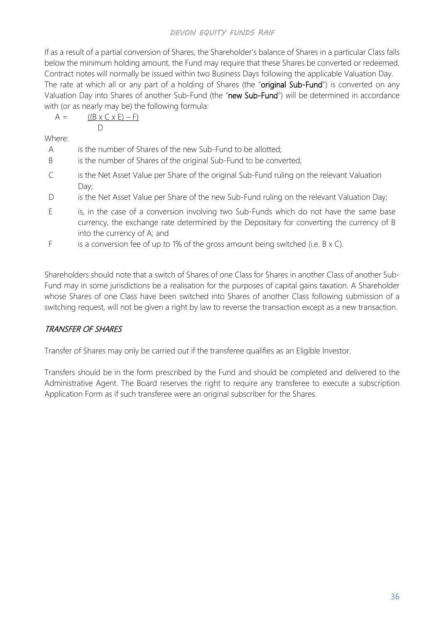If as a result of a partial conversion of Shares, the Shareholder's balance of Shares in a particular Class falls below the minimum holding amount, the Fund may require that these Shares be converted or redeemed. Contract notes will normally be issued within two Business Days following the applicable Valuation Day. The rate at which all or any part of a holding of Shares (the "original Sub-Fund") is converted on any Valuation Day into Shares of another Sub-Fund (the "new Sub-Fund") will be determined in accordance with (or as nearly may be) the following formula:

 $A = ((B \times C \times E) - F)$  $\Box$ 

Where:

- A is the number of Shares of the new Sub-Fund to be allotted;
- B is the number of Shares of the original Sub-Fund to be converted;
- C is the Net Asset Value per Share of the original Sub-Fund ruling on the relevant Valuation Day;
- D is the Net Asset Value per Share of the new Sub-Fund ruling on the relevant Valuation Day;
- E is, in the case of a conversion involving two Sub-Funds which do not have the same base currency, the exchange rate determined by the Depositary for converting the currency of B into the currency of A; and
- F is a conversion fee of up to 1% of the gross amount being switched (i.e.  $B \times C$ ).

Shareholders should note that a switch of Shares of one Class for Shares in another Class of another Sub-Fund may in some jurisdictions be a realisation for the purposes of capital gains taxation. A Shareholder whose Shares of one Class have been switched into Shares of another Class following submission of a switching request, will not be given a right by law to reverse the transaction except as a new transaction.

# TRANSFER OF SHARES

Transfer of Shares may only be carried out if the transferee qualifies as an Eligible Investor.

Transfers should be in the form prescribed by the Fund and should be completed and delivered to the Administrative Agent. The Board reserves the right to require any transferee to execute a subscription Application Form as if such transferee were an original subscriber for the Shares.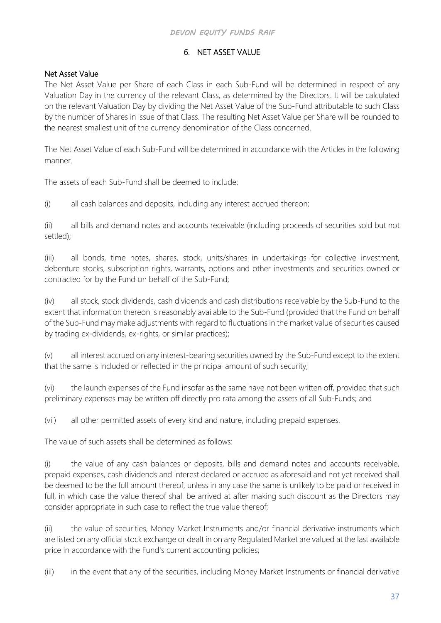# 6. NET ASSET VALUE

# Net Asset Value

The Net Asset Value per Share of each Class in each Sub-Fund will be determined in respect of any Valuation Day in the currency of the relevant Class, as determined by the Directors. It will be calculated on the relevant Valuation Day by dividing the Net Asset Value of the Sub-Fund attributable to such Class by the number of Shares in issue of that Class. The resulting Net Asset Value per Share will be rounded to the nearest smallest unit of the currency denomination of the Class concerned.

The Net Asset Value of each Sub-Fund will be determined in accordance with the Articles in the following manner.

The assets of each Sub-Fund shall be deemed to include:

(i) all cash balances and deposits, including any interest accrued thereon;

(ii) all bills and demand notes and accounts receivable (including proceeds of securities sold but not settled);

(iii) all bonds, time notes, shares, stock, units/shares in undertakings for collective investment, debenture stocks, subscription rights, warrants, options and other investments and securities owned or contracted for by the Fund on behalf of the Sub-Fund;

(iv) all stock, stock dividends, cash dividends and cash distributions receivable by the Sub-Fund to the extent that information thereon is reasonably available to the Sub-Fund (provided that the Fund on behalf of the Sub-Fund may make adjustments with regard to fluctuations in the market value of securities caused by trading ex-dividends, ex-rights, or similar practices);

(v) all interest accrued on any interest-bearing securities owned by the Sub-Fund except to the extent that the same is included or reflected in the principal amount of such security;

(vi) the launch expenses of the Fund insofar as the same have not been written off, provided that such preliminary expenses may be written off directly pro rata among the assets of all Sub-Funds; and

(vii) all other permitted assets of every kind and nature, including prepaid expenses.

The value of such assets shall be determined as follows:

(i) the value of any cash balances or deposits, bills and demand notes and accounts receivable, prepaid expenses, cash dividends and interest declared or accrued as aforesaid and not yet received shall be deemed to be the full amount thereof, unless in any case the same is unlikely to be paid or received in full, in which case the value thereof shall be arrived at after making such discount as the Directors may consider appropriate in such case to reflect the true value thereof;

(ii) the value of securities, Money Market Instruments and/or financial derivative instruments which are listed on any official stock exchange or dealt in on any Regulated Market are valued at the last available price in accordance with the Fund's current accounting policies;

(iii) in the event that any of the securities, including Money Market Instruments or financial derivative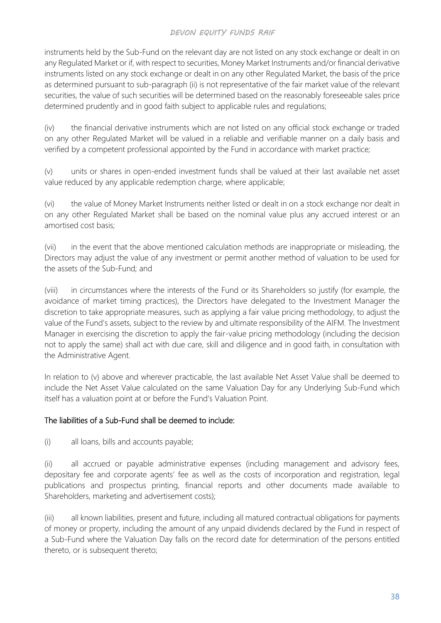instruments held by the Sub-Fund on the relevant day are not listed on any stock exchange or dealt in on any Regulated Market or if, with respect to securities, Money Market Instruments and/or financial derivative instruments listed on any stock exchange or dealt in on any other Regulated Market, the basis of the price as determined pursuant to sub-paragraph (ii) is not representative of the fair market value of the relevant securities, the value of such securities will be determined based on the reasonably foreseeable sales price determined prudently and in good faith subject to applicable rules and regulations;

(iv) the financial derivative instruments which are not listed on any official stock exchange or traded on any other Regulated Market will be valued in a reliable and verifiable manner on a daily basis and verified by a competent professional appointed by the Fund in accordance with market practice;

(v) units or shares in open-ended investment funds shall be valued at their last available net asset value reduced by any applicable redemption charge, where applicable;

(vi) the value of Money Market Instruments neither listed or dealt in on a stock exchange nor dealt in on any other Regulated Market shall be based on the nominal value plus any accrued interest or an amortised cost basis;

(vii) in the event that the above mentioned calculation methods are inappropriate or misleading, the Directors may adjust the value of any investment or permit another method of valuation to be used for the assets of the Sub-Fund; and

(viii) in circumstances where the interests of the Fund or its Shareholders so justify (for example, the avoidance of market timing practices), the Directors have delegated to the Investment Manager the discretion to take appropriate measures, such as applying a fair value pricing methodology, to adjust the value of the Fund's assets, subject to the review by and ultimate responsibility of the AIFM. The Investment Manager in exercising the discretion to apply the fair-value pricing methodology (including the decision not to apply the same) shall act with due care, skill and diligence and in good faith, in consultation with the Administrative Agent.

In relation to (v) above and wherever practicable, the last available Net Asset Value shall be deemed to include the Net Asset Value calculated on the same Valuation Day for any Underlying Sub-Fund which itself has a valuation point at or before the Fund's Valuation Point.

### The liabilities of a Sub-Fund shall be deemed to include:

(i) all loans, bills and accounts payable;

(ii) all accrued or payable administrative expenses (including management and advisory fees, depositary fee and corporate agents' fee as well as the costs of incorporation and registration, legal publications and prospectus printing, financial reports and other documents made available to Shareholders, marketing and advertisement costs);

(iii) all known liabilities, present and future, including all matured contractual obligations for payments of money or property, including the amount of any unpaid dividends declared by the Fund in respect of a Sub-Fund where the Valuation Day falls on the record date for determination of the persons entitled thereto, or is subsequent thereto;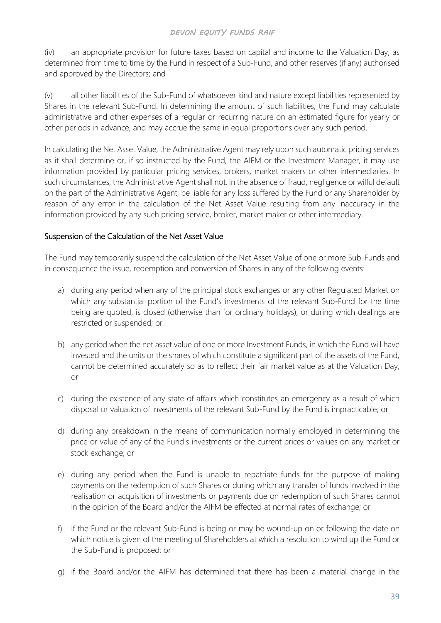(iv) an appropriate provision for future taxes based on capital and income to the Valuation Day, as determined from time to time by the Fund in respect of a Sub-Fund, and other reserves (if any) authorised and approved by the Directors; and

(v) all other liabilities of the Sub-Fund of whatsoever kind and nature except liabilities represented by Shares in the relevant Sub-Fund. In determining the amount of such liabilities, the Fund may calculate administrative and other expenses of a regular or recurring nature on an estimated figure for yearly or other periods in advance, and may accrue the same in equal proportions over any such period.

In calculating the Net Asset Value, the Administrative Agent may rely upon such automatic pricing services as it shall determine or, if so instructed by the Fund, the AIFM or the Investment Manager, it may use information provided by particular pricing services, brokers, market makers or other intermediaries. In such circumstances, the Administrative Agent shall not, in the absence of fraud, negligence or wilful default on the part of the Administrative Agent, be liable for any loss suffered by the Fund or any Shareholder by reason of any error in the calculation of the Net Asset Value resulting from any inaccuracy in the information provided by any such pricing service, broker, market maker or other intermediary.

### Suspension of the Calculation of the Net Asset Value

The Fund may temporarily suspend the calculation of the Net Asset Value of one or more Sub-Funds and in consequence the issue, redemption and conversion of Shares in any of the following events:

- a) during any period when any of the principal stock exchanges or any other Regulated Market on which any substantial portion of the Fund's investments of the relevant Sub-Fund for the time being are quoted, is closed (otherwise than for ordinary holidays), or during which dealings are restricted or suspended; or
- b) any period when the net asset value of one or more Investment Funds, in which the Fund will have invested and the units or the shares of which constitute a significant part of the assets of the Fund, cannot be determined accurately so as to reflect their fair market value as at the Valuation Day; or
- c) during the existence of any state of affairs which constitutes an emergency as a result of which disposal or valuation of investments of the relevant Sub-Fund by the Fund is impracticable; or
- d) during any breakdown in the means of communication normally employed in determining the price or value of any of the Fund's investments or the current prices or values on any market or stock exchange; or
- e) during any period when the Fund is unable to repatriate funds for the purpose of making payments on the redemption of such Shares or during which any transfer of funds involved in the realisation or acquisition of investments or payments due on redemption of such Shares cannot in the opinion of the Board and/or the AIFM be effected at normal rates of exchange; or
- f) if the Fund or the relevant Sub-Fund is being or may be wound-up on or following the date on which notice is given of the meeting of Shareholders at which a resolution to wind up the Fund or the Sub-Fund is proposed; or
- g) if the Board and/or the AIFM has determined that there has been a material change in the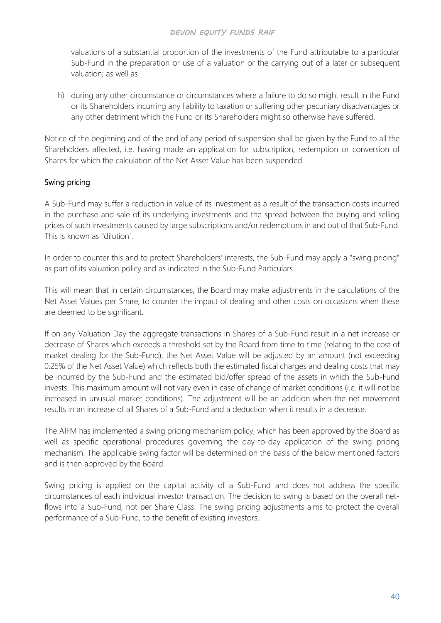valuations of a substantial proportion of the investments of the Fund attributable to a particular Sub-Fund in the preparation or use of a valuation or the carrying out of a later or subsequent valuation; as well as

h) during any other circumstance or circumstances where a failure to do so might result in the Fund or its Shareholders incurring any liability to taxation or suffering other pecuniary disadvantages or any other detriment which the Fund or its Shareholders might so otherwise have suffered.

Notice of the beginning and of the end of any period of suspension shall be given by the Fund to all the Shareholders affected, i.e. having made an application for subscription, redemption or conversion of Shares for which the calculation of the Net Asset Value has been suspended.

### Swing pricing

A Sub-Fund may suffer a reduction in value of its investment as a result of the transaction costs incurred in the purchase and sale of its underlying investments and the spread between the buying and selling prices of such investments caused by large subscriptions and/or redemptions in and out of that Sub-Fund. This is known as "dilution".

In order to counter this and to protect Shareholders' interests, the Sub-Fund may apply a "swing pricing" as part of its valuation policy and as indicated in the Sub-Fund Particulars.

This will mean that in certain circumstances, the Board may make adjustments in the calculations of the Net Asset Values per Share, to counter the impact of dealing and other costs on occasions when these are deemed to be significant.

If on any Valuation Day the aggregate transactions in Shares of a Sub-Fund result in a net increase or decrease of Shares which exceeds a threshold set by the Board from time to time (relating to the cost of market dealing for the Sub-Fund), the Net Asset Value will be adjusted by an amount (not exceeding 0.25% of the Net Asset Value) which reflects both the estimated fiscal charges and dealing costs that may be incurred by the Sub-Fund and the estimated bid/offer spread of the assets in which the Sub-Fund invests. This maximum amount will not vary even in case of change of market conditions (i.e. it will not be increased in unusual market conditions). The adjustment will be an addition when the net movement results in an increase of all Shares of a Sub-Fund and a deduction when it results in a decrease.

The AIFM has implemented a swing pricing mechanism policy, which has been approved by the Board as well as specific operational procedures governing the day-to-day application of the swing pricing mechanism. The applicable swing factor will be determined on the basis of the below mentioned factors and is then approved by the Board.

Swing pricing is applied on the capital activity of a Sub-Fund and does not address the specific circumstances of each individual investor transaction. The decision to swing is based on the overall netflows into a Sub-Fund, not per Share Class. The swing pricing adjustments aims to protect the overall performance of a Sub-Fund, to the benefit of existing investors.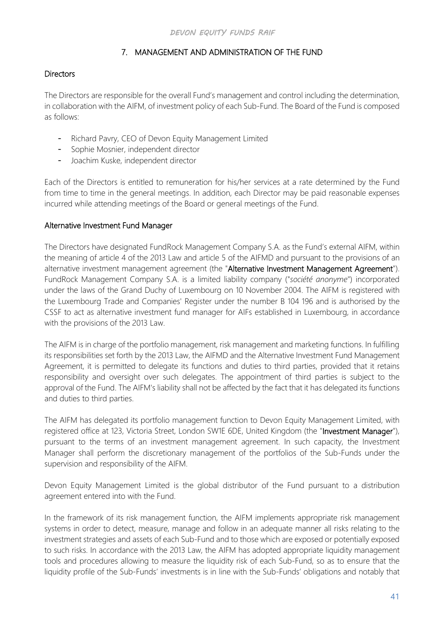## 7. MANAGEMENT AND ADMINISTRATION OF THE FUND

### **Directors**

The Directors are responsible for the overall Fund's management and control including the determination, in collaboration with the AIFM, of investment policy of each Sub-Fund. The Board of the Fund is composed as follows:

- Richard Pavry, CEO of Devon Equity Management Limited
- Sophie Mosnier, independent director
- Joachim Kuske, independent director

Each of the Directors is entitled to remuneration for his/her services at a rate determined by the Fund from time to time in the general meetings. In addition, each Director may be paid reasonable expenses incurred while attending meetings of the Board or general meetings of the Fund.

### Alternative Investment Fund Manager

The Directors have designated FundRock Management Company S.A. as the Fund's external AIFM, within the meaning of article 4 of the 2013 Law and article 5 of the AIFMD and pursuant to the provisions of an alternative investment management agreement (the "Alternative Investment Management Agreement"). FundRock Management Company S.A. is a limited liability company ("*société anonyme*") incorporated under the laws of the Grand Duchy of Luxembourg on 10 November 2004. The AIFM is registered with the Luxembourg Trade and Companies' Register under the number B 104 196 and is authorised by the CSSF to act as alternative investment fund manager for AIFs established in Luxembourg, in accordance with the provisions of the 2013 Law.

The AIFM is in charge of the portfolio management, risk management and marketing functions. In fulfilling its responsibilities set forth by the 2013 Law, the AIFMD and the Alternative Investment Fund Management Agreement, it is permitted to delegate its functions and duties to third parties, provided that it retains responsibility and oversight over such delegates. The appointment of third parties is subject to the approval of the Fund. The AIFM's liability shall not be affected by the fact that it has delegated its functions and duties to third parties.

The AIFM has delegated its portfolio management function to Devon Equity Management Limited, with registered office at 123, Victoria Street, London SW1E 6DE, United Kingdom (the "Investment Manager"), pursuant to the terms of an investment management agreement. In such capacity, the Investment Manager shall perform the discretionary management of the portfolios of the Sub-Funds under the supervision and responsibility of the AIFM.

Devon Equity Management Limited is the global distributor of the Fund pursuant to a distribution agreement entered into with the Fund.

In the framework of its risk management function, the AIFM implements appropriate risk management systems in order to detect, measure, manage and follow in an adequate manner all risks relating to the investment strategies and assets of each Sub-Fund and to those which are exposed or potentially exposed to such risks. In accordance with the 2013 Law, the AIFM has adopted appropriate liquidity management tools and procedures allowing to measure the liquidity risk of each Sub-Fund, so as to ensure that the liquidity profile of the Sub-Funds' investments is in line with the Sub-Funds' obligations and notably that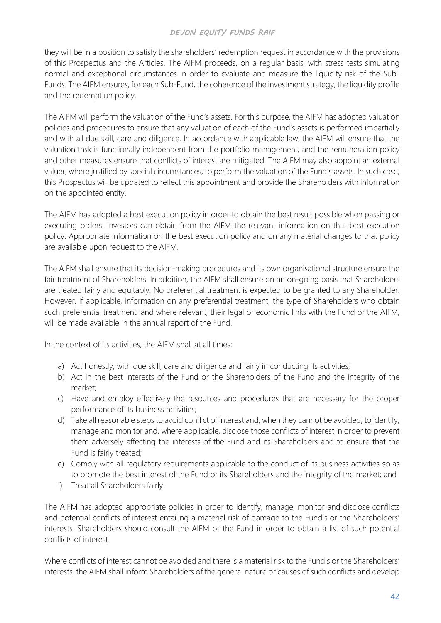they will be in a position to satisfy the shareholders' redemption request in accordance with the provisions of this Prospectus and the Articles. The AIFM proceeds, on a regular basis, with stress tests simulating normal and exceptional circumstances in order to evaluate and measure the liquidity risk of the Sub-Funds. The AIFM ensures, for each Sub-Fund, the coherence of the investment strategy, the liquidity profile and the redemption policy.

The AIFM will perform the valuation of the Fund's assets. For this purpose, the AIFM has adopted valuation policies and procedures to ensure that any valuation of each of the Fund's assets is performed impartially and with all due skill, care and diligence. In accordance with applicable law, the AIFM will ensure that the valuation task is functionally independent from the portfolio management, and the remuneration policy and other measures ensure that conflicts of interest are mitigated. The AIFM may also appoint an external valuer, where justified by special circumstances, to perform the valuation of the Fund's assets. In such case, this Prospectus will be updated to reflect this appointment and provide the Shareholders with information on the appointed entity.

The AIFM has adopted a best execution policy in order to obtain the best result possible when passing or executing orders. Investors can obtain from the AIFM the relevant information on that best execution policy. Appropriate information on the best execution policy and on any material changes to that policy are available upon request to the AIFM.

The AIFM shall ensure that its decision-making procedures and its own organisational structure ensure the fair treatment of Shareholders. In addition, the AIFM shall ensure on an on-going basis that Shareholders are treated fairly and equitably. No preferential treatment is expected to be granted to any Shareholder. However, if applicable, information on any preferential treatment, the type of Shareholders who obtain such preferential treatment, and where relevant, their legal or economic links with the Fund or the AIFM, will be made available in the annual report of the Fund.

In the context of its activities, the AIFM shall at all times:

- a) Act honestly, with due skill, care and diligence and fairly in conducting its activities;
- b) Act in the best interests of the Fund or the Shareholders of the Fund and the integrity of the market;
- c) Have and employ effectively the resources and procedures that are necessary for the proper performance of its business activities;
- d) Take all reasonable steps to avoid conflict of interest and, when they cannot be avoided, to identify, manage and monitor and, where applicable, disclose those conflicts of interest in order to prevent them adversely affecting the interests of the Fund and its Shareholders and to ensure that the Fund is fairly treated;
- e) Comply with all regulatory requirements applicable to the conduct of its business activities so as to promote the best interest of the Fund or its Shareholders and the integrity of the market; and
- f) Treat all Shareholders fairly.

The AIFM has adopted appropriate policies in order to identify, manage, monitor and disclose conflicts and potential conflicts of interest entailing a material risk of damage to the Fund's or the Shareholders' interests. Shareholders should consult the AIFM or the Fund in order to obtain a list of such potential conflicts of interest.

Where conflicts of interest cannot be avoided and there is a material risk to the Fund's or the Shareholders' interests, the AIFM shall inform Shareholders of the general nature or causes of such conflicts and develop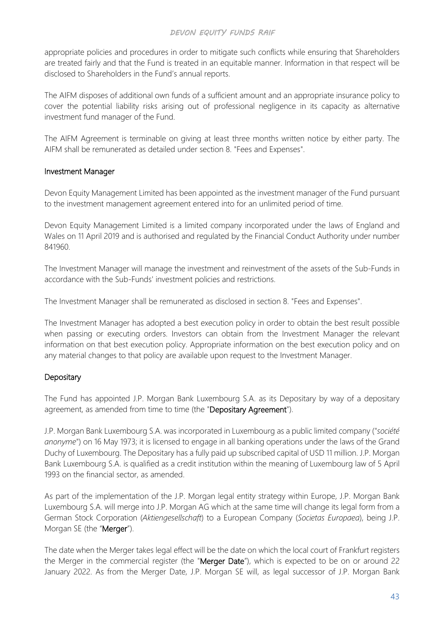appropriate policies and procedures in order to mitigate such conflicts while ensuring that Shareholders are treated fairly and that the Fund is treated in an equitable manner. Information in that respect will be disclosed to Shareholders in the Fund's annual reports.

The AIFM disposes of additional own funds of a sufficient amount and an appropriate insurance policy to cover the potential liability risks arising out of professional negligence in its capacity as alternative investment fund manager of the Fund.

The AIFM Agreement is terminable on giving at least three months written notice by either party. The AIFM shall be remunerated as detailed under section 8. "Fees and Expenses".

### Investment Manager

Devon Equity Management Limited has been appointed as the investment manager of the Fund pursuant to the investment management agreement entered into for an unlimited period of time.

Devon Equity Management Limited is a limited company incorporated under the laws of England and Wales on 11 April 2019 and is authorised and regulated by the Financial Conduct Authority under number 841960.

The Investment Manager will manage the investment and reinvestment of the assets of the Sub-Funds in accordance with the Sub-Funds' investment policies and restrictions.

The Investment Manager shall be remunerated as disclosed in section 8. "Fees and Expenses".

The Investment Manager has adopted a best execution policy in order to obtain the best result possible when passing or executing orders. Investors can obtain from the Investment Manager the relevant information on that best execution policy. Appropriate information on the best execution policy and on any material changes to that policy are available upon request to the Investment Manager.

## **Depositary**

The Fund has appointed J.P. Morgan Bank Luxembourg S.A. as its Depositary by way of a depositary agreement, as amended from time to time (the "Depositary Agreement").

J.P. Morgan Bank Luxembourg S.A. was incorporated in Luxembourg as a public limited company ("*société anonyme*") on 16 May 1973; it is licensed to engage in all banking operations under the laws of the Grand Duchy of Luxembourg. The Depositary has a fully paid up subscribed capital of USD 11 million. J.P. Morgan Bank Luxembourg S.A. is qualified as a credit institution within the meaning of Luxembourg law of 5 April 1993 on the financial sector, as amended.

As part of the implementation of the J.P. Morgan legal entity strategy within Europe, J.P. Morgan Bank Luxembourg S.A. will merge into J.P. Morgan AG which at the same time will change its legal form from a German Stock Corporation (*Aktiengesellschaft*) to a European Company (*Societas Europaea*), being J.P. Morgan SE (the "Merger").

The date when the Merger takes legal effect will be the date on which the local court of Frankfurt registers the Merger in the commercial register (the "Merger Date"), which is expected to be on or around 22 January 2022. As from the Merger Date, J.P. Morgan SE will, as legal successor of J.P. Morgan Bank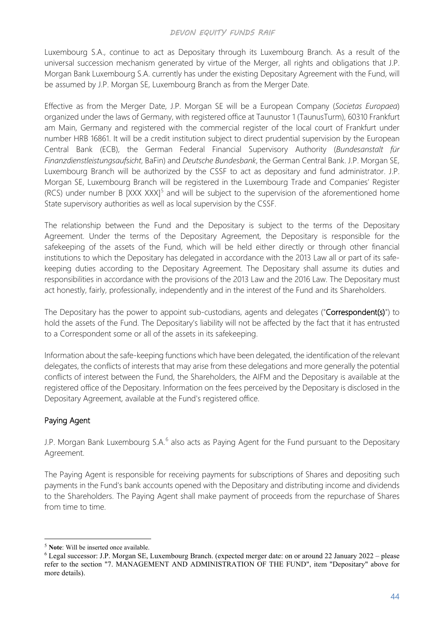Luxembourg S.A., continue to act as Depositary through its Luxembourg Branch. As a result of the universal succession mechanism generated by virtue of the Merger, all rights and obligations that J.P. Morgan Bank Luxembourg S.A. currently has under the existing Depositary Agreement with the Fund, will be assumed by J.P. Morgan SE, Luxembourg Branch as from the Merger Date.

Effective as from the Merger Date, J.P. Morgan SE will be a European Company (*Societas Europaea*) organized under the laws of Germany, with registered office at Taunustor 1 (TaunusTurm), 60310 Frankfurt am Main, Germany and registered with the commercial register of the local court of Frankfurt under number HRB 16861. It will be a credit institution subject to direct prudential supervision by the European Central Bank (ECB), the German Federal Financial Supervisory Authority (*Bundesanstalt für Finanzdienstleistungsaufsicht*, BaFin) and *Deutsche Bundesbank*, the German Central Bank. J.P. Morgan SE, Luxembourg Branch will be authorized by the CSSF to act as depositary and fund administrator. J.P. Morgan SE, Luxembourg Branch will be registered in the Luxembourg Trade and Companies' Register  $(RCS)$  under number B  $[XXX \, XXX]$ <sup>[5](#page-51-0)</sup> and will be subject to the supervision of the aforementioned home State supervisory authorities as well as local supervision by the CSSF.

The relationship between the Fund and the Depositary is subject to the terms of the Depositary Agreement. Under the terms of the Depositary Agreement, the Depositary is responsible for the safekeeping of the assets of the Fund, which will be held either directly or through other financial institutions to which the Depositary has delegated in accordance with the 2013 Law all or part of its safekeeping duties according to the Depositary Agreement. The Depositary shall assume its duties and responsibilities in accordance with the provisions of the 2013 Law and the 2016 Law. The Depositary must act honestly, fairly, professionally, independently and in the interest of the Fund and its Shareholders.

The Depositary has the power to appoint sub-custodians, agents and delegates ("Correspondent(s)") to hold the assets of the Fund. The Depositary's liability will not be affected by the fact that it has entrusted to a Correspondent some or all of the assets in its safekeeping.

Information about the safe-keeping functions which have been delegated, the identification of the relevant delegates, the conflicts of interests that may arise from these delegations and more generally the potential conflicts of interest between the Fund, the Shareholders, the AIFM and the Depositary is available at the registered office of the Depositary. Information on the fees perceived by the Depositary is disclosed in the Depositary Agreement, available at the Fund's registered office.

# Paying Agent

J.P. Morgan Bank Luxembourg S.A.<sup>[6](#page-51-1)</sup> also acts as Paying Agent for the Fund pursuant to the Depositary Agreement.

The Paying Agent is responsible for receiving payments for subscriptions of Shares and depositing such payments in the Fund's bank accounts opened with the Depositary and distributing income and dividends to the Shareholders. The Paying Agent shall make payment of proceeds from the repurchase of Shares from time to time.

<span id="page-51-0"></span><sup>5</sup> **Note**: Will be inserted once available.

<span id="page-51-1"></span><sup>6</sup> Legal successor: J.P. Morgan SE, Luxembourg Branch. (expected merger date: on or around 22 January 2022 – please refer to the section "7. MANAGEMENT AND ADMINISTRATION OF THE FUND", item "Depositary" above for more details).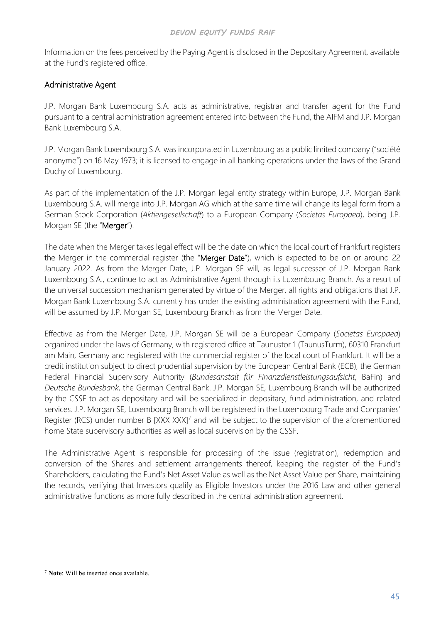Information on the fees perceived by the Paying Agent is disclosed in the Depositary Agreement, available at the Fund's registered office.

### Administrative Agent

J.P. Morgan Bank Luxembourg S.A. acts as administrative, registrar and transfer agent for the Fund pursuant to a central administration agreement entered into between the Fund, the AIFM and J.P. Morgan Bank Luxembourg S.A.

J.P. Morgan Bank Luxembourg S.A. was incorporated in Luxembourg as a public limited company ("société anonyme") on 16 May 1973; it is licensed to engage in all banking operations under the laws of the Grand Duchy of Luxembourg.

As part of the implementation of the J.P. Morgan legal entity strategy within Europe, J.P. Morgan Bank Luxembourg S.A. will merge into J.P. Morgan AG which at the same time will change its legal form from a German Stock Corporation (*Aktiengesellschaft*) to a European Company (*Societas Europaea*), being J.P. Morgan SE (the "Merger").

The date when the Merger takes legal effect will be the date on which the local court of Frankfurt registers the Merger in the commercial register (the "Merger Date"), which is expected to be on or around 22 January 2022. As from the Merger Date, J.P. Morgan SE will, as legal successor of J.P. Morgan Bank Luxembourg S.A., continue to act as Administrative Agent through its Luxembourg Branch. As a result of the universal succession mechanism generated by virtue of the Merger, all rights and obligations that J.P. Morgan Bank Luxembourg S.A. currently has under the existing administration agreement with the Fund, will be assumed by J.P. Morgan SE, Luxembourg Branch as from the Merger Date.

Effective as from the Merger Date, J.P. Morgan SE will be a European Company (*Societas Europaea*) organized under the laws of Germany, with registered office at Taunustor 1 (TaunusTurm), 60310 Frankfurt am Main, Germany and registered with the commercial register of the local court of Frankfurt. It will be a credit institution subject to direct prudential supervision by the European Central Bank (ECB), the German Federal Financial Supervisory Authority (*Bundesanstalt für Finanzdienstleistungsaufsicht*, BaFin) and *Deutsche Bundesbank*, the German Central Bank. J.P. Morgan SE, Luxembourg Branch will be authorized by the CSSF to act as depositary and will be specialized in depositary, fund administration, and related services. J.P. Morgan SE, Luxembourg Branch will be registered in the Luxembourg Trade and Companies' Register (RCS) under number B  $[XXX \, XXX]$  and will be subject to the supervision of the aforementioned home State supervisory authorities as well as local supervision by the CSSF.

The Administrative Agent is responsible for processing of the issue (registration), redemption and conversion of the Shares and settlement arrangements thereof, keeping the register of the Fund's Shareholders, calculating the Fund's Net Asset Value as well as the Net Asset Value per Share, maintaining the records, verifying that Investors qualify as Eligible Investors under the 2016 Law and other general administrative functions as more fully described in the central administration agreement.

<span id="page-52-0"></span><sup>7</sup> **Note**: Will be inserted once available.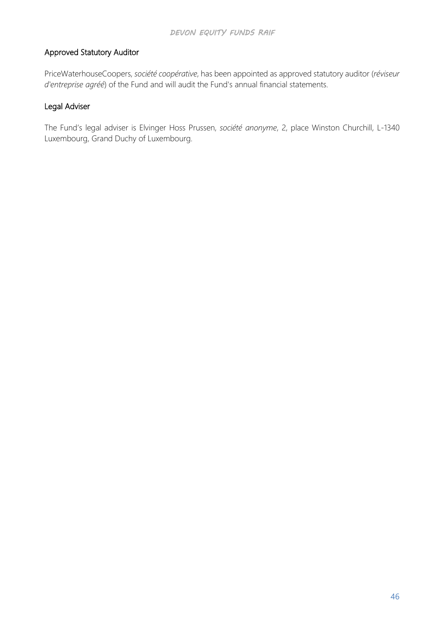### Approved Statutory Auditor

PriceWaterhouseCoopers, *société coopérative*, has been appointed as approved statutory auditor (*réviseur d'entreprise agréé*) of the Fund and will audit the Fund's annual financial statements.

### Legal Adviser

The Fund's legal adviser is Elvinger Hoss Prussen, *société anonyme*, 2, place Winston Churchill, L-1340 Luxembourg, Grand Duchy of Luxembourg.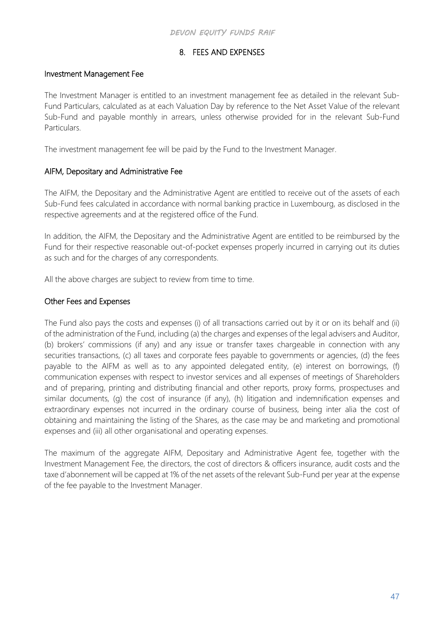## 8. FEES AND EXPENSES

### Investment Management Fee

The Investment Manager is entitled to an investment management fee as detailed in the relevant Sub-Fund Particulars, calculated as at each Valuation Day by reference to the Net Asset Value of the relevant Sub-Fund and payable monthly in arrears, unless otherwise provided for in the relevant Sub-Fund Particulars.

The investment management fee will be paid by the Fund to the Investment Manager.

### AIFM, Depositary and Administrative Fee

The AIFM, the Depositary and the Administrative Agent are entitled to receive out of the assets of each Sub-Fund fees calculated in accordance with normal banking practice in Luxembourg, as disclosed in the respective agreements and at the registered office of the Fund.

In addition, the AIFM, the Depositary and the Administrative Agent are entitled to be reimbursed by the Fund for their respective reasonable out-of-pocket expenses properly incurred in carrying out its duties as such and for the charges of any correspondents.

All the above charges are subject to review from time to time.

### Other Fees and Expenses

The Fund also pays the costs and expenses (i) of all transactions carried out by it or on its behalf and (ii) of the administration of the Fund, including (a) the charges and expenses of the legal advisers and Auditor, (b) brokers' commissions (if any) and any issue or transfer taxes chargeable in connection with any securities transactions, (c) all taxes and corporate fees payable to governments or agencies, (d) the fees payable to the AIFM as well as to any appointed delegated entity, (e) interest on borrowings, (f) communication expenses with respect to investor services and all expenses of meetings of Shareholders and of preparing, printing and distributing financial and other reports, proxy forms, prospectuses and similar documents, (g) the cost of insurance (if any), (h) litigation and indemnification expenses and extraordinary expenses not incurred in the ordinary course of business, being inter alia the cost of obtaining and maintaining the listing of the Shares, as the case may be and marketing and promotional expenses and (iii) all other organisational and operating expenses.

The maximum of the aggregate AIFM, Depositary and Administrative Agent fee, together with the Investment Management Fee, the directors, the cost of directors & officers insurance, audit costs and the taxe d'abonnement will be capped at 1% of the net assets of the relevant Sub-Fund per year at the expense of the fee payable to the Investment Manager.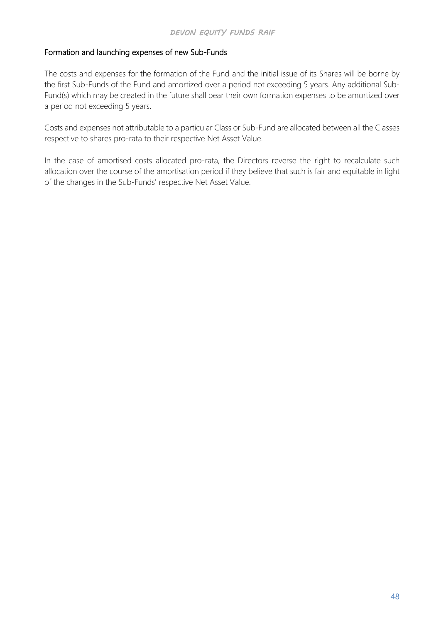### Formation and launching expenses of new Sub-Funds

The costs and expenses for the formation of the Fund and the initial issue of its Shares will be borne by the first Sub-Funds of the Fund and amortized over a period not exceeding 5 years. Any additional Sub-Fund(s) which may be created in the future shall bear their own formation expenses to be amortized over a period not exceeding 5 years.

Costs and expenses not attributable to a particular Class or Sub-Fund are allocated between all the Classes respective to shares pro-rata to their respective Net Asset Value.

In the case of amortised costs allocated pro-rata, the Directors reverse the right to recalculate such allocation over the course of the amortisation period if they believe that such is fair and equitable in light of the changes in the Sub-Funds' respective Net Asset Value.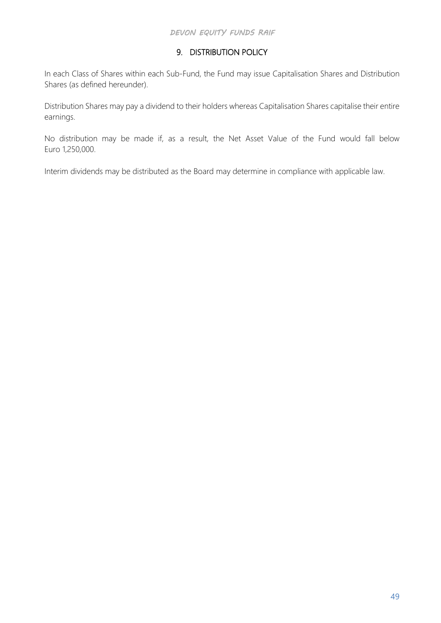# 9. DISTRIBUTION POLICY

In each Class of Shares within each Sub-Fund, the Fund may issue Capitalisation Shares and Distribution Shares (as defined hereunder).

Distribution Shares may pay a dividend to their holders whereas Capitalisation Shares capitalise their entire earnings.

No distribution may be made if, as a result, the Net Asset Value of the Fund would fall below Euro 1,250,000.

Interim dividends may be distributed as the Board may determine in compliance with applicable law.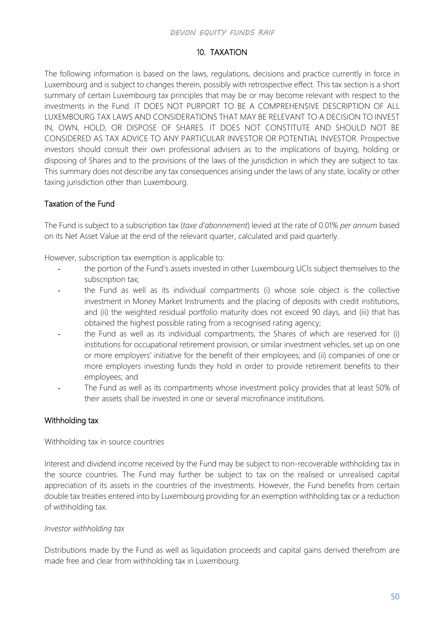### 10. TAXATION

The following information is based on the laws, regulations, decisions and practice currently in force in Luxembourg and is subject to changes therein, possibly with retrospective effect. This tax section is a short summary of certain Luxembourg tax principles that may be or may become relevant with respect to the investments in the Fund. IT DOES NOT PURPORT TO BE A COMPREHENSIVE DESCRIPTION OF ALL LUXEMBOURG TAX LAWS AND CONSIDERATIONS THAT MAY BE RELEVANT TO A DECISION TO INVEST IN, OWN, HOLD, OR DISPOSE OF SHARES. IT DOES NOT CONSTITUTE AND SHOULD NOT BE CONSIDERED AS TAX ADVICE TO ANY PARTICULAR INVESTOR OR POTENTIAL INVESTOR. Prospective investors should consult their own professional advisers as to the implications of buying, holding or disposing of Shares and to the provisions of the laws of the jurisdiction in which they are subject to tax. This summary does not describe any tax consequences arising under the laws of any state, locality or other taxing jurisdiction other than Luxembourg.

## Taxation of the Fund

The Fund is subject to a subscription tax (*taxe d'abonnement*) levied at the rate of 0.01% *per annum* based on its Net Asset Value at the end of the relevant quarter, calculated and paid quarterly.

However, subscription tax exemption is applicable to:

- the portion of the Fund's assets invested in other Luxembourg UCIs subject themselves to the subscription tax;
- the Fund as well as its individual compartments (i) whose sole object is the collective investment in Money Market Instruments and the placing of deposits with credit institutions, and (ii) the weighted residual portfolio maturity does not exceed 90 days, and (iii) that has obtained the highest possible rating from a recognised rating agency;
- the Fund as well as its individual compartments, the Shares of which are reserved for (i) institutions for occupational retirement provision, or similar investment vehicles, set up on one or more employers' initiative for the benefit of their employees; and (ii) companies of one or more employers investing funds they hold in order to provide retirement benefits to their employees; and
- The Fund as well as its compartments whose investment policy provides that at least 50% of their assets shall be invested in one or several microfinance institutions.

## Withholding tax

Withholding tax in source countries

Interest and dividend income received by the Fund may be subject to non-recoverable withholding tax in the source countries. The Fund may further be subject to tax on the realised or unrealised capital appreciation of its assets in the countries of the investments. However, the Fund benefits from certain double tax treaties entered into by Luxembourg providing for an exemption withholding tax or a reduction of withholding tax.

### *Investor withholding tax*

Distributions made by the Fund as well as liquidation proceeds and capital gains derived therefrom are made free and clear from withholding tax in Luxembourg.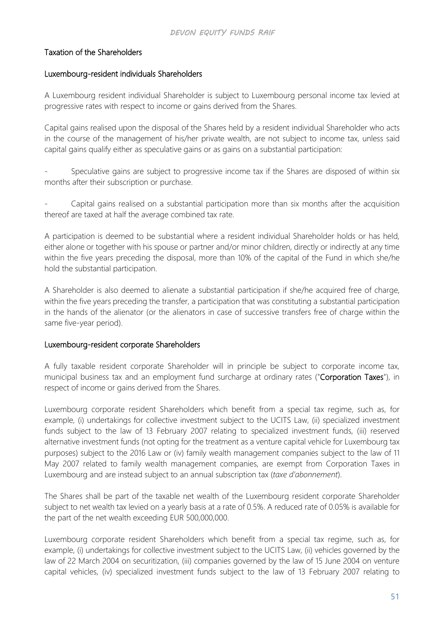### Taxation of the Shareholders

#### Luxembourg-resident individuals Shareholders

A Luxembourg resident individual Shareholder is subject to Luxembourg personal income tax levied at progressive rates with respect to income or gains derived from the Shares.

Capital gains realised upon the disposal of the Shares held by a resident individual Shareholder who acts in the course of the management of his/her private wealth, are not subject to income tax, unless said capital gains qualify either as speculative gains or as gains on a substantial participation:

Speculative gains are subject to progressive income tax if the Shares are disposed of within six months after their subscription or purchase.

Capital gains realised on a substantial participation more than six months after the acquisition thereof are taxed at half the average combined tax rate.

A participation is deemed to be substantial where a resident individual Shareholder holds or has held, either alone or together with his spouse or partner and/or minor children, directly or indirectly at any time within the five years preceding the disposal, more than 10% of the capital of the Fund in which she/he hold the substantial participation.

A Shareholder is also deemed to alienate a substantial participation if she/he acquired free of charge, within the five years preceding the transfer, a participation that was constituting a substantial participation in the hands of the alienator (or the alienators in case of successive transfers free of charge within the same five-year period).

#### Luxembourg-resident corporate Shareholders

A fully taxable resident corporate Shareholder will in principle be subject to corporate income tax, municipal business tax and an employment fund surcharge at ordinary rates ("Corporation Taxes"), in respect of income or gains derived from the Shares.

Luxembourg corporate resident Shareholders which benefit from a special tax regime, such as, for example, (i) undertakings for collective investment subject to the UCITS Law, (ii) specialized investment funds subject to the law of 13 February 2007 relating to specialized investment funds, (iii) reserved alternative investment funds (not opting for the treatment as a venture capital vehicle for Luxembourg tax purposes) subject to the 2016 Law or (iv) family wealth management companies subject to the law of 11 May 2007 related to family wealth management companies, are exempt from Corporation Taxes in Luxembourg and are instead subject to an annual subscription tax (*taxe d'abonnement*).

The Shares shall be part of the taxable net wealth of the Luxembourg resident corporate Shareholder subject to net wealth tax levied on a yearly basis at a rate of 0.5%. A reduced rate of 0.05% is available for the part of the net wealth exceeding EUR 500,000,000.

Luxembourg corporate resident Shareholders which benefit from a special tax regime, such as, for example, (i) undertakings for collective investment subject to the UCITS Law, (ii) vehicles governed by the law of 22 March 2004 on securitization, (iii) companies governed by the law of 15 June 2004 on venture capital vehicles, (iv) specialized investment funds subject to the law of 13 February 2007 relating to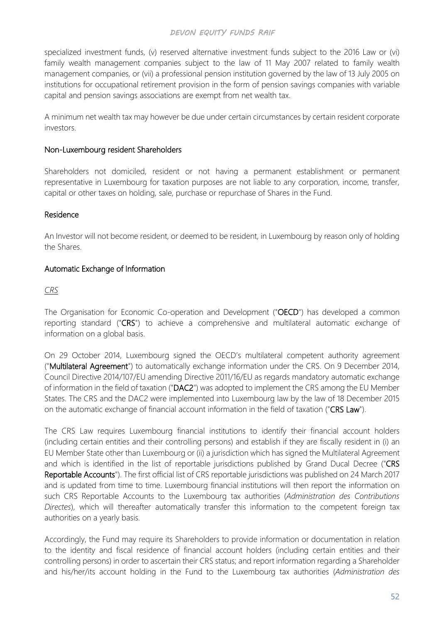specialized investment funds, (v) reserved alternative investment funds subject to the 2016 Law or (vi) family wealth management companies subject to the law of 11 May 2007 related to family wealth management companies, or (vii) a professional pension institution governed by the law of 13 July 2005 on institutions for occupational retirement provision in the form of pension savings companies with variable capital and pension savings associations are exempt from net wealth tax.

A minimum net wealth tax may however be due under certain circumstances by certain resident corporate investors.

#### Non-Luxembourg resident Shareholders

Shareholders not domiciled, resident or not having a permanent establishment or permanent representative in Luxembourg for taxation purposes are not liable to any corporation, income, transfer, capital or other taxes on holding, sale, purchase or repurchase of Shares in the Fund.

#### Residence

An Investor will not become resident, or deemed to be resident, in Luxembourg by reason only of holding the Shares.

#### Automatic Exchange of Information

#### *CRS*

The Organisation for Economic Co-operation and Development ("OECD") has developed a common reporting standard ("CRS") to achieve a comprehensive and multilateral automatic exchange of information on a global basis.

On 29 October 2014, Luxembourg signed the OECD's multilateral competent authority agreement ("Multilateral Agreement") to automatically exchange information under the CRS. On 9 December 2014, Council Directive 2014/107/EU amending Directive 2011/16/EU as regards mandatory automatic exchange of information in the field of taxation ("DAC2") was adopted to implement the CRS among the EU Member States. The CRS and the DAC2 were implemented into Luxembourg law by the law of 18 December 2015 on the automatic exchange of financial account information in the field of taxation ("CRS Law").

The CRS Law requires Luxembourg financial institutions to identify their financial account holders (including certain entities and their controlling persons) and establish if they are fiscally resident in (i) an EU Member State other than Luxembourg or (ii) a jurisdiction which has signed the Multilateral Agreement and which is identified in the list of reportable jurisdictions published by Grand Ducal Decree ("CRS Reportable Accounts"). The first official list of CRS reportable jurisdictions was published on 24 March 2017 and is updated from time to time. Luxembourg financial institutions will then report the information on such CRS Reportable Accounts to the Luxembourg tax authorities (*Administration des Contributions Directes*), which will thereafter automatically transfer this information to the competent foreign tax authorities on a yearly basis.

Accordingly, the Fund may require its Shareholders to provide information or documentation in relation to the identity and fiscal residence of financial account holders (including certain entities and their controlling persons) in order to ascertain their CRS status; and report information regarding a Shareholder and his/her/its account holding in the Fund to the Luxembourg tax authorities (*Administration des*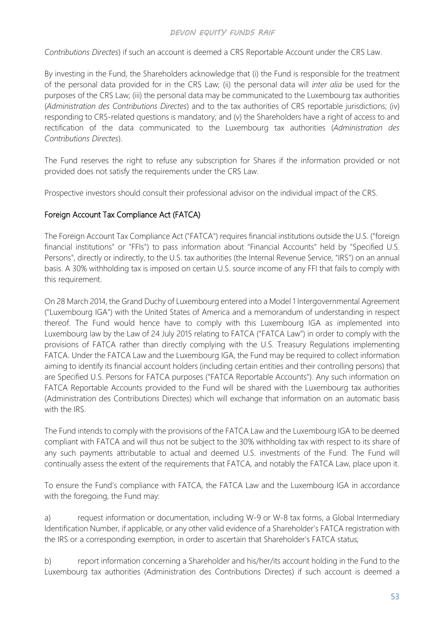*Contributions Directes*) if such an account is deemed a CRS Reportable Account under the CRS Law.

By investing in the Fund, the Shareholders acknowledge that (i) the Fund is responsible for the treatment of the personal data provided for in the CRS Law; (ii) the personal data will *inter alia* be used for the purposes of the CRS Law; (iii) the personal data may be communicated to the Luxembourg tax authorities (*Administration des Contributions Directes*) and to the tax authorities of CRS reportable jurisdictions; (iv) responding to CRS-related questions is mandatory; and (v) the Shareholders have a right of access to and rectification of the data communicated to the Luxembourg tax authorities (*Administration des Contributions Directes*).

The Fund reserves the right to refuse any subscription for Shares if the information provided or not provided does not satisfy the requirements under the CRS Law.

Prospective investors should consult their professional advisor on the individual impact of the CRS.

## Foreign Account Tax Compliance Act (FATCA)

The Foreign Account Tax Compliance Act ("FATCA") requires financial institutions outside the U.S. ("foreign financial institutions" or "FFIs") to pass information about "Financial Accounts" held by "Specified U.S. Persons", directly or indirectly, to the U.S. tax authorities (the Internal Revenue Service, "IRS") on an annual basis. A 30% withholding tax is imposed on certain U.S. source income of any FFI that fails to comply with this requirement.

On 28 March 2014, the Grand Duchy of Luxembourg entered into a Model 1 Intergovernmental Agreement ("Luxembourg IGA") with the United States of America and a memorandum of understanding in respect thereof. The Fund would hence have to comply with this Luxembourg IGA as implemented into Luxembourg law by the Law of 24 July 2015 relating to FATCA ("FATCA Law") in order to comply with the provisions of FATCA rather than directly complying with the U.S. Treasury Regulations implementing FATCA. Under the FATCA Law and the Luxembourg IGA, the Fund may be required to collect information aiming to identify its financial account holders (including certain entities and their controlling persons) that are Specified U.S. Persons for FATCA purposes ("FATCA Reportable Accounts"). Any such information on FATCA Reportable Accounts provided to the Fund will be shared with the Luxembourg tax authorities (Administration des Contributions Directes) which will exchange that information on an automatic basis with the IRS.

The Fund intends to comply with the provisions of the FATCA Law and the Luxembourg IGA to be deemed compliant with FATCA and will thus not be subject to the 30% withholding tax with respect to its share of any such payments attributable to actual and deemed U.S. investments of the Fund. The Fund will continually assess the extent of the requirements that FATCA, and notably the FATCA Law, place upon it.

To ensure the Fund's compliance with FATCA, the FATCA Law and the Luxembourg IGA in accordance with the foregoing, the Fund may:

a) request information or documentation, including W-9 or W-8 tax forms, a Global Intermediary Identification Number, if applicable, or any other valid evidence of a Shareholder's FATCA registration with the IRS or a corresponding exemption, in order to ascertain that Shareholder's FATCA status;

b) report information concerning a Shareholder and his/her/its account holding in the Fund to the Luxembourg tax authorities (Administration des Contributions Directes) if such account is deemed a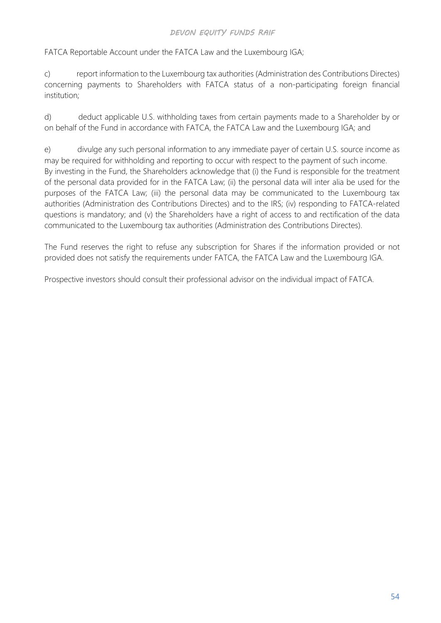FATCA Reportable Account under the FATCA Law and the Luxembourg IGA;

c) report information to the Luxembourg tax authorities (Administration des Contributions Directes) concerning payments to Shareholders with FATCA status of a non-participating foreign financial institution;

d) deduct applicable U.S. withholding taxes from certain payments made to a Shareholder by or on behalf of the Fund in accordance with FATCA, the FATCA Law and the Luxembourg IGA; and

e) divulge any such personal information to any immediate payer of certain U.S. source income as may be required for withholding and reporting to occur with respect to the payment of such income. By investing in the Fund, the Shareholders acknowledge that (i) the Fund is responsible for the treatment of the personal data provided for in the FATCA Law; (ii) the personal data will inter alia be used for the purposes of the FATCA Law; (iii) the personal data may be communicated to the Luxembourg tax authorities (Administration des Contributions Directes) and to the IRS; (iv) responding to FATCA-related questions is mandatory; and (v) the Shareholders have a right of access to and rectification of the data communicated to the Luxembourg tax authorities (Administration des Contributions Directes).

The Fund reserves the right to refuse any subscription for Shares if the information provided or not provided does not satisfy the requirements under FATCA, the FATCA Law and the Luxembourg IGA.

Prospective investors should consult their professional advisor on the individual impact of FATCA.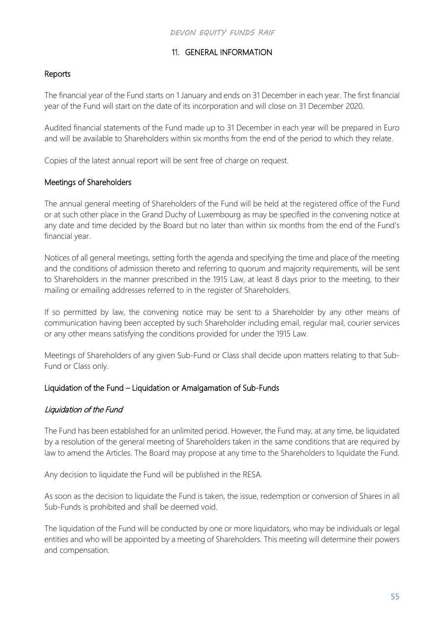# 11. GENERAL INFORMATION

### Reports

The financial year of the Fund starts on 1 January and ends on 31 December in each year. The first financial year of the Fund will start on the date of its incorporation and will close on 31 December 2020.

Audited financial statements of the Fund made up to 31 December in each year will be prepared in Euro and will be available to Shareholders within six months from the end of the period to which they relate.

Copies of the latest annual report will be sent free of charge on request.

### Meetings of Shareholders

The annual general meeting of Shareholders of the Fund will be held at the registered office of the Fund or at such other place in the Grand Duchy of Luxembourg as may be specified in the convening notice at any date and time decided by the Board but no later than within six months from the end of the Fund's financial year.

Notices of all general meetings, setting forth the agenda and specifying the time and place of the meeting and the conditions of admission thereto and referring to quorum and majority requirements, will be sent to Shareholders in the manner prescribed in the 1915 Law, at least 8 days prior to the meeting, to their mailing or emailing addresses referred to in the register of Shareholders.

If so permitted by law, the convening notice may be sent to a Shareholder by any other means of communication having been accepted by such Shareholder including email, regular mail, courier services or any other means satisfying the conditions provided for under the 1915 Law.

Meetings of Shareholders of any given Sub-Fund or Class shall decide upon matters relating to that Sub-Fund or Class only.

### Liquidation of the Fund – Liquidation or Amalgamation of Sub-Funds

# Liquidation of the Fund

The Fund has been established for an unlimited period. However, the Fund may, at any time, be liquidated by a resolution of the general meeting of Shareholders taken in the same conditions that are required by law to amend the Articles. The Board may propose at any time to the Shareholders to liquidate the Fund.

Any decision to liquidate the Fund will be published in the RESA.

As soon as the decision to liquidate the Fund is taken, the issue, redemption or conversion of Shares in all Sub-Funds is prohibited and shall be deemed void.

The liquidation of the Fund will be conducted by one or more liquidators, who may be individuals or legal entities and who will be appointed by a meeting of Shareholders. This meeting will determine their powers and compensation.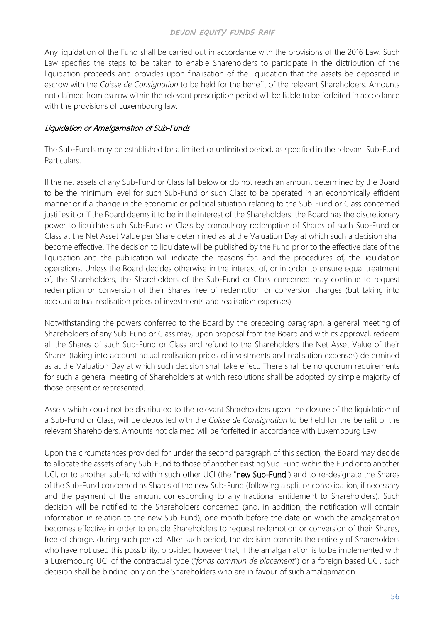Any liquidation of the Fund shall be carried out in accordance with the provisions of the 2016 Law. Such Law specifies the steps to be taken to enable Shareholders to participate in the distribution of the liquidation proceeds and provides upon finalisation of the liquidation that the assets be deposited in escrow with the *Caisse de Consignation* to be held for the benefit of the relevant Shareholders. Amounts not claimed from escrow within the relevant prescription period will be liable to be forfeited in accordance with the provisions of Luxembourg law.

#### Liquidation or Amalgamation of Sub-Funds

The Sub-Funds may be established for a limited or unlimited period, as specified in the relevant Sub-Fund Particulars.

If the net assets of any Sub-Fund or Class fall below or do not reach an amount determined by the Board to be the minimum level for such Sub-Fund or such Class to be operated in an economically efficient manner or if a change in the economic or political situation relating to the Sub-Fund or Class concerned justifies it or if the Board deems it to be in the interest of the Shareholders, the Board has the discretionary power to liquidate such Sub-Fund or Class by compulsory redemption of Shares of such Sub-Fund or Class at the Net Asset Value per Share determined as at the Valuation Day at which such a decision shall become effective. The decision to liquidate will be published by the Fund prior to the effective date of the liquidation and the publication will indicate the reasons for, and the procedures of, the liquidation operations. Unless the Board decides otherwise in the interest of, or in order to ensure equal treatment of, the Shareholders, the Shareholders of the Sub-Fund or Class concerned may continue to request redemption or conversion of their Shares free of redemption or conversion charges (but taking into account actual realisation prices of investments and realisation expenses).

Notwithstanding the powers conferred to the Board by the preceding paragraph, a general meeting of Shareholders of any Sub-Fund or Class may, upon proposal from the Board and with its approval, redeem all the Shares of such Sub-Fund or Class and refund to the Shareholders the Net Asset Value of their Shares (taking into account actual realisation prices of investments and realisation expenses) determined as at the Valuation Day at which such decision shall take effect. There shall be no quorum requirements for such a general meeting of Shareholders at which resolutions shall be adopted by simple majority of those present or represented.

Assets which could not be distributed to the relevant Shareholders upon the closure of the liquidation of a Sub-Fund or Class, will be deposited with the *Caisse de Consignation* to be held for the benefit of the relevant Shareholders. Amounts not claimed will be forfeited in accordance with Luxembourg Law.

Upon the circumstances provided for under the second paragraph of this section, the Board may decide to allocate the assets of any Sub-Fund to those of another existing Sub-Fund within the Fund or to another UCI, or to another sub-fund within such other UCI (the "new Sub-Fund") and to re-designate the Shares of the Sub-Fund concerned as Shares of the new Sub-Fund (following a split or consolidation, if necessary and the payment of the amount corresponding to any fractional entitlement to Shareholders). Such decision will be notified to the Shareholders concerned (and, in addition, the notification will contain information in relation to the new Sub-Fund), one month before the date on which the amalgamation becomes effective in order to enable Shareholders to request redemption or conversion of their Shares, free of charge, during such period. After such period, the decision commits the entirety of Shareholders who have not used this possibility, provided however that, if the amalgamation is to be implemented with a Luxembourg UCI of the contractual type ("*fonds commun de placement*") or a foreign based UCI, such decision shall be binding only on the Shareholders who are in favour of such amalgamation.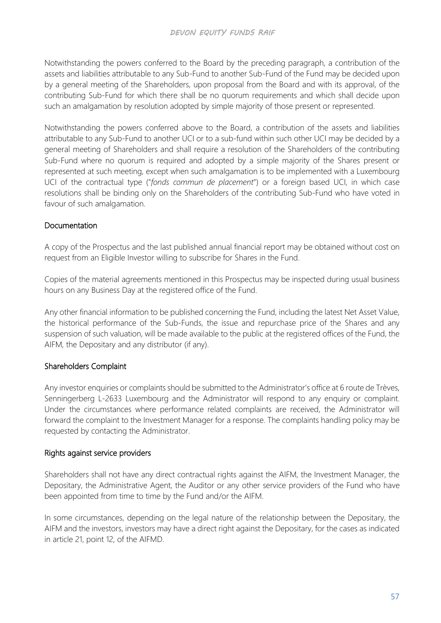Notwithstanding the powers conferred to the Board by the preceding paragraph, a contribution of the assets and liabilities attributable to any Sub-Fund to another Sub-Fund of the Fund may be decided upon by a general meeting of the Shareholders, upon proposal from the Board and with its approval, of the contributing Sub-Fund for which there shall be no quorum requirements and which shall decide upon such an amalgamation by resolution adopted by simple majority of those present or represented.

Notwithstanding the powers conferred above to the Board, a contribution of the assets and liabilities attributable to any Sub-Fund to another UCI or to a sub-fund within such other UCI may be decided by a general meeting of Shareholders and shall require a resolution of the Shareholders of the contributing Sub-Fund where no quorum is required and adopted by a simple majority of the Shares present or represented at such meeting, except when such amalgamation is to be implemented with a Luxembourg UCI of the contractual type ("*fonds commun de placement*") or a foreign based UCI, in which case resolutions shall be binding only on the Shareholders of the contributing Sub-Fund who have voted in favour of such amalgamation.

# Documentation

A copy of the Prospectus and the last published annual financial report may be obtained without cost on request from an Eligible Investor willing to subscribe for Shares in the Fund.

Copies of the material agreements mentioned in this Prospectus may be inspected during usual business hours on any Business Day at the registered office of the Fund.

Any other financial information to be published concerning the Fund, including the latest Net Asset Value, the historical performance of the Sub-Funds, the issue and repurchase price of the Shares and any suspension of such valuation, will be made available to the public at the registered offices of the Fund, the AIFM, the Depositary and any distributor (if any).

## Shareholders Complaint

Any investor enquiries or complaints should be submitted to the Administrator's office at 6 route de Trèves, Senningerberg L-2633 Luxembourg and the Administrator will respond to any enquiry or complaint. Under the circumstances where performance related complaints are received, the Administrator will forward the complaint to the Investment Manager for a response. The complaints handling policy may be requested by contacting the Administrator.

## Rights against service providers

Shareholders shall not have any direct contractual rights against the AIFM, the Investment Manager, the Depositary, the Administrative Agent, the Auditor or any other service providers of the Fund who have been appointed from time to time by the Fund and/or the AIFM.

In some circumstances, depending on the legal nature of the relationship between the Depositary, the AIFM and the investors, investors may have a direct right against the Depositary, for the cases as indicated in article 21, point 12, of the AIFMD.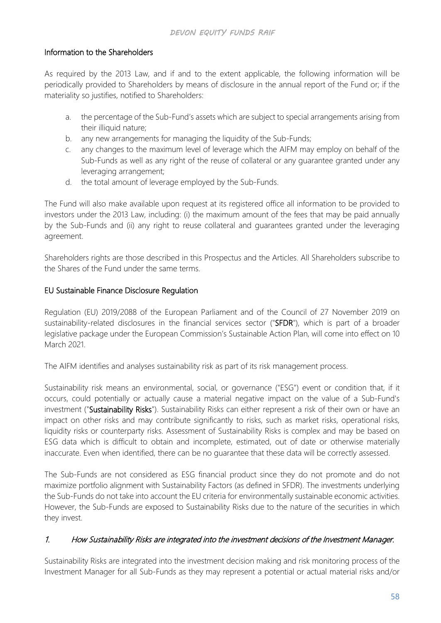# Information to the Shareholders

As required by the 2013 Law, and if and to the extent applicable, the following information will be periodically provided to Shareholders by means of disclosure in the annual report of the Fund or; if the materiality so justifies, notified to Shareholders:

- a. the percentage of the Sub-Fund's assets which are subject to special arrangements arising from their illiquid nature;
- b. any new arrangements for managing the liquidity of the Sub-Funds;
- c. any changes to the maximum level of leverage which the AIFM may employ on behalf of the Sub-Funds as well as any right of the reuse of collateral or any guarantee granted under any leveraging arrangement;
- d. the total amount of leverage employed by the Sub-Funds.

The Fund will also make available upon request at its registered office all information to be provided to investors under the 2013 Law, including: (i) the maximum amount of the fees that may be paid annually by the Sub-Funds and (ii) any right to reuse collateral and guarantees granted under the leveraging agreement.

Shareholders rights are those described in this Prospectus and the Articles. All Shareholders subscribe to the Shares of the Fund under the same terms.

### EU Sustainable Finance Disclosure Regulation

Regulation (EU) 2019/2088 of the European Parliament and of the Council of 27 November 2019 on sustainability-related disclosures in the financial services sector ("SFDR"), which is part of a broader legislative package under the European Commission's Sustainable Action Plan, will come into effect on 10 March 2021.

The AIFM identifies and analyses sustainability risk as part of its risk management process.

Sustainability risk means an environmental, social, or governance ("ESG") event or condition that, if it occurs, could potentially or actually cause a material negative impact on the value of a Sub-Fund's investment ("Sustainability Risks"). Sustainability Risks can either represent a risk of their own or have an impact on other risks and may contribute significantly to risks, such as market risks, operational risks, liquidity risks or counterparty risks. Assessment of Sustainability Risks is complex and may be based on ESG data which is difficult to obtain and incomplete, estimated, out of date or otherwise materially inaccurate. Even when identified, there can be no guarantee that these data will be correctly assessed.

The Sub-Funds are not considered as ESG financial product since they do not promote and do not maximize portfolio alignment with Sustainability Factors (as defined in SFDR). The investments underlying the Sub-Funds do not take into account the EU criteria for environmentally sustainable economic activities. However, the Sub-Funds are exposed to Sustainability Risks due to the nature of the securities in which they invest.

## 1. How Sustainability Risks are integrated into the investment decisions of the Investment Manager.

Sustainability Risks are integrated into the investment decision making and risk monitoring process of the Investment Manager for all Sub-Funds as they may represent a potential or actual material risks and/or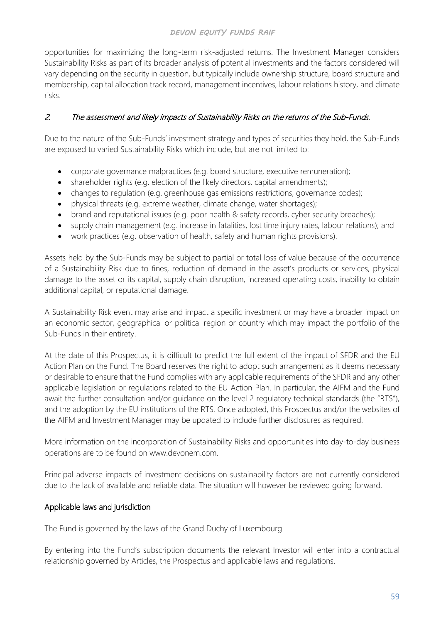opportunities for maximizing the long-term risk-adjusted returns. The Investment Manager considers Sustainability Risks as part of its broader analysis of potential investments and the factors considered will vary depending on the security in question, but typically include ownership structure, board structure and membership, capital allocation track record, management incentives, labour relations history, and climate risks.

### 2. The assessment and likely impacts of Sustainability Risks on the returns of the Sub-Funds.

Due to the nature of the Sub-Funds' investment strategy and types of securities they hold, the Sub-Funds are exposed to varied Sustainability Risks which include, but are not limited to:

- corporate governance malpractices (e.g. board structure, executive remuneration);
- shareholder rights (e.g. election of the likely directors, capital amendments);
- changes to regulation (e.g. greenhouse gas emissions restrictions, governance codes);
- physical threats (e.g. extreme weather, climate change, water shortages);
- brand and reputational issues (e.g. poor health & safety records, cyber security breaches);
- supply chain management (e.g. increase in fatalities, lost time injury rates, labour relations); and
- work practices (e.g. observation of health, safety and human rights provisions).

Assets held by the Sub-Funds may be subject to partial or total loss of value because of the occurrence of a Sustainability Risk due to fines, reduction of demand in the asset's products or services, physical damage to the asset or its capital, supply chain disruption, increased operating costs, inability to obtain additional capital, or reputational damage.

A Sustainability Risk event may arise and impact a specific investment or may have a broader impact on an economic sector, geographical or political region or country which may impact the portfolio of the Sub-Funds in their entirety.

At the date of this Prospectus, it is difficult to predict the full extent of the impact of SFDR and the EU Action Plan on the Fund. The Board reserves the right to adopt such arrangement as it deems necessary or desirable to ensure that the Fund complies with any applicable requirements of the SFDR and any other applicable legislation or regulations related to the EU Action Plan. In particular, the AIFM and the Fund await the further consultation and/or guidance on the level 2 regulatory technical standards (the "RTS"), and the adoption by the EU institutions of the RTS. Once adopted, this Prospectus and/or the websites of the AIFM and Investment Manager may be updated to include further disclosures as required.

More information on the incorporation of Sustainability Risks and opportunities into day-to-day business operations are to be found on [www.devonem.com.](http://www.devonem.com/)

Principal adverse impacts of investment decisions on sustainability factors are not currently considered due to the lack of available and reliable data. The situation will however be reviewed going forward.

## Applicable laws and jurisdiction

The Fund is governed by the laws of the Grand Duchy of Luxembourg.

By entering into the Fund's subscription documents the relevant Investor will enter into a contractual relationship governed by Articles, the Prospectus and applicable laws and regulations.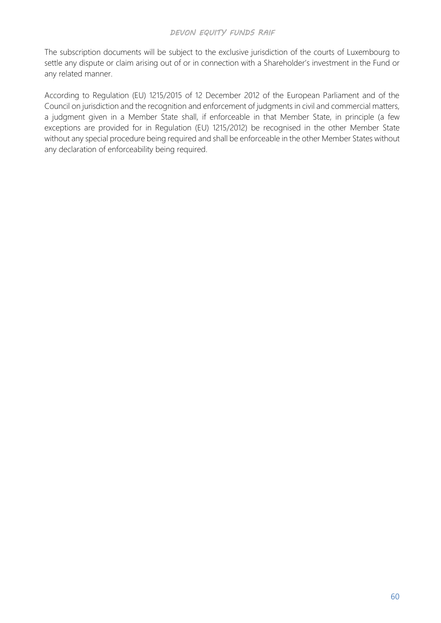The subscription documents will be subject to the exclusive jurisdiction of the courts of Luxembourg to settle any dispute or claim arising out of or in connection with a Shareholder's investment in the Fund or any related manner.

According to Regulation (EU) 1215/2015 of 12 December 2012 of the European Parliament and of the Council on jurisdiction and the recognition and enforcement of judgments in civil and commercial matters, a judgment given in a Member State shall, if enforceable in that Member State, in principle (a few exceptions are provided for in Regulation (EU) 1215/2012) be recognised in the other Member State without any special procedure being required and shall be enforceable in the other Member States without any declaration of enforceability being required.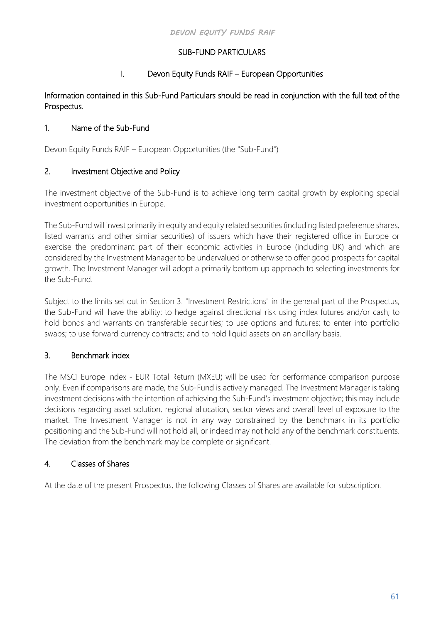# SUB-FUND PARTICULARS

# I. Devon Equity Funds RAIF – European Opportunities

### Information contained in this Sub-Fund Particulars should be read in conjunction with the full text of the Prospectus.

# 1. Name of the Sub-Fund

Devon Equity Funds RAIF – European Opportunities (the "Sub-Fund")

# 2. Investment Objective and Policy

The investment objective of the Sub-Fund is to achieve long term capital growth by exploiting special investment opportunities in Europe.

The Sub-Fund will invest primarily in equity and equity related securities (including listed preference shares, listed warrants and other similar securities) of issuers which have their registered office in Europe or exercise the predominant part of their economic activities in Europe (including UK) and which are considered by the Investment Manager to be undervalued or otherwise to offer good prospects for capital growth. The Investment Manager will adopt a primarily bottom up approach to selecting investments for the Sub-Fund.

Subject to the limits set out in Section 3. "Investment Restrictions" in the general part of the Prospectus, the Sub-Fund will have the ability: to hedge against directional risk using index futures and/or cash; to hold bonds and warrants on transferable securities; to use options and futures; to enter into portfolio swaps; to use forward currency contracts; and to hold liquid assets on an ancillary basis.

# 3. Benchmark index

The MSCI Europe Index - EUR Total Return (MXEU) will be used for performance comparison purpose only. Even if comparisons are made, the Sub-Fund is actively managed. The Investment Manager is taking investment decisions with the intention of achieving the Sub-Fund's investment objective; this may include decisions regarding asset solution, regional allocation, sector views and overall level of exposure to the market. The Investment Manager is not in any way constrained by the benchmark in its portfolio positioning and the Sub-Fund will not hold all, or indeed may not hold any of the benchmark constituents. The deviation from the benchmark may be complete or significant.

## 4. Classes of Shares

At the date of the present Prospectus, the following Classes of Shares are available for subscription.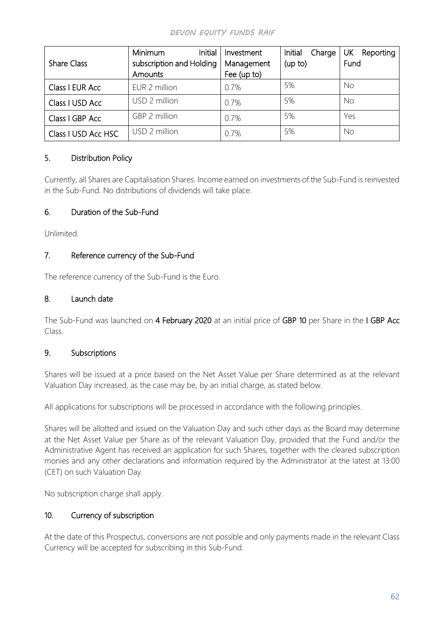| <b>Share Class</b>  | Initial<br>Minimum<br>subscription and Holding<br>Amounts | Investment<br>Management<br>Fee (up to) | Initial<br>Charge<br>(up to) | UK<br>Reporting<br>Fund |
|---------------------|-----------------------------------------------------------|-----------------------------------------|------------------------------|-------------------------|
| Class I EUR Acc     | EUR 2 million                                             | 0.7%                                    | 5%                           | <b>No</b>               |
| Class I USD Acc     | USD 2 million                                             | 0.7%                                    | 5%                           | No                      |
| Class I GBP Acc     | GBP 2 million                                             | 0.7%                                    | 5%                           | Yes                     |
| Class I USD Acc HSC | USD 2 million                                             | 0.7%                                    | 5%                           | No                      |

## 5. Distribution Policy

Currently, all Shares are Capitalisation Shares. Income earned on investments of the Sub-Fund is reinvested in the Sub-Fund. No distributions of dividends will take place.

# 6. Duration of the Sub-Fund

Unlimited.

# 7. Reference currency of the Sub-Fund

The reference currency of the Sub-Fund is the Euro.

## 8. Launch date

The Sub-Fund was launched on 4 February 2020 at an initial price of GBP 10 per Share in the I GBP Acc Class.

## 9. Subscriptions

Shares will be issued at a price based on the Net Asset Value per Share determined as at the relevant Valuation Day increased, as the case may be, by an initial charge, as stated below.

All applications for subscriptions will be processed in accordance with the following principles.

Shares will be allotted and issued on the Valuation Day and such other days as the Board may determine at the Net Asset Value per Share as of the relevant Valuation Day, provided that the Fund and/or the Administrative Agent has received an application for such Shares, together with the cleared subscription monies and any other declarations and information required by the Administrator at the latest at 13:00 (CET) on such Valuation Day.

No subscription charge shall apply.

## 10. Currency of subscription

At the date of this Prospectus, conversions are not possible and only payments made in the relevant Class Currency will be accepted for subscribing in this Sub-Fund.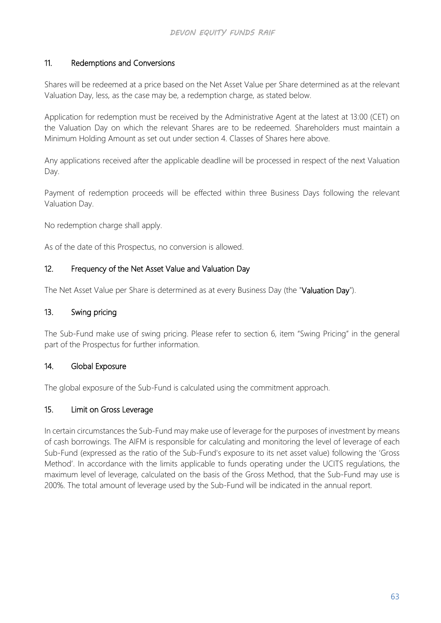## 11. Redemptions and Conversions

Shares will be redeemed at a price based on the Net Asset Value per Share determined as at the relevant Valuation Day, less, as the case may be, a redemption charge, as stated below.

Application for redemption must be received by the Administrative Agent at the latest at 13:00 (CET) on the Valuation Day on which the relevant Shares are to be redeemed. Shareholders must maintain a Minimum Holding Amount as set out under section 4. Classes of Shares here above.

Any applications received after the applicable deadline will be processed in respect of the next Valuation Day.

Payment of redemption proceeds will be effected within three Business Days following the relevant Valuation Day.

No redemption charge shall apply.

As of the date of this Prospectus, no conversion is allowed.

### 12. Frequency of the Net Asset Value and Valuation Day

The Net Asset Value per Share is determined as at every Business Day (the "Valuation Day").

### 13. Swing pricing

The Sub-Fund make use of swing pricing. Please refer to section 6, item "Swing Pricing" in the general part of the Prospectus for further information.

### 14. Global Exposure

The global exposure of the Sub-Fund is calculated using the commitment approach.

### 15. Limit on Gross Leverage

In certain circumstances the Sub-Fund may make use of leverage for the purposes of investment by means of cash borrowings. The AIFM is responsible for calculating and monitoring the level of leverage of each Sub-Fund (expressed as the ratio of the Sub-Fund's exposure to its net asset value) following the 'Gross Method'. In accordance with the limits applicable to funds operating under the UCITS regulations, the maximum level of leverage, calculated on the basis of the Gross Method, that the Sub-Fund may use is 200%. The total amount of leverage used by the Sub-Fund will be indicated in the annual report.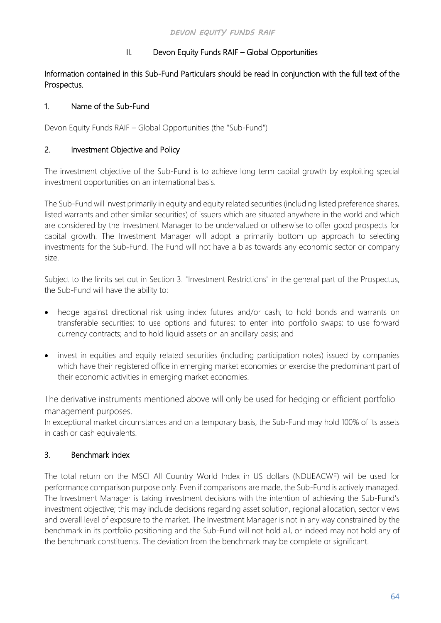# II. Devon Equity Funds RAIF – Global Opportunities

### Information contained in this Sub-Fund Particulars should be read in conjunction with the full text of the Prospectus.

## 1. Name of the Sub-Fund

Devon Equity Funds RAIF – Global Opportunities (the "Sub-Fund")

### 2. Investment Objective and Policy

The investment objective of the Sub-Fund is to achieve long term capital growth by exploiting special investment opportunities on an international basis.

The Sub-Fund will invest primarily in equity and equity related securities (including listed preference shares, listed warrants and other similar securities) of issuers which are situated anywhere in the world and which are considered by the Investment Manager to be undervalued or otherwise to offer good prospects for capital growth. The Investment Manager will adopt a primarily bottom up approach to selecting investments for the Sub-Fund. The Fund will not have a bias towards any economic sector or company size.

Subject to the limits set out in Section 3. "Investment Restrictions" in the general part of the Prospectus, the Sub-Fund will have the ability to:

- hedge against directional risk using index futures and/or cash; to hold bonds and warrants on transferable securities; to use options and futures; to enter into portfolio swaps; to use forward currency contracts; and to hold liquid assets on an ancillary basis; and
- invest in equities and equity related securities (including participation notes) issued by companies which have their registered office in emerging market economies or exercise the predominant part of their economic activities in emerging market economies.

The derivative instruments mentioned above will only be used for hedging or efficient portfolio management purposes.

In exceptional market circumstances and on a temporary basis, the Sub-Fund may hold 100% of its assets in cash or cash equivalents.

## 3. Benchmark index

The total return on the MSCI All Country World Index in US dollars (NDUEACWF) will be used for performance comparison purpose only. Even if comparisons are made, the Sub-Fund is actively managed. The Investment Manager is taking investment decisions with the intention of achieving the Sub-Fund's investment objective; this may include decisions regarding asset solution, regional allocation, sector views and overall level of exposure to the market. The Investment Manager is not in any way constrained by the benchmark in its portfolio positioning and the Sub-Fund will not hold all, or indeed may not hold any of the benchmark constituents. The deviation from the benchmark may be complete or significant.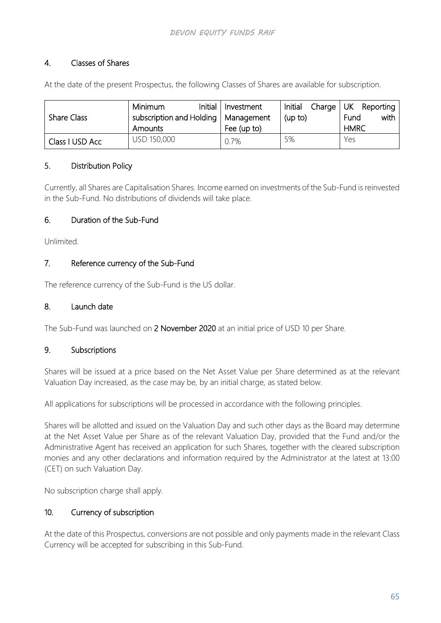## 4. Classes of Shares

At the date of the present Prospectus, the following Classes of Shares are available for subscription.

|                    | Initial<br><b>Minimum</b>             | Investment  | Initial | Charge UK Reporting |
|--------------------|---------------------------------------|-------------|---------|---------------------|
| <b>Share Class</b> | subscription and Holding   Management |             | (up to) | with<br>Fund        |
|                    | Amounts                               | Fee (up to) |         | <b>HMRC</b>         |
| Class I USD Acc    | USD 150,000                           | 0.7%        | 5%      | Yes                 |

### 5. Distribution Policy

Currently, all Shares are Capitalisation Shares. Income earned on investments of the Sub-Fund is reinvested in the Sub-Fund. No distributions of dividends will take place.

# 6. Duration of the Sub-Fund

Unlimited.

### 7. Reference currency of the Sub-Fund

The reference currency of the Sub-Fund is the US dollar.

# 8. Launch date

The Sub-Fund was launched on 2 November 2020 at an initial price of USD 10 per Share.

### 9. Subscriptions

Shares will be issued at a price based on the Net Asset Value per Share determined as at the relevant Valuation Day increased, as the case may be, by an initial charge, as stated below.

All applications for subscriptions will be processed in accordance with the following principles.

Shares will be allotted and issued on the Valuation Day and such other days as the Board may determine at the Net Asset Value per Share as of the relevant Valuation Day, provided that the Fund and/or the Administrative Agent has received an application for such Shares, together with the cleared subscription monies and any other declarations and information required by the Administrator at the latest at 13:00 (CET) on such Valuation Day.

No subscription charge shall apply.

### 10. Currency of subscription

At the date of this Prospectus, conversions are not possible and only payments made in the relevant Class Currency will be accepted for subscribing in this Sub-Fund.